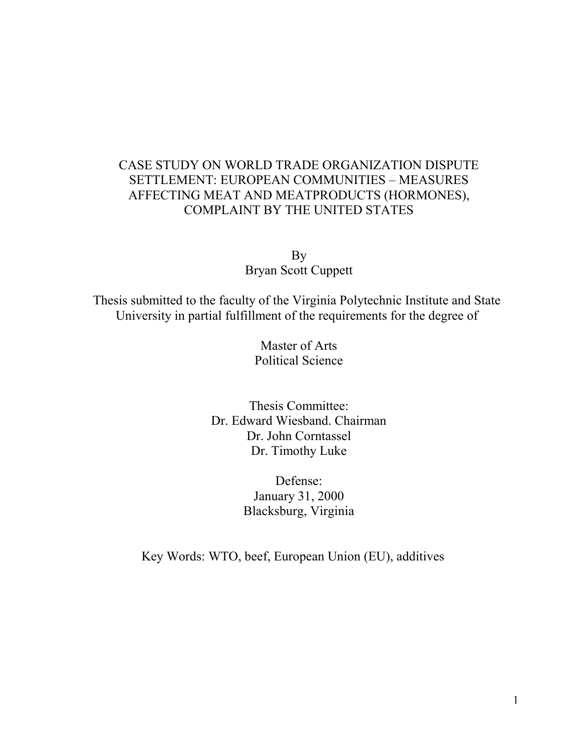# CASE STUDY ON WORLD TRADE ORGANIZATION DISPUTE SETTLEMENT: EUROPEAN COMMUNITIES - MEASURES AFFECTING MEAT AND MEATPRODUCTS (HORMONES), COMPLAINT BY THE UNITED STATES

By Bryan Scott Cuppett

Thesis submitted to the faculty of the Virginia Polytechnic Institute and State University in partial fulfillment of the requirements for the degree of

> Master of Arts Political Science

Thesis Committee: Dr. Edward Wiesband. Chairman Dr. John Corntassel Dr. Timothy Luke

> Defense: January 31, 2000 Blacksburg, Virginia

Key Words: WTO, beef, European Union (EU), additives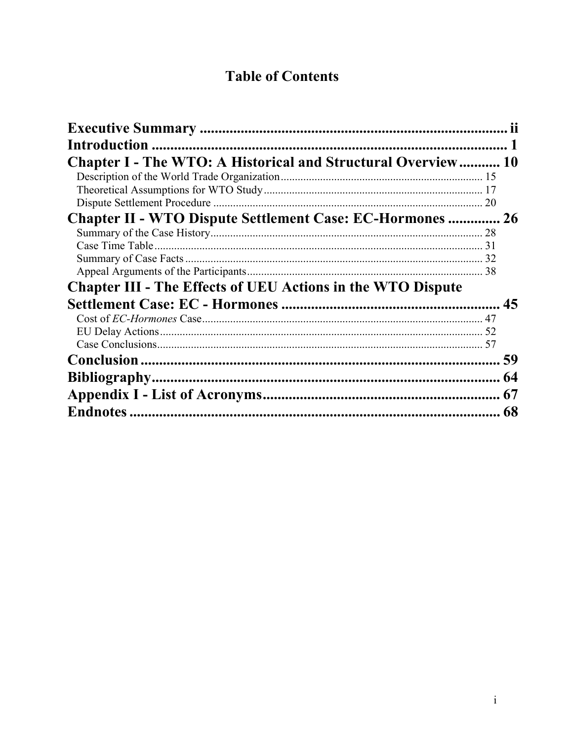# **Table of Contents**

| Chapter I - The WTO: A Historical and Structural Overview 10       |    |
|--------------------------------------------------------------------|----|
|                                                                    |    |
|                                                                    |    |
| <b>Dispute Settlement Procedure</b>                                |    |
| <b>Chapter II - WTO Dispute Settlement Case: EC-Hormones  26</b>   |    |
|                                                                    |    |
|                                                                    |    |
|                                                                    |    |
|                                                                    |    |
| <b>Chapter III - The Effects of UEU Actions in the WTO Dispute</b> |    |
|                                                                    |    |
|                                                                    |    |
|                                                                    |    |
|                                                                    |    |
|                                                                    |    |
|                                                                    |    |
|                                                                    |    |
|                                                                    | 68 |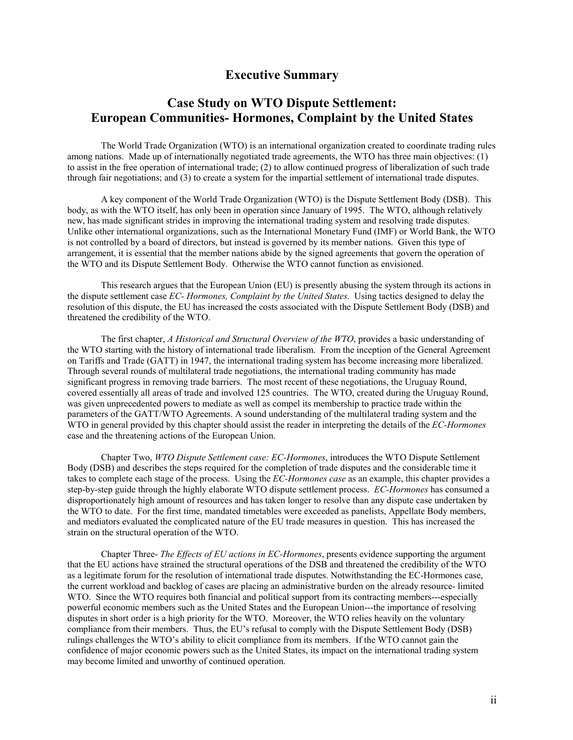### **Executive Summary**

## **Case Study on WTO Dispute Settlement: European Communities- Hormones, Complaint by the United States**

The World Trade Organization (WTO) is an international organization created to coordinate trading rules among nations. Made up of internationally negotiated trade agreements, the WTO has three main objectives: (1) to assist in the free operation of international trade; (2) to allow continued progress of liberalization of such trade through fair negotiations; and (3) to create a system for the impartial settlement of international trade disputes.

A key component of the World Trade Organization (WTO) is the Dispute Settlement Body (DSB). This body, as with the WTO itself, has only been in operation since January of 1995. The WTO, although relatively new, has made significant strides in improving the international trading system and resolving trade disputes. Unlike other international organizations, such as the International Monetary Fund (IMF) or World Bank, the WTO is not controlled by a board of directors, but instead is governed by its member nations. Given this type of arrangement, it is essential that the member nations abide by the signed agreements that govern the operation of the WTO and its Dispute Settlement Body. Otherwise the WTO cannot function as envisioned.

This research argues that the European Union (EU) is presently abusing the system through its actions in the dispute settlement case *EC- Hormones, Complaint by the United States.* Using tactics designed to delay the resolution of this dispute, the EU has increased the costs associated with the Dispute Settlement Body (DSB) and threatened the credibility of the WTO.

The first chapter, *A Historical and Structural Overview of the WTO*, provides a basic understanding of the WTO starting with the history of international trade liberalism. From the inception of the General Agreement on Tariffs and Trade (GATT) in 1947, the international trading system has become increasing more liberalized. Through several rounds of multilateral trade negotiations, the international trading community has made significant progress in removing trade barriers. The most recent of these negotiations, the Uruguay Round, covered essentially all areas of trade and involved 125 countries. The WTO, created during the Uruguay Round, was given unprecedented powers to mediate as well as compel its membership to practice trade within the parameters of the GATT/WTO Agreements. A sound understanding of the multilateral trading system and the WTO in general provided by this chapter should assist the reader in interpreting the details of the *EC-Hormones* case and the threatening actions of the European Union.

Chapter Two, *WTO Dispute Settlement case: EC-Hormones*, introduces the WTO Dispute Settlement Body (DSB) and describes the steps required for the completion of trade disputes and the considerable time it takes to complete each stage of the process. Using the *EC-Hormones case* as an example, this chapter provides a step-by-step guide through the highly elaborate WTO dispute settlement process. *EC-Hormones* has consumed a disproportionately high amount of resources and has taken longer to resolve than any dispute case undertaken by the WTO to date. For the first time, mandated timetables were exceeded as panelists, Appellate Body members, and mediators evaluated the complicated nature of the EU trade measures in question. This has increased the strain on the structural operation of the WTO.

Chapter Three- *The Effects of EU actions in EC-Hormones*, presents evidence supporting the argument that the EU actions have strained the structural operations of the DSB and threatened the credibility of the WTO as a legitimate forum for the resolution of international trade disputes. Notwithstanding the EC-Hormones case, the current workload and backlog of cases are placing an administrative burden on the already resource- limited WTO. Since the WTO requires both financial and political support from its contracting members---especially powerful economic members such as the United States and the European Union---the importance of resolving disputes in short order is a high priority for the WTO. Moreover, the WTO relies heavily on the voluntary compliance from their members. Thus, the EU's refusal to comply with the Dispute Settlement Body (DSB) rulings challenges the WTO's ability to elicit compliance from its members. If the WTO cannot gain the confidence of major economic powers such as the United States, its impact on the international trading system may become limited and unworthy of continued operation.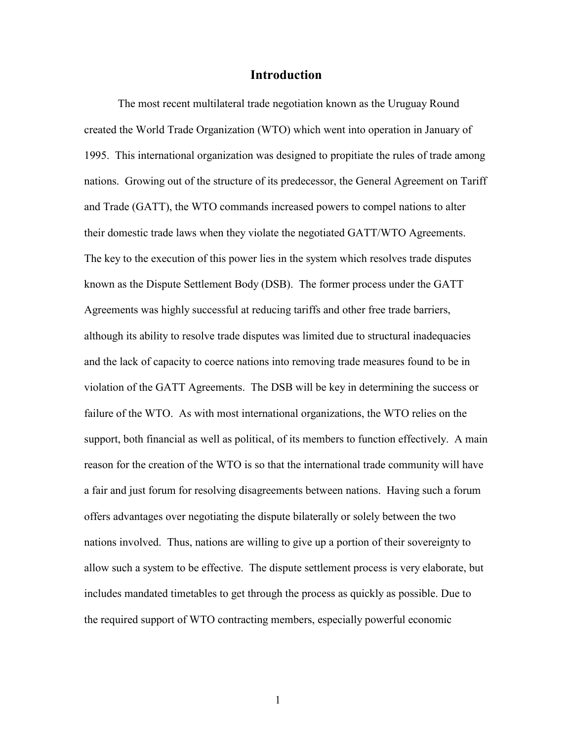#### **Introduction**

The most recent multilateral trade negotiation known as the Uruguay Round created the World Trade Organization (WTO) which went into operation in January of 1995. This international organization was designed to propitiate the rules of trade among nations. Growing out of the structure of its predecessor, the General Agreement on Tariff and Trade (GATT), the WTO commands increased powers to compel nations to alter their domestic trade laws when they violate the negotiated GATT/WTO Agreements. The key to the execution of this power lies in the system which resolves trade disputes known as the Dispute Settlement Body (DSB). The former process under the GATT Agreements was highly successful at reducing tariffs and other free trade barriers, although its ability to resolve trade disputes was limited due to structural inadequacies and the lack of capacity to coerce nations into removing trade measures found to be in violation of the GATT Agreements. The DSB will be key in determining the success or failure of the WTO. As with most international organizations, the WTO relies on the support, both financial as well as political, of its members to function effectively. A main reason for the creation of the WTO is so that the international trade community will have a fair and just forum for resolving disagreements between nations. Having such a forum offers advantages over negotiating the dispute bilaterally or solely between the two nations involved. Thus, nations are willing to give up a portion of their sovereignty to allow such a system to be effective. The dispute settlement process is very elaborate, but includes mandated timetables to get through the process as quickly as possible. Due to the required support of WTO contracting members, especially powerful economic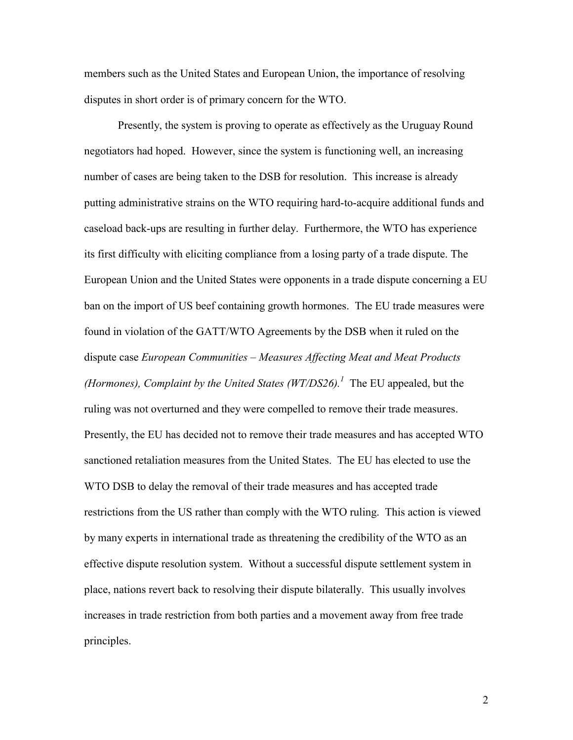members such as the United States and European Union, the importance of resolving disputes in short order is of primary concern for the WTO.

Presently, the system is proving to operate as effectively as the Uruguay Round negotiators had hoped. However, since the system is functioning well, an increasing number of cases are being taken to the DSB for resolution. This increase is already putting administrative strains on the WTO requiring hard-to-acquire additional funds and caseload back-ups are resulting in further delay. Furthermore, the WTO has experience its first difficulty with eliciting compliance from a losing party of a trade dispute. The European Union and the United States were opponents in a trade dispute concerning a EU ban on the import of US beef containing growth hormones. The EU trade measures were found in violation of the GATT/WTO Agreements by the DSB when it ruled on the dispute case *European Communities – Measures Affecting Meat and Meat Products (Hormones), Complaint by the United States*  $(WT/DS26)$ *.*<sup>*1*</sup> The EU appealed, but the ruling was not overturned and they were compelled to remove their trade measures. Presently, the EU has decided not to remove their trade measures and has accepted WTO sanctioned retaliation measures from the United States. The EU has elected to use the WTO DSB to delay the removal of their trade measures and has accepted trade restrictions from the US rather than comply with the WTO ruling. This action is viewed by many experts in international trade as threatening the credibility of the WTO as an effective dispute resolution system. Without a successful dispute settlement system in place, nations revert back to resolving their dispute bilaterally. This usually involves increases in trade restriction from both parties and a movement away from free trade principles.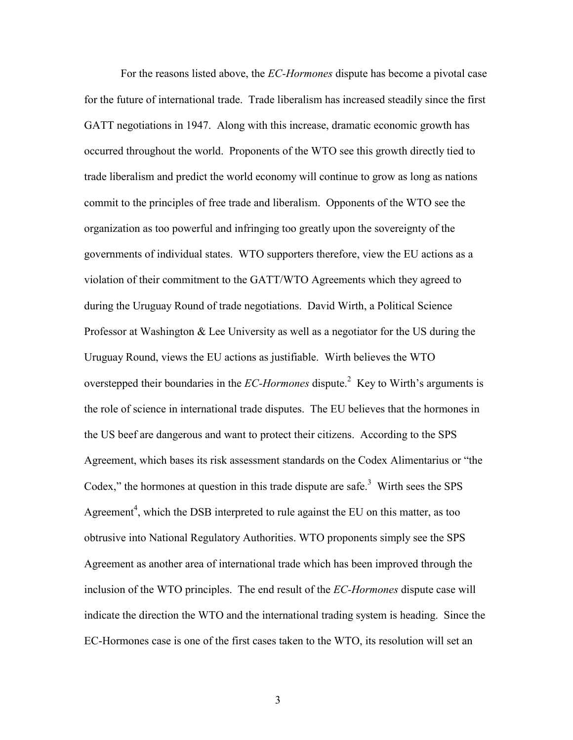For the reasons listed above, the *EC-Hormones* dispute has become a pivotal case for the future of international trade. Trade liberalism has increased steadily since the first GATT negotiations in 1947. Along with this increase, dramatic economic growth has occurred throughout the world. Proponents of the WTO see this growth directly tied to trade liberalism and predict the world economy will continue to grow as long as nations commit to the principles of free trade and liberalism. Opponents of the WTO see the organization as too powerful and infringing too greatly upon the sovereignty of the governments of individual states. WTO supporters therefore, view the EU actions as a violation of their commitment to the GATT/WTO Agreements which they agreed to during the Uruguay Round of trade negotiations. David Wirth, a Political Science Professor at Washington & Lee University as well as a negotiator for the US during the Uruguay Round, views the EU actions as justifiable. Wirth believes the WTO overstepped their boundaries in the  $EC-Hormones$  dispute.<sup>2</sup> Key to Wirth's arguments is the role of science in international trade disputes. The EU believes that the hormones in the US beef are dangerous and want to protect their citizens. According to the SPS Agreement, which bases its risk assessment standards on the Codex Alimentarius or "the Codex," the hormones at question in this trade dispute are safe. $3$  Wirth sees the SPS Agreement<sup>4</sup>, which the DSB interpreted to rule against the EU on this matter, as too obtrusive into National Regulatory Authorities. WTO proponents simply see the SPS Agreement as another area of international trade which has been improved through the inclusion of the WTO principles. The end result of the *EC-Hormones* dispute case will indicate the direction the WTO and the international trading system is heading. Since the EC-Hormones case is one of the first cases taken to the WTO, its resolution will set an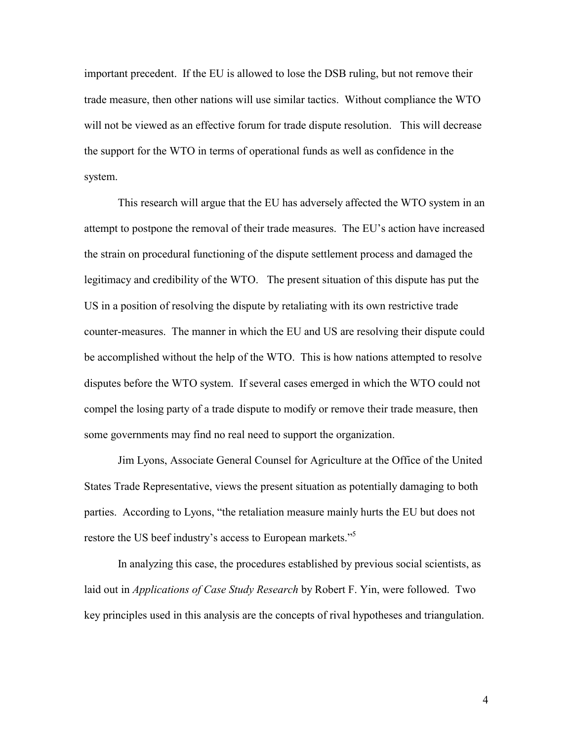important precedent. If the EU is allowed to lose the DSB ruling, but not remove their trade measure, then other nations will use similar tactics. Without compliance the WTO will not be viewed as an effective forum for trade dispute resolution. This will decrease the support for the WTO in terms of operational funds as well as confidence in the system.

This research will argue that the EU has adversely affected the WTO system in an attempt to postpone the removal of their trade measures. The EU's action have increased the strain on procedural functioning of the dispute settlement process and damaged the legitimacy and credibility of the WTO. The present situation of this dispute has put the US in a position of resolving the dispute by retaliating with its own restrictive trade counter-measures. The manner in which the EU and US are resolving their dispute could be accomplished without the help of the WTO. This is how nations attempted to resolve disputes before the WTO system. If several cases emerged in which the WTO could not compel the losing party of a trade dispute to modify or remove their trade measure, then some governments may find no real need to support the organization.

Jim Lyons, Associate General Counsel for Agriculture at the Office of the United States Trade Representative, views the present situation as potentially damaging to both parties. According to Lyons, "the retaliation measure mainly hurts the EU but does not restore the US beef industry's access to European markets.<sup>35</sup>

In analyzing this case, the procedures established by previous social scientists, as laid out in *Applications of Case Study Research* by Robert F. Yin, were followed. Two key principles used in this analysis are the concepts of rival hypotheses and triangulation.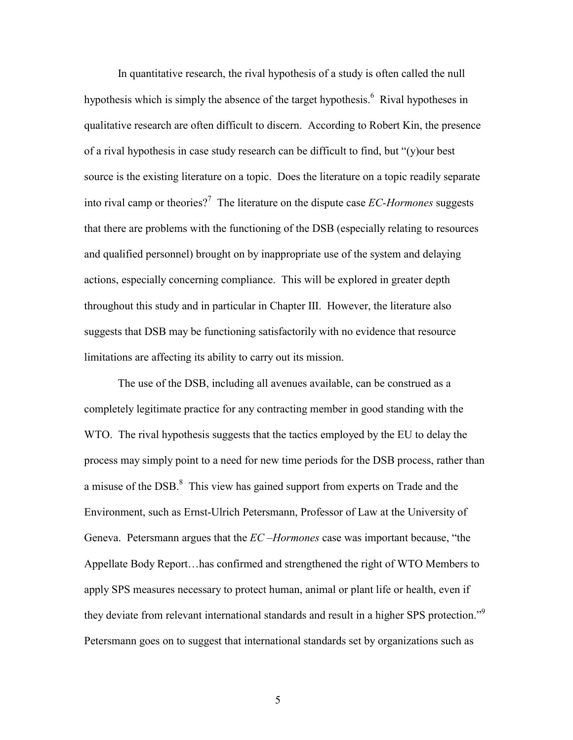In quantitative research, the rival hypothesis of a study is often called the null hypothesis which is simply the absence of the target hypothesis.<sup>6</sup> Rival hypotheses in qualitative research are often difficult to discern. According to Robert Kin, the presence of a rival hypothesis in case study research can be difficult to find, but  $\gamma(y)$  our best source is the existing literature on a topic. Does the literature on a topic readily separate into rival camp or theories?<sup>7</sup> The literature on the dispute case  $EC\text{-}Hormones$  suggests that there are problems with the functioning of the DSB (especially relating to resources and qualified personnel) brought on by inappropriate use of the system and delaying actions, especially concerning compliance. This will be explored in greater depth throughout this study and in particular in Chapter III. However, the literature also suggests that DSB may be functioning satisfactorily with no evidence that resource limitations are affecting its ability to carry out its mission.

The use of the DSB, including all avenues available, can be construed as a completely legitimate practice for any contracting member in good standing with the WTO. The rival hypothesis suggests that the tactics employed by the EU to delay the process may simply point to a need for new time periods for the DSB process, rather than a misuse of the DSB.<sup>8</sup> This view has gained support from experts on Trade and the Environment, such as Ernst-Ulrich Petersmann, Professor of Law at the University of Geneva. Petersmann argues that the *EC –Hormones* case was important because, "the Appellate Body Report...has confirmed and strengthened the right of WTO Members to apply SPS measures necessary to protect human, animal or plant life or health, even if they deviate from relevant international standards and result in a higher SPS protection.<sup>79</sup> Petersmann goes on to suggest that international standards set by organizations such as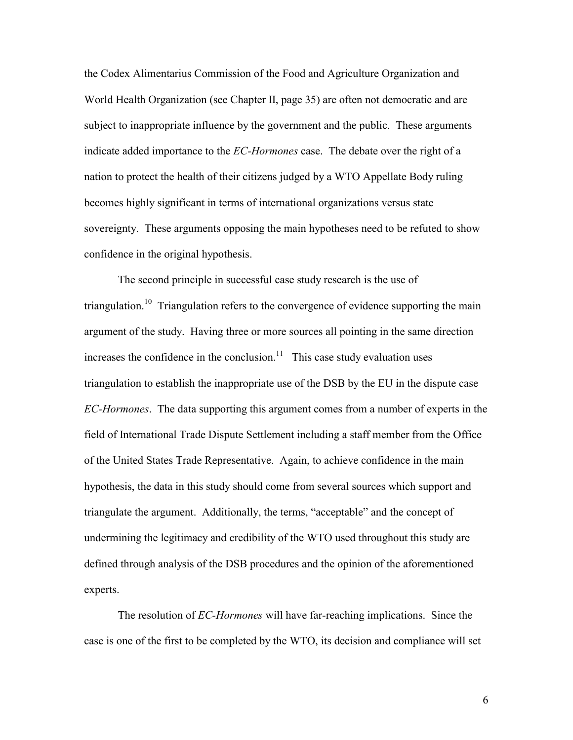the Codex Alimentarius Commission of the Food and Agriculture Organization and World Health Organization (see Chapter II, page 35) are often not democratic and are subject to inappropriate influence by the government and the public. These arguments indicate added importance to the *EC-Hormones* case. The debate over the right of a nation to protect the health of their citizens judged by a WTO Appellate Body ruling becomes highly significant in terms of international organizations versus state sovereignty. These arguments opposing the main hypotheses need to be refuted to show confidence in the original hypothesis.

The second principle in successful case study research is the use of triangulation.<sup>10</sup> Triangulation refers to the convergence of evidence supporting the main argument of the study. Having three or more sources all pointing in the same direction increases the confidence in the conclusion. $11$  This case study evaluation uses triangulation to establish the inappropriate use of the DSB by the EU in the dispute case *EC-Hormones*. The data supporting this argument comes from a number of experts in the field of International Trade Dispute Settlement including a staff member from the Office of the United States Trade Representative. Again, to achieve confidence in the main hypothesis, the data in this study should come from several sources which support and triangulate the argument. Additionally, the terms, "acceptable" and the concept of undermining the legitimacy and credibility of the WTO used throughout this study are defined through analysis of the DSB procedures and the opinion of the aforementioned experts.

The resolution of *EC-Hormones* will have far-reaching implications. Since the case is one of the first to be completed by the WTO, its decision and compliance will set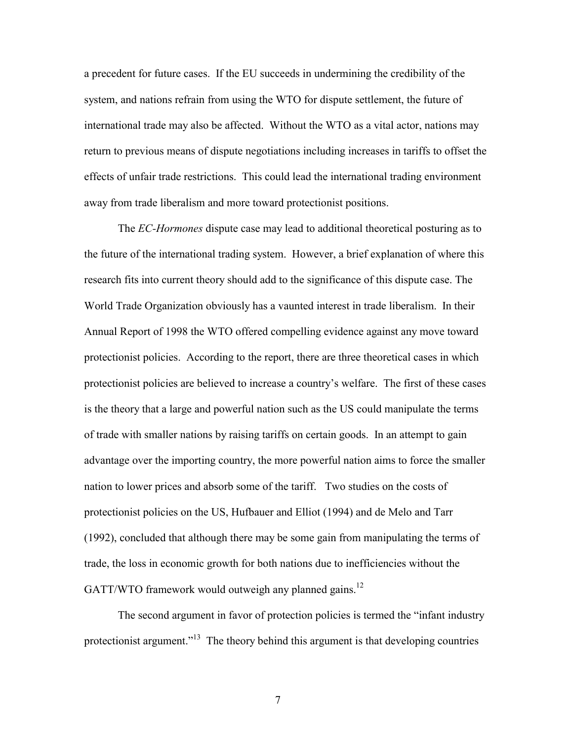a precedent for future cases. If the EU succeeds in undermining the credibility of the system, and nations refrain from using the WTO for dispute settlement, the future of international trade may also be affected. Without the WTO as a vital actor, nations may return to previous means of dispute negotiations including increases in tariffs to offset the effects of unfair trade restrictions. This could lead the international trading environment away from trade liberalism and more toward protectionist positions.

The *EC-Hormones* dispute case may lead to additional theoretical posturing as to the future of the international trading system. However, a brief explanation of where this research fits into current theory should add to the significance of this dispute case. The World Trade Organization obviously has a vaunted interest in trade liberalism. In their Annual Report of 1998 the WTO offered compelling evidence against any move toward protectionist policies. According to the report, there are three theoretical cases in which protectionist policies are believed to increase a country's welfare. The first of these cases is the theory that a large and powerful nation such as the US could manipulate the terms of trade with smaller nations by raising tariffs on certain goods. In an attempt to gain advantage over the importing country, the more powerful nation aims to force the smaller nation to lower prices and absorb some of the tariff. Two studies on the costs of protectionist policies on the US, Hufbauer and Elliot (1994) and de Melo and Tarr (1992), concluded that although there may be some gain from manipulating the terms of trade, the loss in economic growth for both nations due to inefficiencies without the GATT/WTO framework would outweigh any planned gains.<sup>12</sup>

The second argument in favor of protection policies is termed the "infant industry" protectionist argument.<sup>313</sup> The theory behind this argument is that developing countries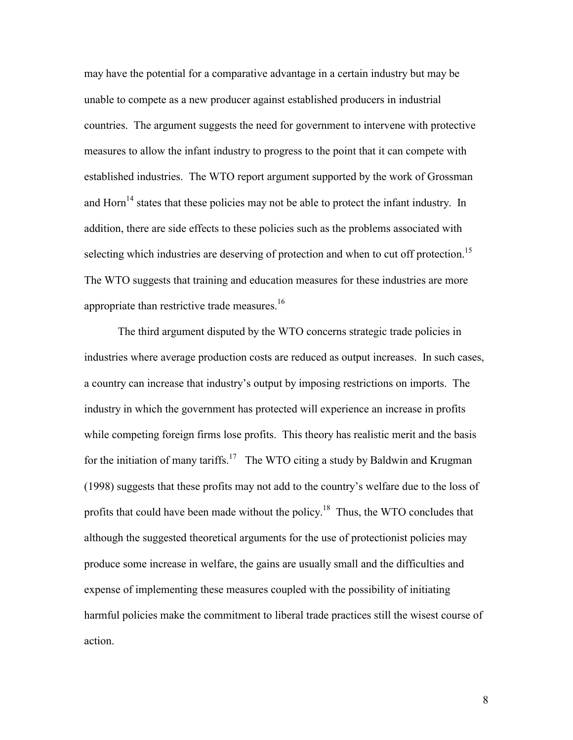may have the potential for a comparative advantage in a certain industry but may be unable to compete as a new producer against established producers in industrial countries. The argument suggests the need for government to intervene with protective measures to allow the infant industry to progress to the point that it can compete with established industries. The WTO report argument supported by the work of Grossman and Horn<sup>14</sup> states that these policies may not be able to protect the infant industry. In addition, there are side effects to these policies such as the problems associated with selecting which industries are deserving of protection and when to cut off protection.<sup>15</sup> The WTO suggests that training and education measures for these industries are more appropriate than restrictive trade measures.<sup>16</sup>

The third argument disputed by the WTO concerns strategic trade policies in industries where average production costs are reduced as output increases. In such cases, a country can increase that industry's output by imposing restrictions on imports. The industry in which the government has protected will experience an increase in profits while competing foreign firms lose profits. This theory has realistic merit and the basis for the initiation of many tariffs.<sup>17</sup> The WTO citing a study by Baldwin and Krugman (1998) suggests that these profits may not add to the country's welfare due to the loss of profits that could have been made without the policy.<sup>18</sup> Thus, the WTO concludes that although the suggested theoretical arguments for the use of protectionist policies may produce some increase in welfare, the gains are usually small and the difficulties and expense of implementing these measures coupled with the possibility of initiating harmful policies make the commitment to liberal trade practices still the wisest course of action.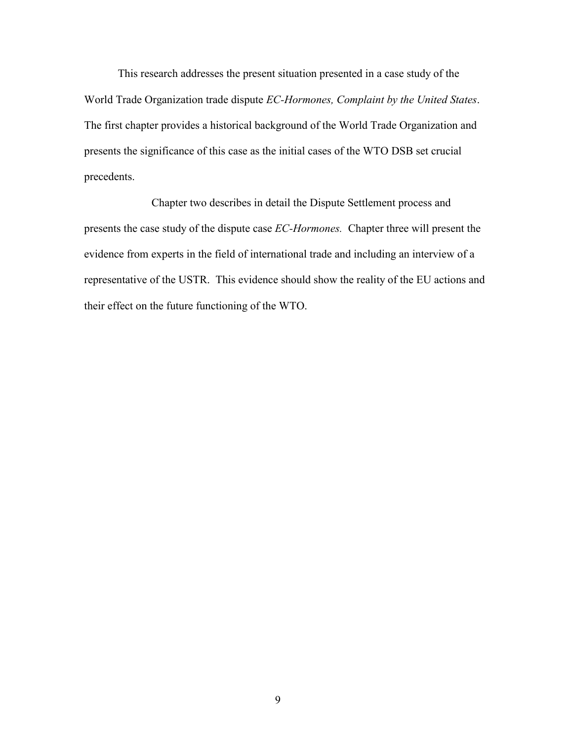This research addresses the present situation presented in a case study of the World Trade Organization trade dispute *EC-Hormones, Complaint by the United States*. The first chapter provides a historical background of the World Trade Organization and presents the significance of this case as the initial cases of the WTO DSB set crucial precedents.

 Chapter two describes in detail the Dispute Settlement process and presents the case study of the dispute case *EC-Hormones.* Chapter three will present the evidence from experts in the field of international trade and including an interview of a representative of the USTR. This evidence should show the reality of the EU actions and their effect on the future functioning of the WTO.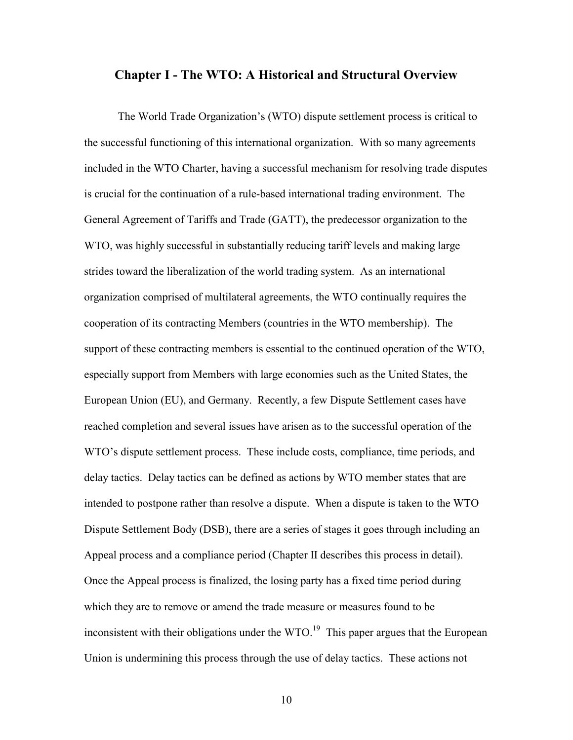#### **Chapter I - The WTO: A Historical and Structural Overview**

The World Trade Organization's (WTO) dispute settlement process is critical to the successful functioning of this international organization. With so many agreements included in the WTO Charter, having a successful mechanism for resolving trade disputes is crucial for the continuation of a rule-based international trading environment. The General Agreement of Tariffs and Trade (GATT), the predecessor organization to the WTO, was highly successful in substantially reducing tariff levels and making large strides toward the liberalization of the world trading system. As an international organization comprised of multilateral agreements, the WTO continually requires the cooperation of its contracting Members (countries in the WTO membership). The support of these contracting members is essential to the continued operation of the WTO, especially support from Members with large economies such as the United States, the European Union (EU), and Germany. Recently, a few Dispute Settlement cases have reached completion and several issues have arisen as to the successful operation of the WTO's dispute settlement process. These include costs, compliance, time periods, and delay tactics. Delay tactics can be defined as actions by WTO member states that are intended to postpone rather than resolve a dispute. When a dispute is taken to the WTO Dispute Settlement Body (DSB), there are a series of stages it goes through including an Appeal process and a compliance period (Chapter II describes this process in detail). Once the Appeal process is finalized, the losing party has a fixed time period during which they are to remove or amend the trade measure or measures found to be inconsistent with their obligations under the  $WTO$ .<sup>19</sup> This paper argues that the European Union is undermining this process through the use of delay tactics. These actions not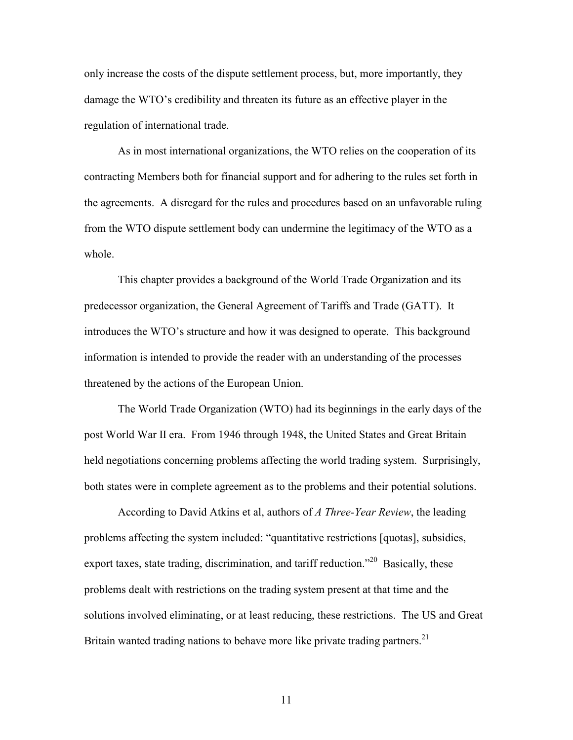only increase the costs of the dispute settlement process, but, more importantly, they damage the WTO's credibility and threaten its future as an effective player in the regulation of international trade.

As in most international organizations, the WTO relies on the cooperation of its contracting Members both for financial support and for adhering to the rules set forth in the agreements. A disregard for the rules and procedures based on an unfavorable ruling from the WTO dispute settlement body can undermine the legitimacy of the WTO as a whole.

This chapter provides a background of the World Trade Organization and its predecessor organization, the General Agreement of Tariffs and Trade (GATT). It introduces the WTO's structure and how it was designed to operate. This background information is intended to provide the reader with an understanding of the processes threatened by the actions of the European Union.

The World Trade Organization (WTO) had its beginnings in the early days of the post World War II era. From 1946 through 1948, the United States and Great Britain held negotiations concerning problems affecting the world trading system. Surprisingly, both states were in complete agreement as to the problems and their potential solutions.

According to David Atkins et al, authors of *A Three-Year Review*, the leading problems affecting the system included: "quantitative restrictions [quotas], subsidies, export taxes, state trading, discrimination, and tariff reduction.<sup> $20$ </sup> Basically, these problems dealt with restrictions on the trading system present at that time and the solutions involved eliminating, or at least reducing, these restrictions. The US and Great Britain wanted trading nations to behave more like private trading partners.<sup>21</sup>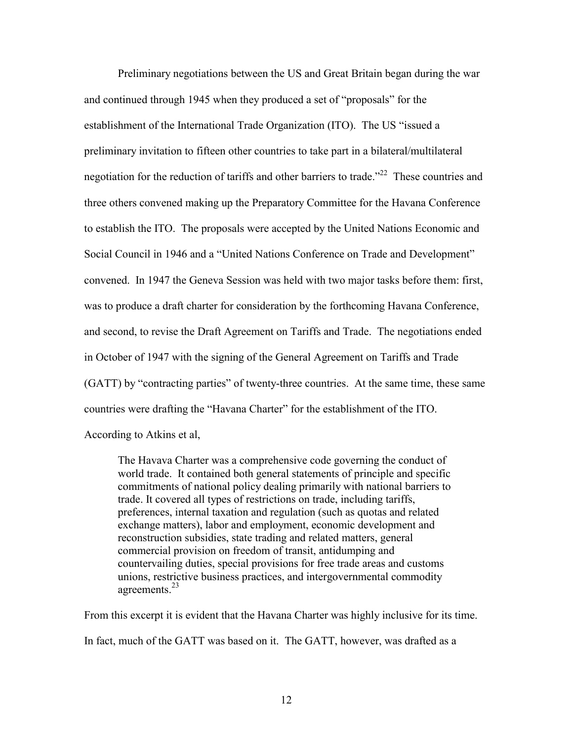Preliminary negotiations between the US and Great Britain began during the war and continued through 1945 when they produced a set of "proposals" for the establishment of the International Trade Organization (ITO). The US "issued a preliminary invitation to fifteen other countries to take part in a bilateral/multilateral negotiation for the reduction of tariffs and other barriers to trade.<sup>22</sup> These countries and three others convened making up the Preparatory Committee for the Havana Conference to establish the ITO. The proposals were accepted by the United Nations Economic and Social Council in 1946 and a "United Nations Conference on Trade and Development" convened. In 1947 the Geneva Session was held with two major tasks before them: first, was to produce a draft charter for consideration by the forthcoming Havana Conference, and second, to revise the Draft Agreement on Tariffs and Trade. The negotiations ended in October of 1947 with the signing of the General Agreement on Tariffs and Trade (GATT) by "contracting parties" of twenty-three countries. At the same time, these same countries were drafting the "Havana Charter" for the establishment of the ITO.

According to Atkins et al,

The Havava Charter was a comprehensive code governing the conduct of world trade. It contained both general statements of principle and specific commitments of national policy dealing primarily with national barriers to trade. It covered all types of restrictions on trade, including tariffs, preferences, internal taxation and regulation (such as quotas and related exchange matters), labor and employment, economic development and reconstruction subsidies, state trading and related matters, general commercial provision on freedom of transit, antidumping and countervailing duties, special provisions for free trade areas and customs unions, restrictive business practices, and intergovernmental commodity agreements.<sup>23</sup>

From this excerpt it is evident that the Havana Charter was highly inclusive for its time. In fact, much of the GATT was based on it. The GATT, however, was drafted as a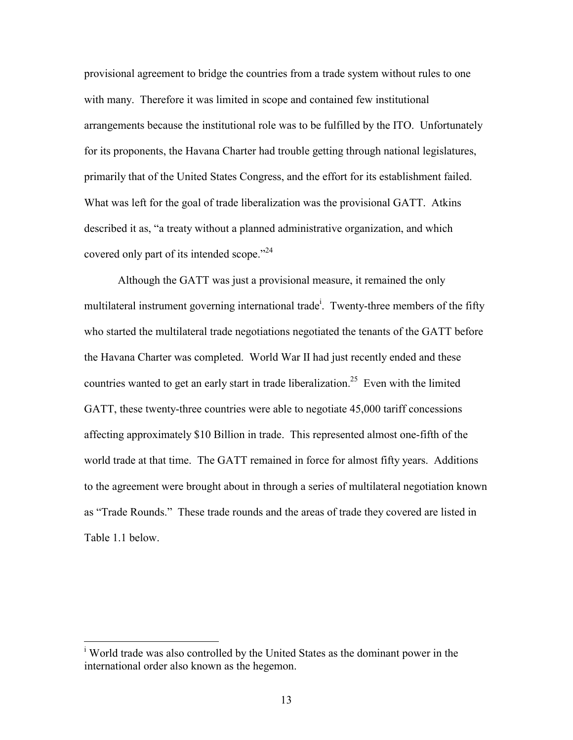provisional agreement to bridge the countries from a trade system without rules to one with many. Therefore it was limited in scope and contained few institutional arrangements because the institutional role was to be fulfilled by the ITO. Unfortunately for its proponents, the Havana Charter had trouble getting through national legislatures, primarily that of the United States Congress, and the effort for its establishment failed. What was left for the goal of trade liberalization was the provisional GATT. Atkins described it as, "a treaty without a planned administrative organization, and which covered only part of its intended scope.<sup> $24$ </sup>

 Although the GATT was just a provisional measure, it remained the only multilateral instrument governing international trade<sup>i</sup>. Twenty-three members of the fifty who started the multilateral trade negotiations negotiated the tenants of the GATT before the Havana Charter was completed. World War II had just recently ended and these countries wanted to get an early start in trade liberalization.<sup>25</sup> Even with the limited GATT, these twenty-three countries were able to negotiate 45,000 tariff concessions affecting approximately \$10 Billion in trade. This represented almost one-fifth of the world trade at that time. The GATT remained in force for almost fifty years. Additions to the agreement were brought about in through a series of multilateral negotiation known as "Trade Rounds." These trade rounds and the areas of trade they covered are listed in Table 1.1 below.

 $\overline{a}$ 

<sup>&</sup>lt;sup>i</sup> World trade was also controlled by the United States as the dominant power in the international order also known as the hegemon.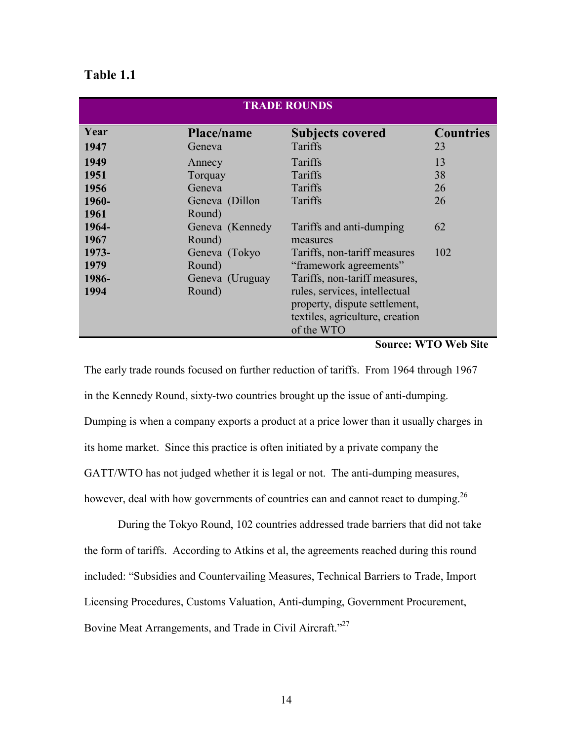### **Table 1.1**

| <b>TRADE ROUNDS</b> |                 |                                 |                  |  |  |  |
|---------------------|-----------------|---------------------------------|------------------|--|--|--|
| Year                | Place/name      | <b>Subjects covered</b>         | <b>Countries</b> |  |  |  |
| 1947                | Geneva          | Tariffs                         | 23               |  |  |  |
| 1949                | Annecy          | Tariffs                         | 13               |  |  |  |
| 1951                | Torquay         | Tariffs                         | 38               |  |  |  |
| 1956                | Geneva          | Tariffs                         | 26               |  |  |  |
| 1960-               | Geneva (Dillon  | Tariffs                         | 26               |  |  |  |
| 1961                | Round)          |                                 |                  |  |  |  |
| 1964-               | Geneva (Kennedy | Tariffs and anti-dumping        | 62               |  |  |  |
| 1967                | Round)          | measures                        |                  |  |  |  |
| 1973-               | Geneva (Tokyo   | Tariffs, non-tariff measures    | 102              |  |  |  |
| 1979                | Round)          | "framework agreements"          |                  |  |  |  |
| 1986-               | Geneva (Uruguay | Tariffs, non-tariff measures,   |                  |  |  |  |
| 1994                | Round)          | rules, services, intellectual   |                  |  |  |  |
|                     |                 | property, dispute settlement,   |                  |  |  |  |
|                     |                 | textiles, agriculture, creation |                  |  |  |  |
|                     |                 | of the WTO                      |                  |  |  |  |

### **Source: WTO Web Site**

The early trade rounds focused on further reduction of tariffs. From 1964 through 1967 in the Kennedy Round, sixty-two countries brought up the issue of anti-dumping. Dumping is when a company exports a product at a price lower than it usually charges in its home market. Since this practice is often initiated by a private company the GATT/WTO has not judged whether it is legal or not. The anti-dumping measures, however, deal with how governments of countries can and cannot react to dumping.<sup>26</sup>

During the Tokyo Round, 102 countries addressed trade barriers that did not take the form of tariffs. According to Atkins et al, the agreements reached during this round included: "Subsidies and Countervailing Measures, Technical Barriers to Trade, Import Licensing Procedures, Customs Valuation, Anti-dumping, Government Procurement, Bovine Meat Arrangements, and Trade in Civil Aircraft.<sup>227</sup>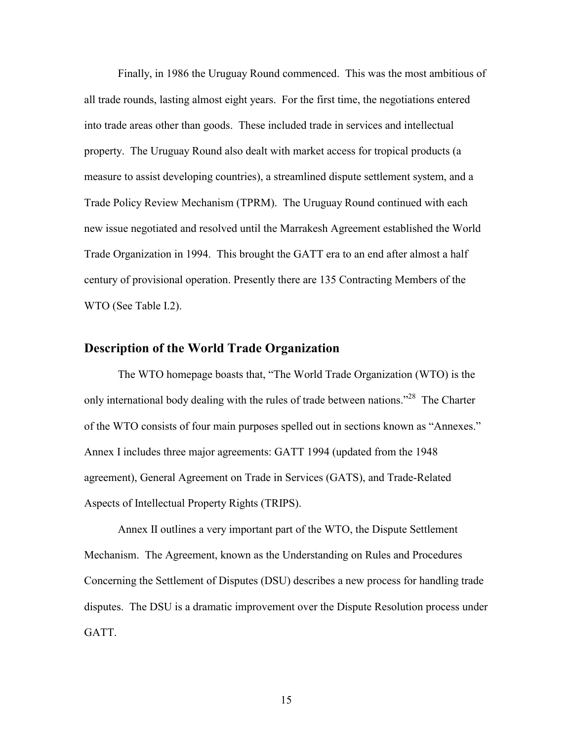Finally, in 1986 the Uruguay Round commenced. This was the most ambitious of all trade rounds, lasting almost eight years. For the first time, the negotiations entered into trade areas other than goods. These included trade in services and intellectual property. The Uruguay Round also dealt with market access for tropical products (a measure to assist developing countries), a streamlined dispute settlement system, and a Trade Policy Review Mechanism (TPRM). The Uruguay Round continued with each new issue negotiated and resolved until the Marrakesh Agreement established the World Trade Organization in 1994. This brought the GATT era to an end after almost a half century of provisional operation. Presently there are 135 Contracting Members of the WTO (See Table I.2).

### **Description of the World Trade Organization**

The WTO homepage boasts that, "The World Trade Organization (WTO) is the only international body dealing with the rules of trade between nations.<sup>228</sup> The Charter of the WTO consists of four main purposes spelled out in sections known as "Annexes." Annex I includes three major agreements: GATT 1994 (updated from the 1948 agreement), General Agreement on Trade in Services (GATS), and Trade-Related Aspects of Intellectual Property Rights (TRIPS).

Annex II outlines a very important part of the WTO, the Dispute Settlement Mechanism. The Agreement, known as the Understanding on Rules and Procedures Concerning the Settlement of Disputes (DSU) describes a new process for handling trade disputes. The DSU is a dramatic improvement over the Dispute Resolution process under GATT.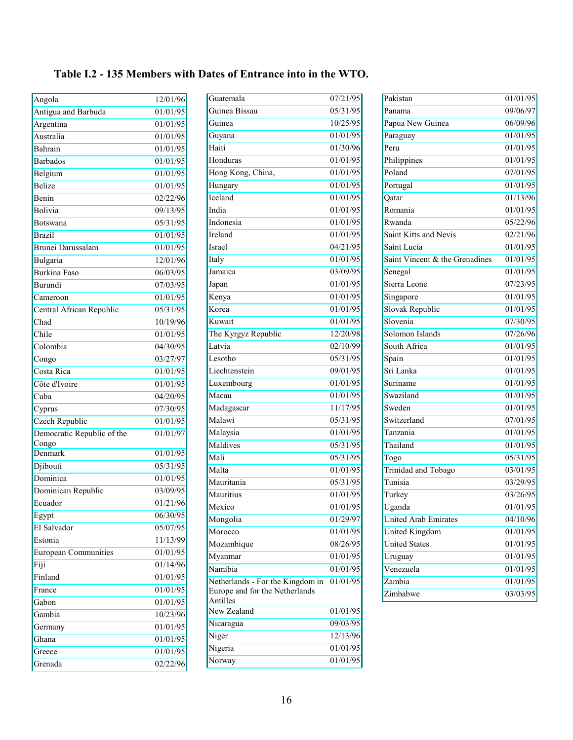# **Table I.2 - 135 Members with Dates of Entrance into in the WTO.**

| Angola                      | 12/01/96              |
|-----------------------------|-----------------------|
| Antigua and Barbuda         | 01/01/95              |
| Argentina                   | 01/01/95              |
| Australia                   | 01/01/95              |
| Bahrain                     | 01/01/95              |
| <b>Barbados</b>             | 01/01/95              |
| Belgium                     | 01/01/95              |
| <b>Belize</b>               | 01/01/95              |
| Benin                       | 02/22/96              |
| Bolivia                     | 09/13/95              |
| <b>Botswana</b>             | 05/31/95              |
| <b>Brazil</b>               | 01/01/95              |
| Brunei Darussalam           | 01/01/95              |
| Bulgaria                    | 12/01/96              |
| <b>Burkina Faso</b>         | 06/03/95              |
| Burundi                     | 07/03/95              |
| Cameroon                    | 01/01/95              |
| Central African Republic    | 05/31/95              |
| Chad                        | 10/19/96              |
| Chile                       | 01/01/95              |
| Colombia                    | 04/30/95              |
| Congo                       | 03/27/97              |
| Costa Rica                  | 01/01/95              |
| Côte d'Ivoire               | $0\overline{1/01/95}$ |
| Cuba                        | 04/20/95              |
| Cyprus                      | 07/30/95              |
| Czech Republic              | 01/01/95              |
| Democratic Republic of the  | 01/01/97              |
| Congo                       |                       |
| Denmark                     | 01/01/95              |
| Djibouti                    | 05/31/95              |
| Dominica                    | 01/01/95              |
| Dominican Republic          | 03/09/95              |
| Ecuador                     | 01/21/96              |
| Egypt                       | 06/30/95              |
| El Salvador                 | 05/07/95              |
| Estonia                     | 11/13/99              |
| <b>European Communities</b> | 01/01/95              |
| Fiji                        | 01/14/96              |
| Finland                     | 01/01/95              |
| France                      | 01/01/95              |
| Gabon                       | 01/01/95              |
| Gambia                      | 10/23/96              |
| Germany                     | 01/01/95              |
| Ghana                       | $0\overline{1/01/95}$ |
| Greece                      | 01/01/95              |
| Grenada                     | 02/22/96              |

| 05/31/95<br>Guinea Bissau<br>Guinea<br>10/25/95<br>01/01/95<br>Guyana<br>01/30/96<br>Haiti<br>Honduras<br>01/01/95<br>Hong Kong, China,<br>01/01/95<br>01/01/95<br>Hungary<br>Iceland<br>01/01/95<br>India<br>01/01/95<br>Indonesia<br>01/01/95<br>Ireland<br>01/01/95<br>Israel<br>04/21/95<br>01/01/95<br>Italy<br>03/09/95<br>Jamaica<br>01/01/95<br>Japan<br>01/01/95<br>Kenya<br>01/01/95<br>Korea<br>Kuwait<br>01/01/95<br>12/20/98<br>The Kyrgyz Republic<br>Latvia<br>02/10/99<br>Lesotho<br>05/31/95<br>Liechtenstein<br>09/01/95<br>01/01/95<br>Luxembourg<br>01/01/95<br>Macau<br>Madagascar<br>11/17/95<br>Malawi<br>05/31/95<br>01/01/95<br>Malaysia<br>Maldives<br>05/31/95<br>Mali<br>05/31/95<br>Malta<br>01/01/95<br>05/31/95<br>Mauritania<br>Mauritius<br>01/01/95<br>01/01/95<br>Mexico<br>01/29/97<br>Mongolia<br>Morocco<br>01/01/95<br>08/26/95<br>Mozambique<br>01/01/95<br>Myanmar<br>Namibia<br>01/01/95<br>Netherlands - For the Kingdom in<br>01/01/95<br>Europe and for the Netherlands<br>Antilles<br>New Zealand<br>01/01/95<br>09/03/95<br>Nicaragua<br>12/13/96<br>Niger<br>Nigeria<br>01/01/95<br>Norway<br>01/01/95 | Guatemala | 07/21/95 |  |  |  |
|--------------------------------------------------------------------------------------------------------------------------------------------------------------------------------------------------------------------------------------------------------------------------------------------------------------------------------------------------------------------------------------------------------------------------------------------------------------------------------------------------------------------------------------------------------------------------------------------------------------------------------------------------------------------------------------------------------------------------------------------------------------------------------------------------------------------------------------------------------------------------------------------------------------------------------------------------------------------------------------------------------------------------------------------------------------------------------------------------------------------------------------------------------|-----------|----------|--|--|--|
|                                                                                                                                                                                                                                                                                                                                                                                                                                                                                                                                                                                                                                                                                                                                                                                                                                                                                                                                                                                                                                                                                                                                                        |           |          |  |  |  |
|                                                                                                                                                                                                                                                                                                                                                                                                                                                                                                                                                                                                                                                                                                                                                                                                                                                                                                                                                                                                                                                                                                                                                        |           |          |  |  |  |
|                                                                                                                                                                                                                                                                                                                                                                                                                                                                                                                                                                                                                                                                                                                                                                                                                                                                                                                                                                                                                                                                                                                                                        |           |          |  |  |  |
|                                                                                                                                                                                                                                                                                                                                                                                                                                                                                                                                                                                                                                                                                                                                                                                                                                                                                                                                                                                                                                                                                                                                                        |           |          |  |  |  |
|                                                                                                                                                                                                                                                                                                                                                                                                                                                                                                                                                                                                                                                                                                                                                                                                                                                                                                                                                                                                                                                                                                                                                        |           |          |  |  |  |
|                                                                                                                                                                                                                                                                                                                                                                                                                                                                                                                                                                                                                                                                                                                                                                                                                                                                                                                                                                                                                                                                                                                                                        |           |          |  |  |  |
|                                                                                                                                                                                                                                                                                                                                                                                                                                                                                                                                                                                                                                                                                                                                                                                                                                                                                                                                                                                                                                                                                                                                                        |           |          |  |  |  |
|                                                                                                                                                                                                                                                                                                                                                                                                                                                                                                                                                                                                                                                                                                                                                                                                                                                                                                                                                                                                                                                                                                                                                        |           |          |  |  |  |
|                                                                                                                                                                                                                                                                                                                                                                                                                                                                                                                                                                                                                                                                                                                                                                                                                                                                                                                                                                                                                                                                                                                                                        |           |          |  |  |  |
|                                                                                                                                                                                                                                                                                                                                                                                                                                                                                                                                                                                                                                                                                                                                                                                                                                                                                                                                                                                                                                                                                                                                                        |           |          |  |  |  |
|                                                                                                                                                                                                                                                                                                                                                                                                                                                                                                                                                                                                                                                                                                                                                                                                                                                                                                                                                                                                                                                                                                                                                        |           |          |  |  |  |
|                                                                                                                                                                                                                                                                                                                                                                                                                                                                                                                                                                                                                                                                                                                                                                                                                                                                                                                                                                                                                                                                                                                                                        |           |          |  |  |  |
|                                                                                                                                                                                                                                                                                                                                                                                                                                                                                                                                                                                                                                                                                                                                                                                                                                                                                                                                                                                                                                                                                                                                                        |           |          |  |  |  |
|                                                                                                                                                                                                                                                                                                                                                                                                                                                                                                                                                                                                                                                                                                                                                                                                                                                                                                                                                                                                                                                                                                                                                        |           |          |  |  |  |
|                                                                                                                                                                                                                                                                                                                                                                                                                                                                                                                                                                                                                                                                                                                                                                                                                                                                                                                                                                                                                                                                                                                                                        |           |          |  |  |  |
|                                                                                                                                                                                                                                                                                                                                                                                                                                                                                                                                                                                                                                                                                                                                                                                                                                                                                                                                                                                                                                                                                                                                                        |           |          |  |  |  |
|                                                                                                                                                                                                                                                                                                                                                                                                                                                                                                                                                                                                                                                                                                                                                                                                                                                                                                                                                                                                                                                                                                                                                        |           |          |  |  |  |
|                                                                                                                                                                                                                                                                                                                                                                                                                                                                                                                                                                                                                                                                                                                                                                                                                                                                                                                                                                                                                                                                                                                                                        |           |          |  |  |  |
|                                                                                                                                                                                                                                                                                                                                                                                                                                                                                                                                                                                                                                                                                                                                                                                                                                                                                                                                                                                                                                                                                                                                                        |           |          |  |  |  |
|                                                                                                                                                                                                                                                                                                                                                                                                                                                                                                                                                                                                                                                                                                                                                                                                                                                                                                                                                                                                                                                                                                                                                        |           |          |  |  |  |
|                                                                                                                                                                                                                                                                                                                                                                                                                                                                                                                                                                                                                                                                                                                                                                                                                                                                                                                                                                                                                                                                                                                                                        |           |          |  |  |  |
|                                                                                                                                                                                                                                                                                                                                                                                                                                                                                                                                                                                                                                                                                                                                                                                                                                                                                                                                                                                                                                                                                                                                                        |           |          |  |  |  |
|                                                                                                                                                                                                                                                                                                                                                                                                                                                                                                                                                                                                                                                                                                                                                                                                                                                                                                                                                                                                                                                                                                                                                        |           |          |  |  |  |
|                                                                                                                                                                                                                                                                                                                                                                                                                                                                                                                                                                                                                                                                                                                                                                                                                                                                                                                                                                                                                                                                                                                                                        |           |          |  |  |  |
|                                                                                                                                                                                                                                                                                                                                                                                                                                                                                                                                                                                                                                                                                                                                                                                                                                                                                                                                                                                                                                                                                                                                                        |           |          |  |  |  |
|                                                                                                                                                                                                                                                                                                                                                                                                                                                                                                                                                                                                                                                                                                                                                                                                                                                                                                                                                                                                                                                                                                                                                        |           |          |  |  |  |
|                                                                                                                                                                                                                                                                                                                                                                                                                                                                                                                                                                                                                                                                                                                                                                                                                                                                                                                                                                                                                                                                                                                                                        |           |          |  |  |  |
|                                                                                                                                                                                                                                                                                                                                                                                                                                                                                                                                                                                                                                                                                                                                                                                                                                                                                                                                                                                                                                                                                                                                                        |           |          |  |  |  |
|                                                                                                                                                                                                                                                                                                                                                                                                                                                                                                                                                                                                                                                                                                                                                                                                                                                                                                                                                                                                                                                                                                                                                        |           |          |  |  |  |
|                                                                                                                                                                                                                                                                                                                                                                                                                                                                                                                                                                                                                                                                                                                                                                                                                                                                                                                                                                                                                                                                                                                                                        |           |          |  |  |  |
|                                                                                                                                                                                                                                                                                                                                                                                                                                                                                                                                                                                                                                                                                                                                                                                                                                                                                                                                                                                                                                                                                                                                                        |           |          |  |  |  |
|                                                                                                                                                                                                                                                                                                                                                                                                                                                                                                                                                                                                                                                                                                                                                                                                                                                                                                                                                                                                                                                                                                                                                        |           |          |  |  |  |
|                                                                                                                                                                                                                                                                                                                                                                                                                                                                                                                                                                                                                                                                                                                                                                                                                                                                                                                                                                                                                                                                                                                                                        |           |          |  |  |  |
|                                                                                                                                                                                                                                                                                                                                                                                                                                                                                                                                                                                                                                                                                                                                                                                                                                                                                                                                                                                                                                                                                                                                                        |           |          |  |  |  |
|                                                                                                                                                                                                                                                                                                                                                                                                                                                                                                                                                                                                                                                                                                                                                                                                                                                                                                                                                                                                                                                                                                                                                        |           |          |  |  |  |
|                                                                                                                                                                                                                                                                                                                                                                                                                                                                                                                                                                                                                                                                                                                                                                                                                                                                                                                                                                                                                                                                                                                                                        |           |          |  |  |  |
|                                                                                                                                                                                                                                                                                                                                                                                                                                                                                                                                                                                                                                                                                                                                                                                                                                                                                                                                                                                                                                                                                                                                                        |           |          |  |  |  |
|                                                                                                                                                                                                                                                                                                                                                                                                                                                                                                                                                                                                                                                                                                                                                                                                                                                                                                                                                                                                                                                                                                                                                        |           |          |  |  |  |
|                                                                                                                                                                                                                                                                                                                                                                                                                                                                                                                                                                                                                                                                                                                                                                                                                                                                                                                                                                                                                                                                                                                                                        |           |          |  |  |  |
|                                                                                                                                                                                                                                                                                                                                                                                                                                                                                                                                                                                                                                                                                                                                                                                                                                                                                                                                                                                                                                                                                                                                                        |           |          |  |  |  |
|                                                                                                                                                                                                                                                                                                                                                                                                                                                                                                                                                                                                                                                                                                                                                                                                                                                                                                                                                                                                                                                                                                                                                        |           |          |  |  |  |
|                                                                                                                                                                                                                                                                                                                                                                                                                                                                                                                                                                                                                                                                                                                                                                                                                                                                                                                                                                                                                                                                                                                                                        |           |          |  |  |  |
|                                                                                                                                                                                                                                                                                                                                                                                                                                                                                                                                                                                                                                                                                                                                                                                                                                                                                                                                                                                                                                                                                                                                                        |           |          |  |  |  |
|                                                                                                                                                                                                                                                                                                                                                                                                                                                                                                                                                                                                                                                                                                                                                                                                                                                                                                                                                                                                                                                                                                                                                        |           |          |  |  |  |

| Pakistan                       | 01/01/95              |
|--------------------------------|-----------------------|
| Panama                         | 09/06/97              |
| Papua New Guinea               | 06/09/96              |
| Paraguay                       | 01/01/95              |
| Peru                           | 01/01/95              |
| Philippines                    | 01/01/95              |
| Poland                         | 07/01/95              |
| Portugal                       | 01/01/95              |
| Qatar                          | 01/13/96              |
| Romania                        | 01/01/95              |
| Rwanda                         | 05/22/96              |
| Saint Kitts and Nevis          | 02/21/96              |
| Saint Lucia                    | 01/01/95              |
| Saint Vincent & the Grenadines | 01/01/95              |
| Senegal                        | 01/01/95              |
| Sierra Leone                   | 07/23/95              |
| Singapore                      | 01/01/95              |
| Slovak Republic                | 01/01/95              |
| Slovenia                       | 07/30/95              |
| Solomon Islands                | 07/26/96              |
| South Africa                   | 01/01/95              |
| Spain                          | $\overline{01/01/95}$ |
| Sri Lanka                      | 01/01/95              |
| Suriname                       | 01/01/95              |
| Swaziland                      | 01/01/95              |
| Sweden                         | 01/01/95              |
| Switzerland                    | 07/01/95              |
| Tanzania                       | 01/01/95              |
| Thailand                       | 01/01/95              |
| Togo                           | 05/31/95              |
| Trinidad and Tobago            | 03/01/95              |
| Tunisia                        | 03/29/95              |
| Turkey                         | 03/26/95              |
| Uganda                         | 01/01/95              |
| United Arab Emirates           | 04/10/96              |
| <b>United Kingdom</b>          | 01/01/95              |
| <b>United States</b>           | 01/01/95              |
| Uruguay                        | 01/01/95              |
| Venezuela                      | 01/01/95              |
| Zambia                         | 01/01/95              |
| Zimbabwe                       | 03/03/95              |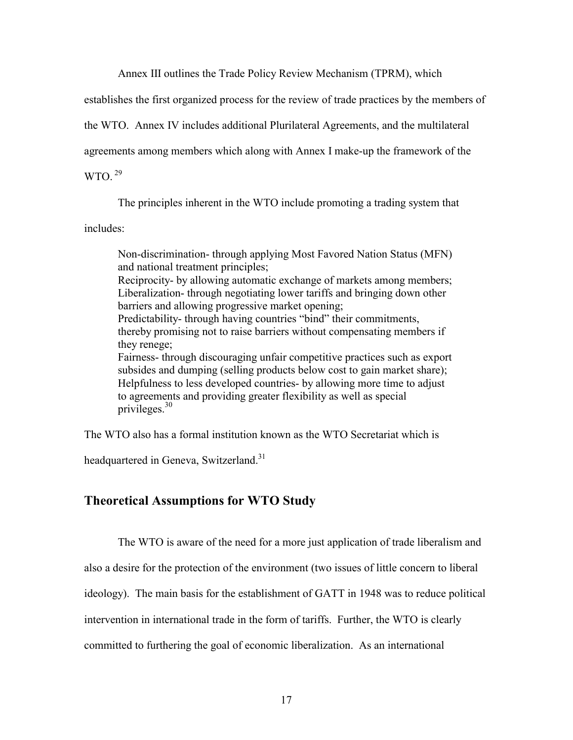Annex III outlines the Trade Policy Review Mechanism (TPRM), which

establishes the first organized process for the review of trade practices by the members of

the WTO. Annex IV includes additional Plurilateral Agreements, and the multilateral

agreements among members which along with Annex I make-up the framework of the

 $WTO.$ <sup>29</sup>

The principles inherent in the WTO include promoting a trading system that

includes:

Non-discrimination- through applying Most Favored Nation Status (MFN) and national treatment principles; Reciprocity- by allowing automatic exchange of markets among members; Liberalization- through negotiating lower tariffs and bringing down other barriers and allowing progressive market opening; Predictability- through having countries "bind" their commitments, thereby promising not to raise barriers without compensating members if they renege; Fairness- through discouraging unfair competitive practices such as export subsides and dumping (selling products below cost to gain market share); Helpfulness to less developed countries- by allowing more time to adjust to agreements and providing greater flexibility as well as special privileges.30

The WTO also has a formal institution known as the WTO Secretariat which is

headquartered in Geneva, Switzerland.<sup>31</sup>

### **Theoretical Assumptions for WTO Study**

The WTO is aware of the need for a more just application of trade liberalism and

also a desire for the protection of the environment (two issues of little concern to liberal

ideology). The main basis for the establishment of GATT in 1948 was to reduce political

intervention in international trade in the form of tariffs. Further, the WTO is clearly

committed to furthering the goal of economic liberalization. As an international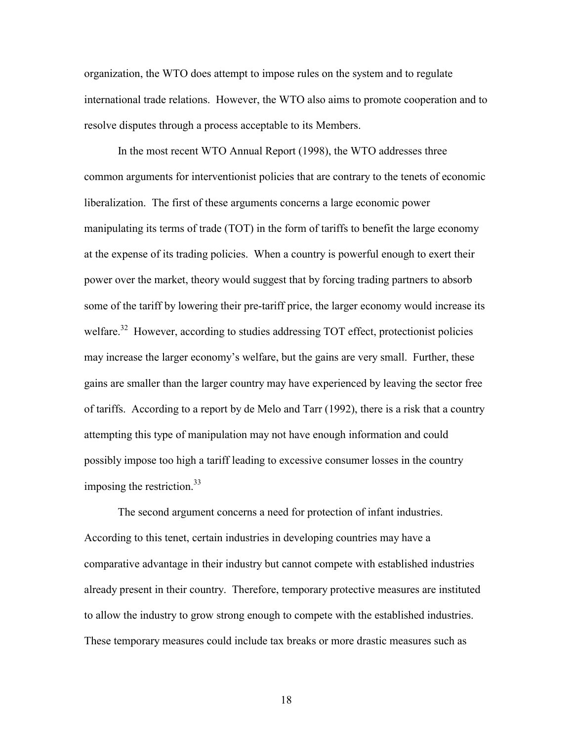organization, the WTO does attempt to impose rules on the system and to regulate international trade relations. However, the WTO also aims to promote cooperation and to resolve disputes through a process acceptable to its Members.

 In the most recent WTO Annual Report (1998), the WTO addresses three common arguments for interventionist policies that are contrary to the tenets of economic liberalization. The first of these arguments concerns a large economic power manipulating its terms of trade (TOT) in the form of tariffs to benefit the large economy at the expense of its trading policies. When a country is powerful enough to exert their power over the market, theory would suggest that by forcing trading partners to absorb some of the tariff by lowering their pre-tariff price, the larger economy would increase its welfare.<sup>32</sup> However, according to studies addressing TOT effect, protectionist policies may increase the larger economy's welfare, but the gains are very small. Further, these gains are smaller than the larger country may have experienced by leaving the sector free of tariffs. According to a report by de Melo and Tarr (1992), there is a risk that a country attempting this type of manipulation may not have enough information and could possibly impose too high a tariff leading to excessive consumer losses in the country imposing the restriction. $33$ 

 The second argument concerns a need for protection of infant industries. According to this tenet, certain industries in developing countries may have a comparative advantage in their industry but cannot compete with established industries already present in their country. Therefore, temporary protective measures are instituted to allow the industry to grow strong enough to compete with the established industries. These temporary measures could include tax breaks or more drastic measures such as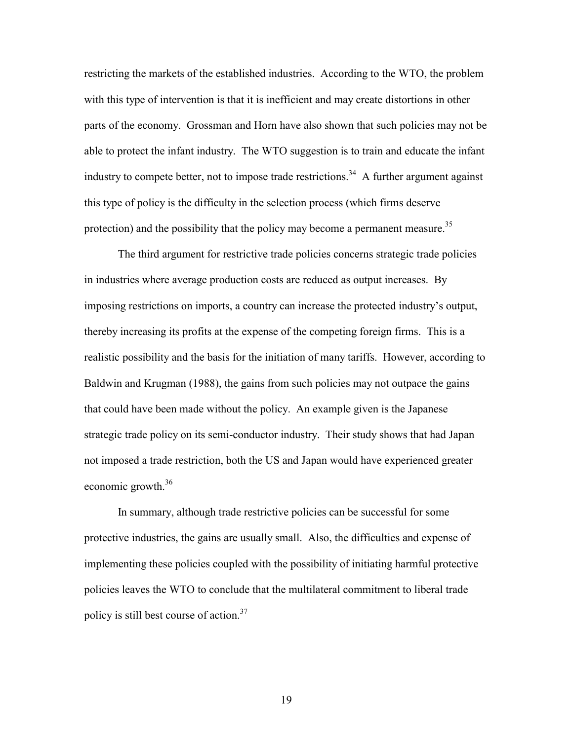restricting the markets of the established industries. According to the WTO, the problem with this type of intervention is that it is inefficient and may create distortions in other parts of the economy. Grossman and Horn have also shown that such policies may not be able to protect the infant industry. The WTO suggestion is to train and educate the infant industry to compete better, not to impose trade restrictions.<sup>34</sup> A further argument against this type of policy is the difficulty in the selection process (which firms deserve protection) and the possibility that the policy may become a permanent measure.<sup>35</sup>

 The third argument for restrictive trade policies concerns strategic trade policies in industries where average production costs are reduced as output increases. By imposing restrictions on imports, a country can increase the protected industry's output, thereby increasing its profits at the expense of the competing foreign firms. This is a realistic possibility and the basis for the initiation of many tariffs. However, according to Baldwin and Krugman (1988), the gains from such policies may not outpace the gains that could have been made without the policy. An example given is the Japanese strategic trade policy on its semi-conductor industry. Their study shows that had Japan not imposed a trade restriction, both the US and Japan would have experienced greater economic growth.<sup>36</sup>

In summary, although trade restrictive policies can be successful for some protective industries, the gains are usually small. Also, the difficulties and expense of implementing these policies coupled with the possibility of initiating harmful protective policies leaves the WTO to conclude that the multilateral commitment to liberal trade policy is still best course of action.<sup>37</sup>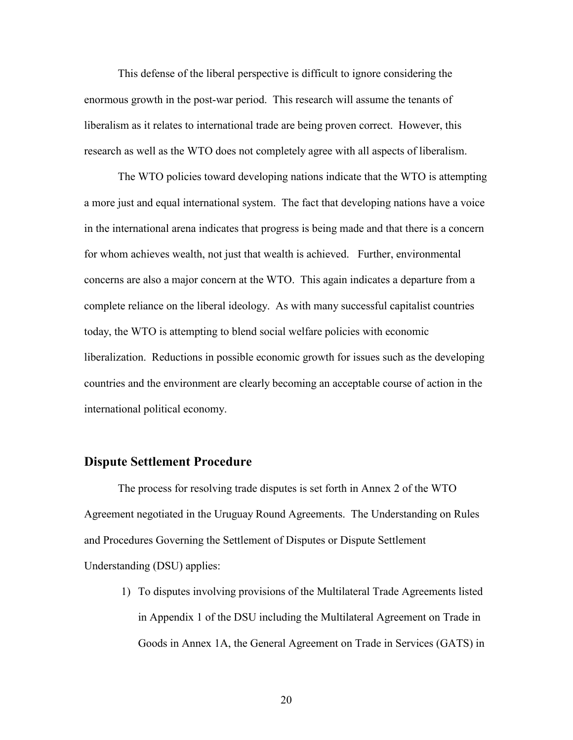This defense of the liberal perspective is difficult to ignore considering the enormous growth in the post-war period. This research will assume the tenants of liberalism as it relates to international trade are being proven correct. However, this research as well as the WTO does not completely agree with all aspects of liberalism.

The WTO policies toward developing nations indicate that the WTO is attempting a more just and equal international system. The fact that developing nations have a voice in the international arena indicates that progress is being made and that there is a concern for whom achieves wealth, not just that wealth is achieved. Further, environmental concerns are also a major concern at the WTO. This again indicates a departure from a complete reliance on the liberal ideology. As with many successful capitalist countries today, the WTO is attempting to blend social welfare policies with economic liberalization. Reductions in possible economic growth for issues such as the developing countries and the environment are clearly becoming an acceptable course of action in the international political economy.

### **Dispute Settlement Procedure**

 The process for resolving trade disputes is set forth in Annex 2 of the WTO Agreement negotiated in the Uruguay Round Agreements. The Understanding on Rules and Procedures Governing the Settlement of Disputes or Dispute Settlement Understanding (DSU) applies:

1) To disputes involving provisions of the Multilateral Trade Agreements listed in Appendix 1 of the DSU including the Multilateral Agreement on Trade in Goods in Annex 1A, the General Agreement on Trade in Services (GATS) in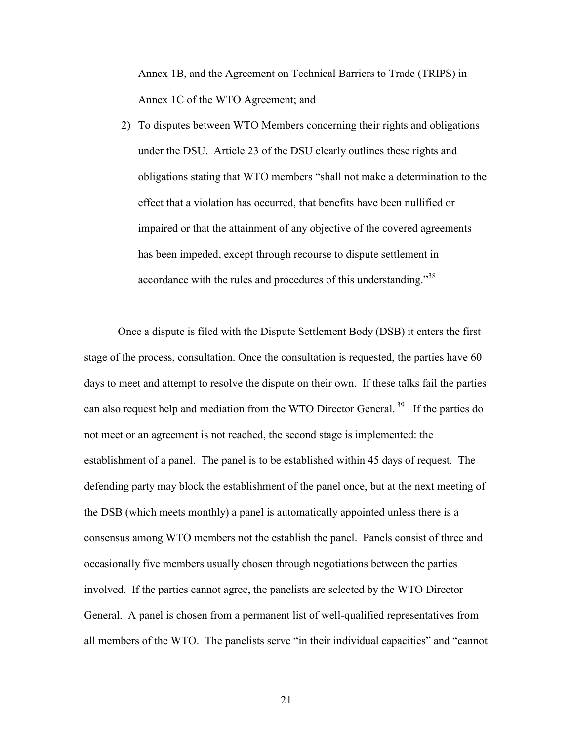Annex 1B, and the Agreement on Technical Barriers to Trade (TRIPS) in Annex 1C of the WTO Agreement; and

2) To disputes between WTO Members concerning their rights and obligations under the DSU. Article 23 of the DSU clearly outlines these rights and obligations stating that WTO members "shall not make a determination to the effect that a violation has occurred, that benefits have been nullified or impaired or that the attainment of any objective of the covered agreements has been impeded, except through recourse to dispute settlement in accordance with the rules and procedures of this understanding.<sup>338</sup>

Once a dispute is filed with the Dispute Settlement Body (DSB) it enters the first stage of the process, consultation. Once the consultation is requested, the parties have 60 days to meet and attempt to resolve the dispute on their own. If these talks fail the parties can also request help and mediation from the WTO Director General. 39 If the parties do not meet or an agreement is not reached, the second stage is implemented: the establishment of a panel. The panel is to be established within 45 days of request. The defending party may block the establishment of the panel once, but at the next meeting of the DSB (which meets monthly) a panel is automatically appointed unless there is a consensus among WTO members not the establish the panel. Panels consist of three and occasionally five members usually chosen through negotiations between the parties involved. If the parties cannot agree, the panelists are selected by the WTO Director General. A panel is chosen from a permanent list of well-qualified representatives from all members of the WTO. The panelists serve "in their individual capacities" and "cannot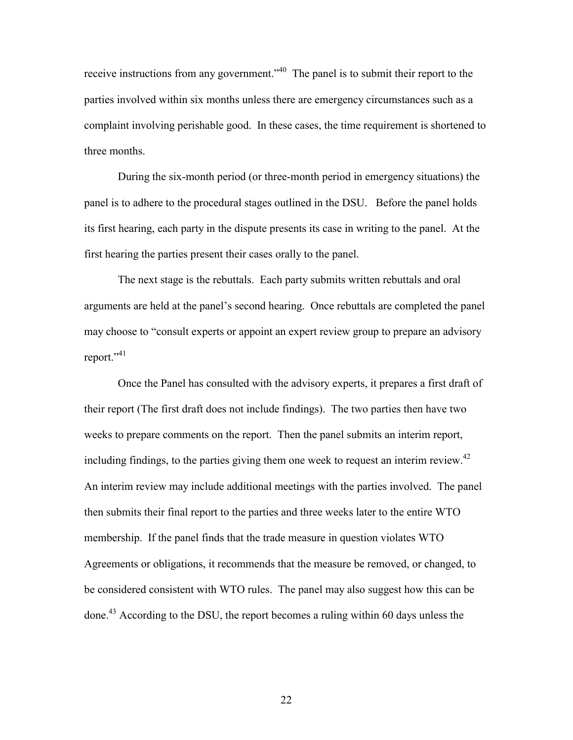receive instructions from any government.<sup> $40$ </sup> The panel is to submit their report to the parties involved within six months unless there are emergency circumstances such as a complaint involving perishable good. In these cases, the time requirement is shortened to three months.

During the six-month period (or three-month period in emergency situations) the panel is to adhere to the procedural stages outlined in the DSU. Before the panel holds its first hearing, each party in the dispute presents its case in writing to the panel. At the first hearing the parties present their cases orally to the panel.

The next stage is the rebuttals. Each party submits written rebuttals and oral arguments are held at the panel's second hearing. Once rebuttals are completed the panel may choose to "consult experts or appoint an expert review group to prepare an advisory report. $1,41$ 

Once the Panel has consulted with the advisory experts, it prepares a first draft of their report (The first draft does not include findings). The two parties then have two weeks to prepare comments on the report. Then the panel submits an interim report, including findings, to the parties giving them one week to request an interim review. $42$ An interim review may include additional meetings with the parties involved. The panel then submits their final report to the parties and three weeks later to the entire WTO membership. If the panel finds that the trade measure in question violates WTO Agreements or obligations, it recommends that the measure be removed, or changed, to be considered consistent with WTO rules. The panel may also suggest how this can be done.43 According to the DSU, the report becomes a ruling within 60 days unless the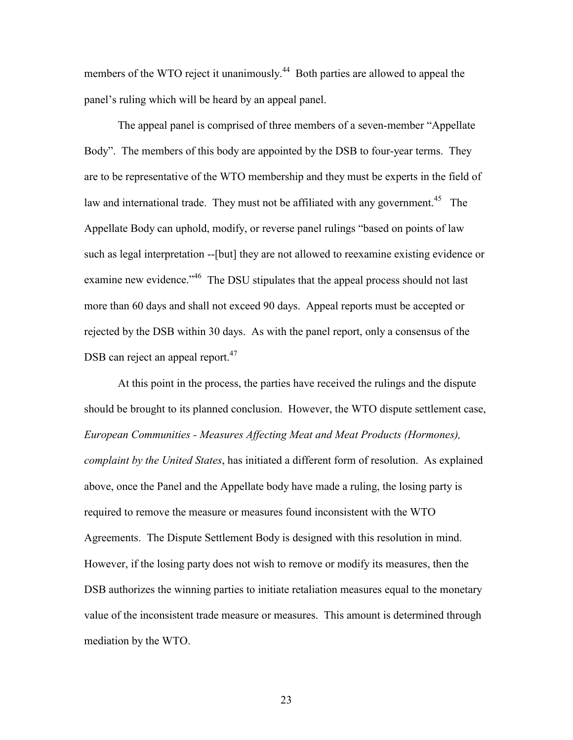members of the WTO reject it unanimously.<sup>44</sup> Both parties are allowed to appeal the panel's ruling which will be heard by an appeal panel.

The appeal panel is comprised of three members of a seven-member "Appellate" Body". The members of this body are appointed by the DSB to four-year terms. They are to be representative of the WTO membership and they must be experts in the field of law and international trade. They must not be affiliated with any government.<sup>45</sup> The Appellate Body can uphold, modify, or reverse panel rulings "based on points of law such as legal interpretation --[but] they are not allowed to reexamine existing evidence or examine new evidence.<sup> $146$ </sup> The DSU stipulates that the appeal process should not last more than 60 days and shall not exceed 90 days. Appeal reports must be accepted or rejected by the DSB within 30 days. As with the panel report, only a consensus of the DSB can reject an appeal report.<sup>47</sup>

At this point in the process, the parties have received the rulings and the dispute should be brought to its planned conclusion. However, the WTO dispute settlement case, *European Communities - Measures Affecting Meat and Meat Products (Hormones), complaint by the United States*, has initiated a different form of resolution. As explained above, once the Panel and the Appellate body have made a ruling, the losing party is required to remove the measure or measures found inconsistent with the WTO Agreements. The Dispute Settlement Body is designed with this resolution in mind. However, if the losing party does not wish to remove or modify its measures, then the DSB authorizes the winning parties to initiate retaliation measures equal to the monetary value of the inconsistent trade measure or measures. This amount is determined through mediation by the WTO.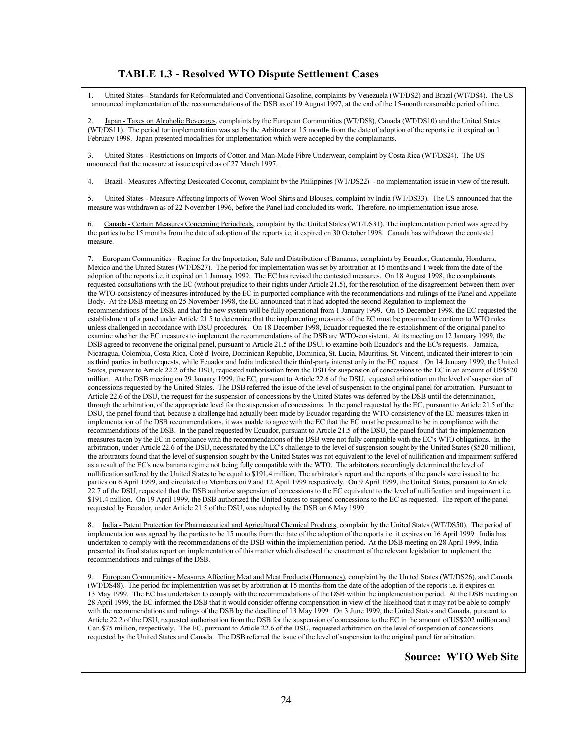### **TABLE 1.3 - Resolved WTO Dispute Settlement Cases**

1. United States - Standards for Reformulated and Conventional Gasoline, complaints by Venezuela (WT/DS2) and Brazil (WT/DS4). The US announced implementation of the recommendations of the DSB as of 19 August 1997, at the end of the 15-month reasonable period of time.

2. Japan - Taxes on Alcoholic Beverages, complaints by the European Communities (WT/DS8), Canada (WT/DS10) and the United States (WT/DS11). The period for implementation was set by the Arbitrator at 15 months from the date of adoption of the reports i.e. it expired on 1 February 1998. Japan presented modalities for implementation which were accepted by the complainants.

3. United States - Restrictions on Imports of Cotton and Man-Made Fibre Underwear, complaint by Costa Rica (WT/DS24). The US announced that the measure at issue expired as of 27 March 1997.

4. Brazil - Measures Affecting Desiccated Coconut, complaint by the Philippines (WT/DS22) - no implementation issue in view of the result.

5. United States - Measure Affecting Imports of Woven Wool Shirts and Blouses, complaint by India (WT/DS33). The US announced that the measure was withdrawn as of 22 November 1996, before the Panel had concluded its work. Therefore, no implementation issue arose.

6. Canada - Certain Measures Concerning Periodicals, complaint by the United States (WT/DS31). The implementation period was agreed by the parties to be 15 months from the date of adoption of the reports i.e. it expired on 30 October 1998. Canada has withdrawn the contested measure.

7. European Communities - Regime for the Importation, Sale and Distribution of Bananas, complaints by Ecuador, Guatemala, Honduras, Mexico and the United States (WT/DS27). The period for implementation was set by arbitration at 15 months and 1 week from the date of the adoption of the reports i.e. it expired on 1 January 1999. The EC has revised the contested measures. On 18 August 1998, the complainants requested consultations with the EC (without prejudice to their rights under Article 21.5), for the resolution of the disagreement between them over the WTO-consistency of measures introduced by the EC in purported compliance with the recommendations and rulings of the Panel and Appellate Body. At the DSB meeting on 25 November 1998, the EC announced that it had adopted the second Regulation to implement the recommendations of the DSB, and that the new system will be fully operational from 1 January 1999. On 15 December 1998, the EC requested the establishment of a panel under Article 21.5 to determine that the implementing measures of the EC must be presumed to conform to WTO rules unless challenged in accordance with DSU procedures. On 18 December 1998, Ecuador requested the re-establishment of the original panel to examine whether the EC measures to implement the recommendations of the DSB are WTO-consistent. At its meeting on 12 January 1999, the DSB agreed to reconvene the original panel, pursuant to Article 21.5 of the DSU, to examine both Ecuador's and the EC's requests. Jamaica, Nicaragua, Colombia, Costa Rica, CotÈ d' Ivoire, Dominican Republic, Dominica, St. Lucia, Mauritius, St. Vincent, indicated their interest to join as third parties in both requests, while Ecuador and India indicated their third-party interest only in the EC request. On 14 January 1999, the United States, pursuant to Article 22.2 of the DSU, requested authorisation from the DSB for suspension of concessions to the EC in an amount of US\$520 million. At the DSB meeting on 29 January 1999, the EC, pursuant to Article 22.6 of the DSU, requested arbitration on the level of suspension of concessions requested by the United States. The DSB referred the issue of the level of suspension to the original panel for arbitration. Pursuant to Article 22.6 of the DSU, the request for the suspension of concessions by the United States was deferred by the DSB until the determination, through the arbitration, of the appropriate level for the suspension of concessions. In the panel requested by the EC, pursuant to Article 21.5 of the DSU, the panel found that, because a challenge had actually been made by Ecuador regarding the WTO-consistency of the EC measures taken in implementation of the DSB recommendations, it was unable to agree with the EC that the EC must be presumed to be in compliance with the recommendations of the DSB. In the panel requested by Ecuador, pursuant to Article 21.5 of the DSU, the panel found that the implementation measures taken by the EC in compliance with the recommendations of the DSB were not fully compatible with the EC's WTO obligations. In the arbitration, under Article 22.6 of the DSU, necessitated by the EC's challenge to the level of suspension sought by the United States (\$520 million), the arbitrators found that the level of suspension sought by the United States was not equivalent to the level of nullification and impairment suffered as a result of the EC's new banana regime not being fully compatible with the WTO. The arbitrators accordingly determined the level of nullification suffered by the United States to be equal to \$191.4 million. The arbitrator's report and the reports of the panels were issued to the parties on 6 April 1999, and circulated to Members on 9 and 12 April 1999 respectively. On 9 April 1999, the United States, pursuant to Article 22.7 of the DSU, requested that the DSB authorize suspension of concessions to the EC equivalent to the level of nullification and impairment i.e. \$191.4 million. On 19 April 1999, the DSB authorized the United States to suspend concessions to the EC as requested. The report of the panel requested by Ecuador, under Article 21.5 of the DSU, was adopted by the DSB on 6 May 1999.

8. India - Patent Protection for Pharmaceutical and Agricultural Chemical Products, complaint by the United States (WT/DS50). The period of implementation was agreed by the parties to be 15 months from the date of the adoption of the reports i.e. it expires on 16 April 1999. India has undertaken to comply with the recommendations of the DSB within the implementation period. At the DSB meeting on 28 April 1999, India presented its final status report on implementation of this matter which disclosed the enactment of the relevant legislation to implement the recommendations and rulings of the DSB.

9. European Communities - Measures Affecting Meat and Meat Products (Hormones), complaint by the United States (WT/DS26), and Canada (WT/DS48). The period for implementation was set by arbitration at 15 months from the date of the adoption of the reports i.e. it expires on 13 May 1999. The EC has undertaken to comply with the recommendations of the DSB within the implementation period. At the DSB meeting on 28 April 1999, the EC informed the DSB that it would consider offering compensation in view of the likelihood that it may not be able to comply with the recommendations and rulings of the DSB by the deadline of 13 May 1999. On 3 June 1999, the United States and Canada, pursuant to Article 22.2 of the DSU, requested authorisation from the DSB for the suspension of concessions to the EC in the amount of US\$202 million and Can.\$75 million, respectively. The EC, pursuant to Article 22.6 of the DSU, requested arbitration on the level of suspension of concessions requested by the United States and Canada. The DSB referred the issue of the level of suspension to the original panel for arbitration.

**Source: WTO Web Site**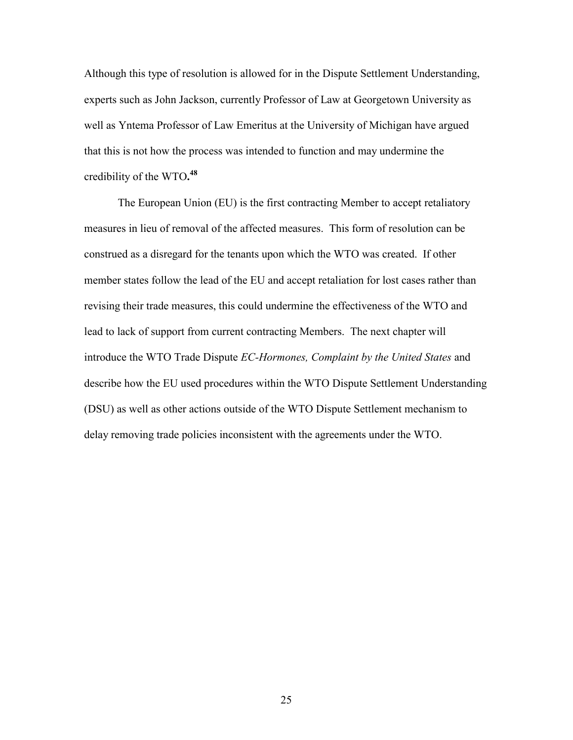Although this type of resolution is allowed for in the Dispute Settlement Understanding, experts such as John Jackson, currently Professor of Law at Georgetown University as well as Yntema Professor of Law Emeritus at the University of Michigan have argued that this is not how the process was intended to function and may undermine the credibility of the WTO**. 48**

The European Union (EU) is the first contracting Member to accept retaliatory measures in lieu of removal of the affected measures. This form of resolution can be construed as a disregard for the tenants upon which the WTO was created. If other member states follow the lead of the EU and accept retaliation for lost cases rather than revising their trade measures, this could undermine the effectiveness of the WTO and lead to lack of support from current contracting Members. The next chapter will introduce the WTO Trade Dispute *EC-Hormones, Complaint by the United States* and describe how the EU used procedures within the WTO Dispute Settlement Understanding (DSU) as well as other actions outside of the WTO Dispute Settlement mechanism to delay removing trade policies inconsistent with the agreements under the WTO.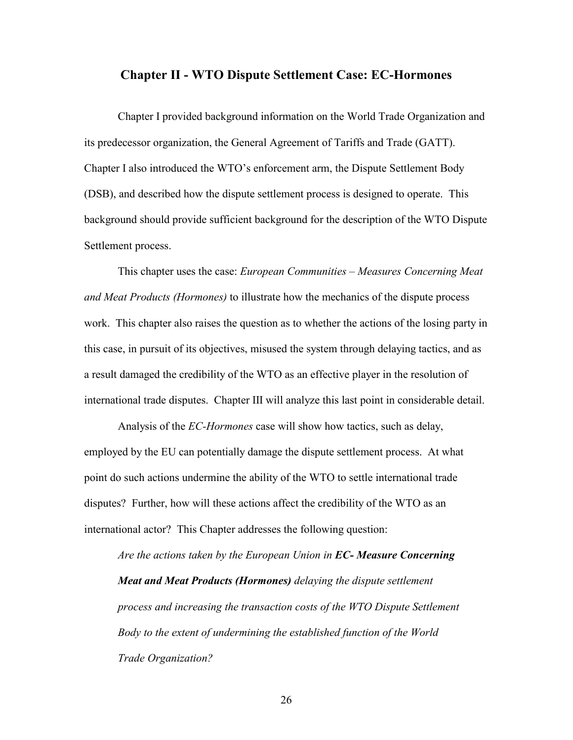### **Chapter II - WTO Dispute Settlement Case: EC-Hormones**

Chapter I provided background information on the World Trade Organization and its predecessor organization, the General Agreement of Tariffs and Trade (GATT). Chapter I also introduced the WTO's enforcement arm, the Dispute Settlement Body (DSB), and described how the dispute settlement process is designed to operate. This background should provide sufficient background for the description of the WTO Dispute Settlement process.

This chapter uses the case: *European Communities – Measures Concerning Meat and Meat Products (Hormones)* to illustrate how the mechanics of the dispute process work. This chapter also raises the question as to whether the actions of the losing party in this case, in pursuit of its objectives, misused the system through delaying tactics, and as a result damaged the credibility of the WTO as an effective player in the resolution of international trade disputes. Chapter III will analyze this last point in considerable detail.

Analysis of the *EC-Hormones* case will show how tactics, such as delay, employed by the EU can potentially damage the dispute settlement process. At what point do such actions undermine the ability of the WTO to settle international trade disputes? Further, how will these actions affect the credibility of the WTO as an international actor? This Chapter addresses the following question:

*Are the actions taken by the European Union in EC- Measure Concerning Meat and Meat Products (Hormones) delaying the dispute settlement process and increasing the transaction costs of the WTO Dispute Settlement Body to the extent of undermining the established function of the World Trade Organization?*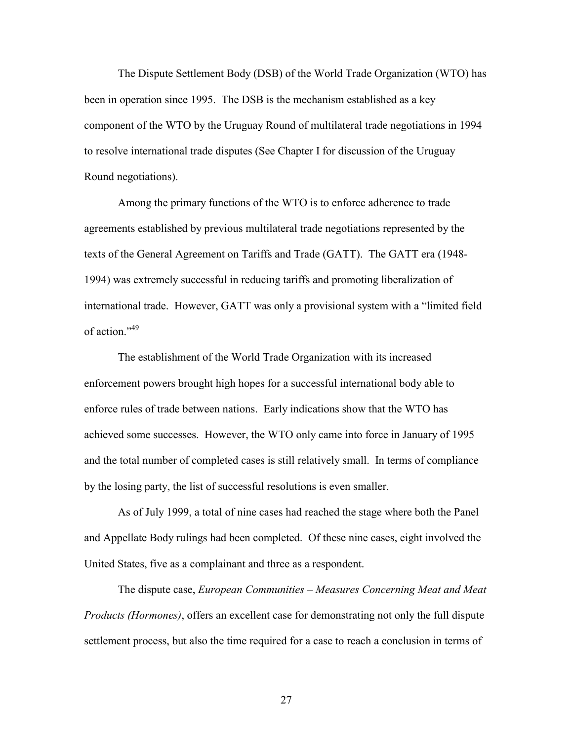The Dispute Settlement Body (DSB) of the World Trade Organization (WTO) has been in operation since 1995. The DSB is the mechanism established as a key component of the WTO by the Uruguay Round of multilateral trade negotiations in 1994 to resolve international trade disputes (See Chapter I for discussion of the Uruguay Round negotiations).

Among the primary functions of the WTO is to enforce adherence to trade agreements established by previous multilateral trade negotiations represented by the texts of the General Agreement on Tariffs and Trade (GATT). The GATT era (1948- 1994) was extremely successful in reducing tariffs and promoting liberalization of international trade. However, GATT was only a provisional system with a "limited field of action."<sup>49</sup>

The establishment of the World Trade Organization with its increased enforcement powers brought high hopes for a successful international body able to enforce rules of trade between nations. Early indications show that the WTO has achieved some successes. However, the WTO only came into force in January of 1995 and the total number of completed cases is still relatively small. In terms of compliance by the losing party, the list of successful resolutions is even smaller.

As of July 1999, a total of nine cases had reached the stage where both the Panel and Appellate Body rulings had been completed. Of these nine cases, eight involved the United States, five as a complainant and three as a respondent.

The dispute case, *European Communities – Measures Concerning Meat and Meat Products (Hormones)*, offers an excellent case for demonstrating not only the full dispute settlement process, but also the time required for a case to reach a conclusion in terms of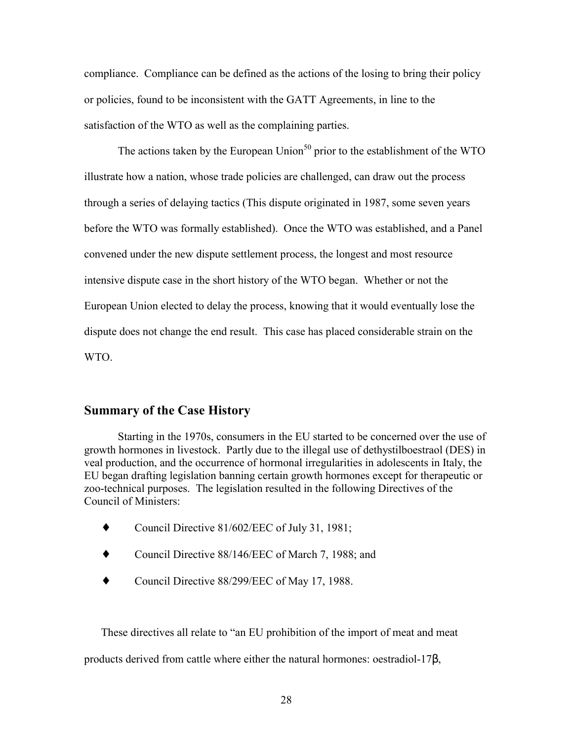compliance. Compliance can be defined as the actions of the losing to bring their policy or policies, found to be inconsistent with the GATT Agreements, in line to the satisfaction of the WTO as well as the complaining parties.

The actions taken by the European Union<sup>50</sup> prior to the establishment of the WTO illustrate how a nation, whose trade policies are challenged, can draw out the process through a series of delaying tactics (This dispute originated in 1987, some seven years before the WTO was formally established). Once the WTO was established, and a Panel convened under the new dispute settlement process, the longest and most resource intensive dispute case in the short history of the WTO began. Whether or not the European Union elected to delay the process, knowing that it would eventually lose the dispute does not change the end result. This case has placed considerable strain on the WTO.

### **Summary of the Case History**

Starting in the 1970s, consumers in the EU started to be concerned over the use of growth hormones in livestock. Partly due to the illegal use of dethystilboestraol (DES) in veal production, and the occurrence of hormonal irregularities in adolescents in Italy, the EU began drafting legislation banning certain growth hormones except for therapeutic or zoo-technical purposes. The legislation resulted in the following Directives of the Council of Ministers:

- ♦ Council Directive 81/602/EEC of July 31, 1981;
- ♦ Council Directive 88/146/EEC of March 7, 1988; and
- ♦ Council Directive 88/299/EEC of May 17, 1988.

These directives all relate to "an EU prohibition of the import of meat and meat

products derived from cattle where either the natural hormones: oestradiol-17β,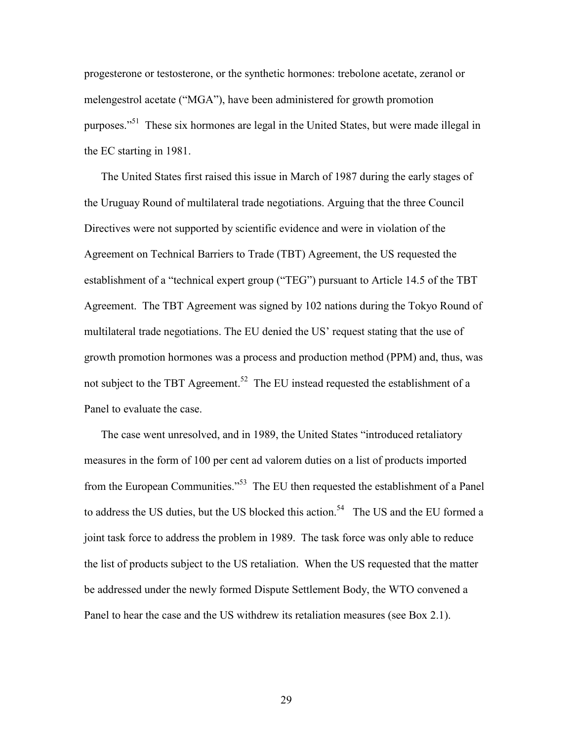progesterone or testosterone, or the synthetic hormones: trebolone acetate, zeranol or melengestrol acetate ("MGA"), have been administered for growth promotion purposes.<sup> $51$ </sup> These six hormones are legal in the United States, but were made illegal in the EC starting in 1981.

The United States first raised this issue in March of 1987 during the early stages of the Uruguay Round of multilateral trade negotiations. Arguing that the three Council Directives were not supported by scientific evidence and were in violation of the Agreement on Technical Barriers to Trade (TBT) Agreement, the US requested the establishment of a "technical expert group ("TEG") pursuant to Article 14.5 of the TBT Agreement. The TBT Agreement was signed by 102 nations during the Tokyo Round of multilateral trade negotiations. The EU denied the US' request stating that the use of growth promotion hormones was a process and production method (PPM) and, thus, was not subject to the TBT Agreement.<sup>52</sup> The EU instead requested the establishment of a Panel to evaluate the case.

The case went unresolved, and in 1989, the United States "introduced retaliatory measures in the form of 100 per cent ad valorem duties on a list of products imported from the European Communities.<sup> $553$ </sup> The EU then requested the establishment of a Panel to address the US duties, but the US blocked this action.<sup>54</sup> The US and the EU formed a joint task force to address the problem in 1989. The task force was only able to reduce the list of products subject to the US retaliation. When the US requested that the matter be addressed under the newly formed Dispute Settlement Body, the WTO convened a Panel to hear the case and the US withdrew its retaliation measures (see Box 2.1).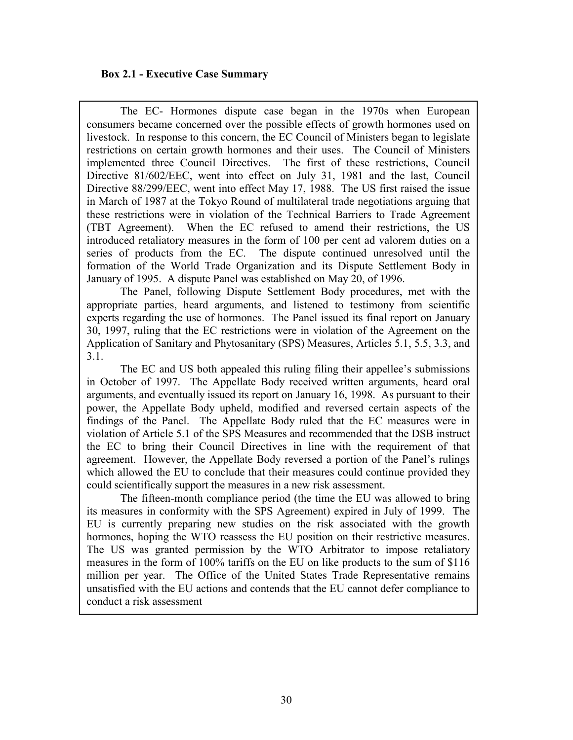### **Box 2.1 - Executive Case Summary**

 The EC- Hormones dispute case began in the 1970s when European consumers became concerned over the possible effects of growth hormones used on livestock. In response to this concern, the EC Council of Ministers began to legislate restrictions on certain growth hormones and their uses. The Council of Ministers implemented three Council Directives. The first of these restrictions, Council Directive 81/602/EEC, went into effect on July 31, 1981 and the last, Council Directive 88/299/EEC, went into effect May 17, 1988. The US first raised the issue in March of 1987 at the Tokyo Round of multilateral trade negotiations arguing that these restrictions were in violation of the Technical Barriers to Trade Agreement (TBT Agreement). When the EC refused to amend their restrictions, the US introduced retaliatory measures in the form of 100 per cent ad valorem duties on a series of products from the EC. The dispute continued unresolved until the formation of the World Trade Organization and its Dispute Settlement Body in January of 1995. A dispute Panel was established on May 20, of 1996.

The Panel, following Dispute Settlement Body procedures, met with the appropriate parties, heard arguments, and listened to testimony from scientific experts regarding the use of hormones. The Panel issued its final report on January 30, 1997, ruling that the EC restrictions were in violation of the Agreement on the Application of Sanitary and Phytosanitary (SPS) Measures, Articles 5.1, 5.5, 3.3, and 3.1.

The EC and US both appealed this ruling filing their appellee's submissions in October of 1997. The Appellate Body received written arguments, heard oral arguments, and eventually issued its report on January 16, 1998. As pursuant to their power, the Appellate Body upheld, modified and reversed certain aspects of the findings of the Panel. The Appellate Body ruled that the EC measures were in violation of Article 5.1 of the SPS Measures and recommended that the DSB instruct the EC to bring their Council Directives in line with the requirement of that agreement. However, the Appellate Body reversed a portion of the Panel's rulings which allowed the EU to conclude that their measures could continue provided they could scientifically support the measures in a new risk assessment.

The fifteen-month compliance period (the time the EU was allowed to bring its measures in conformity with the SPS Agreement) expired in July of 1999. The EU is currently preparing new studies on the risk associated with the growth hormones, hoping the WTO reassess the EU position on their restrictive measures. The US was granted permission by the WTO Arbitrator to impose retaliatory measures in the form of 100% tariffs on the EU on like products to the sum of \$116 million per year. The Office of the United States Trade Representative remains unsatisfied with the EU actions and contends that the EU cannot defer compliance to conduct a risk assessment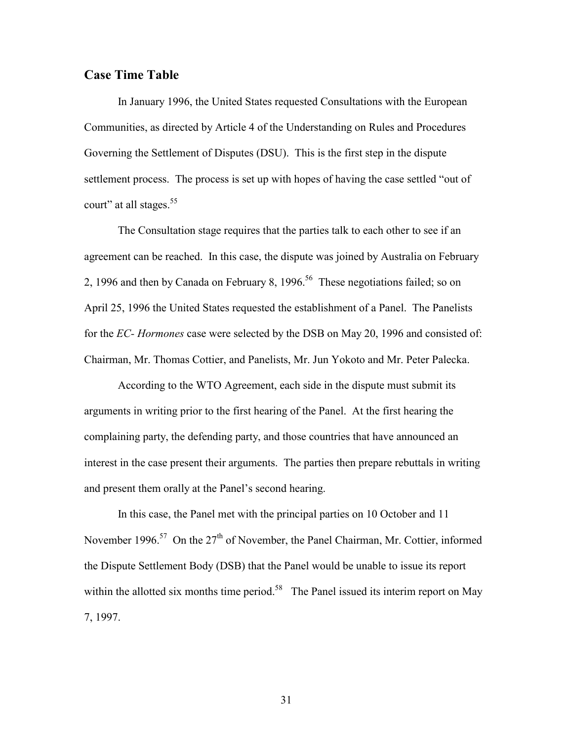### **Case Time Table**

 In January 1996, the United States requested Consultations with the European Communities, as directed by Article 4 of the Understanding on Rules and Procedures Governing the Settlement of Disputes (DSU). This is the first step in the dispute settlement process. The process is set up with hopes of having the case settled "out of court" at all stages. $55$ 

The Consultation stage requires that the parties talk to each other to see if an agreement can be reached. In this case, the dispute was joined by Australia on February 2, 1996 and then by Canada on February 8, 1996.<sup>56</sup> These negotiations failed; so on April 25, 1996 the United States requested the establishment of a Panel. The Panelists for the *EC- Hormones* case were selected by the DSB on May 20, 1996 and consisted of: Chairman, Mr. Thomas Cottier, and Panelists, Mr. Jun Yokoto and Mr. Peter Palecka.

According to the WTO Agreement, each side in the dispute must submit its arguments in writing prior to the first hearing of the Panel. At the first hearing the complaining party, the defending party, and those countries that have announced an interest in the case present their arguments. The parties then prepare rebuttals in writing and present them orally at the Panel's second hearing.

In this case, the Panel met with the principal parties on 10 October and 11 November 1996.<sup>57</sup> On the  $27<sup>th</sup>$  of November, the Panel Chairman, Mr. Cottier, informed the Dispute Settlement Body (DSB) that the Panel would be unable to issue its report within the allotted six months time period.<sup>58</sup> The Panel issued its interim report on May 7, 1997.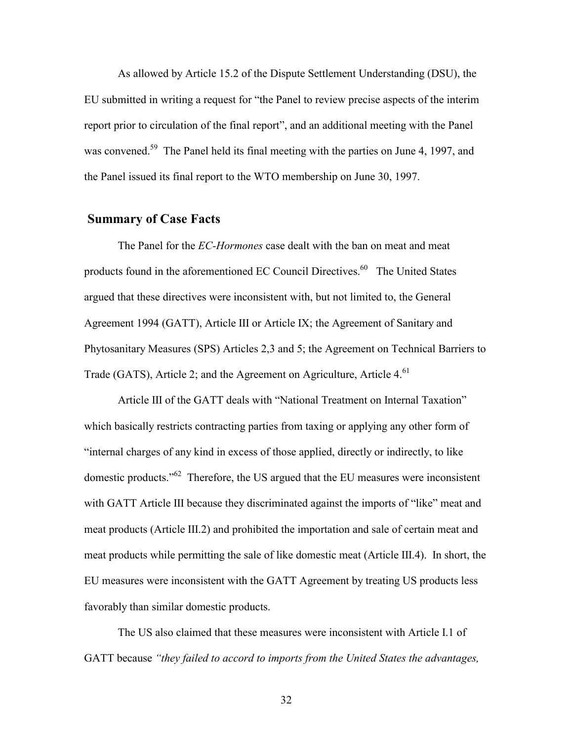As allowed by Article 15.2 of the Dispute Settlement Understanding (DSU), the EU submitted in writing a request for "the Panel to review precise aspects of the interim report prior to circulation of the final report", and an additional meeting with the Panel was convened.<sup>59</sup> The Panel held its final meeting with the parties on June 4, 1997, and the Panel issued its final report to the WTO membership on June 30, 1997.

### **Summary of Case Facts**

The Panel for the *EC-Hormones* case dealt with the ban on meat and meat products found in the aforementioned EC Council Directives.<sup>60</sup> The United States argued that these directives were inconsistent with, but not limited to, the General Agreement 1994 (GATT), Article III or Article IX; the Agreement of Sanitary and Phytosanitary Measures (SPS) Articles 2,3 and 5; the Agreement on Technical Barriers to Trade (GATS), Article 2; and the Agreement on Agriculture, Article 4.<sup>61</sup>

Article III of the GATT deals with "National Treatment on Internal Taxation" which basically restricts contracting parties from taxing or applying any other form of ìinternal charges of any kind in excess of those applied, directly or indirectly, to like domestic products.<sup> $562$ </sup> Therefore, the US argued that the EU measures were inconsistent with GATT Article III because they discriminated against the imports of "like" meat and meat products (Article III.2) and prohibited the importation and sale of certain meat and meat products while permitting the sale of like domestic meat (Article III.4). In short, the EU measures were inconsistent with the GATT Agreement by treating US products less favorably than similar domestic products.

The US also claimed that these measures were inconsistent with Article I.1 of GATT because *"they failed to accord to imports from the United States the advantages,*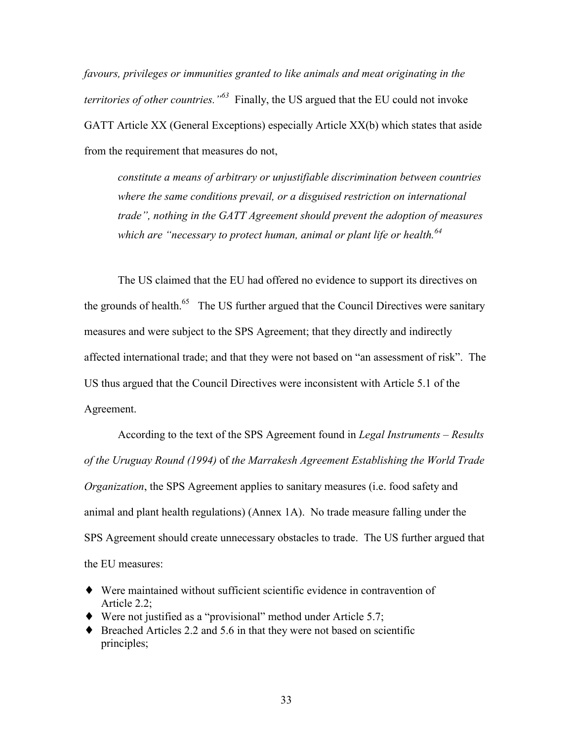*favours, privileges or immunities granted to like animals and meat originating in the territories of other countries.*<sup> $563$ </sup> Finally, the US argued that the EU could not invoke GATT Article XX (General Exceptions) especially Article XX(b) which states that aside from the requirement that measures do not,

*constitute a means of arbitrary or unjustifiable discrimination between countries where the same conditions prevail, or a disguised restriction on international trade*", nothing in the GATT Agreement should prevent the adoption of measures which are "necessary to protect human, animal or plant life or health.<sup>64</sup>

The US claimed that the EU had offered no evidence to support its directives on the grounds of health. $65$  The US further argued that the Council Directives were sanitary measures and were subject to the SPS Agreement; that they directly and indirectly affected international trade; and that they were not based on "an assessment of risk". The US thus argued that the Council Directives were inconsistent with Article 5.1 of the Agreement.

According to the text of the SPS Agreement found in *Legal Instruments – Results of the Uruguay Round (1994)* of *the Marrakesh Agreement Establishing the World Trade Organization*, the SPS Agreement applies to sanitary measures (i.e. food safety and animal and plant health regulations) (Annex 1A). No trade measure falling under the SPS Agreement should create unnecessary obstacles to trade. The US further argued that the EU measures:

- ♦ Were maintained without sufficient scientific evidence in contravention of Article 2.2;
- $\blacklozenge$  Were not justified as a "provisional" method under Article 5.7;
- $\triangleleft$  Breached Articles 2.2 and 5.6 in that they were not based on scientific principles;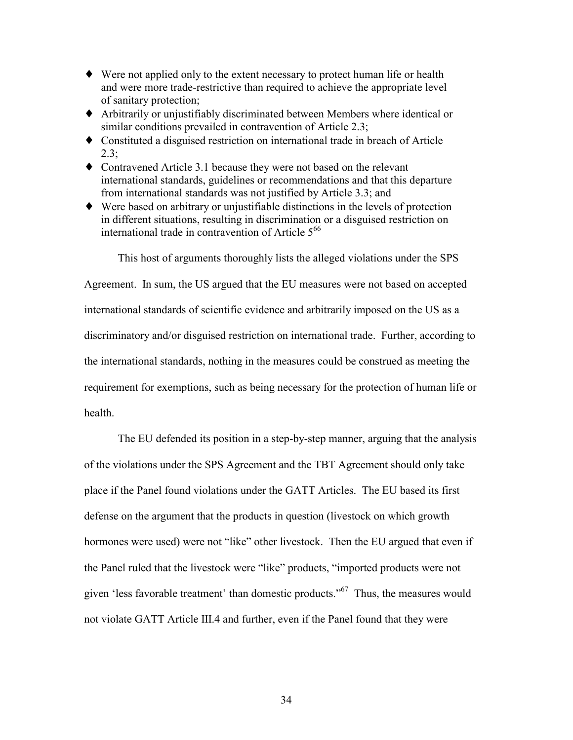- ♦ Were not applied only to the extent necessary to protect human life or health and were more trade-restrictive than required to achieve the appropriate level of sanitary protection;
- ♦ Arbitrarily or unjustifiably discriminated between Members where identical or similar conditions prevailed in contravention of Article 2.3;
- ♦ Constituted a disguised restriction on international trade in breach of Article 2.3;
- ♦ Contravened Article 3.1 because they were not based on the relevant international standards, guidelines or recommendations and that this departure from international standards was not justified by Article 3.3; and
- ♦ Were based on arbitrary or unjustifiable distinctions in the levels of protection in different situations, resulting in discrimination or a disguised restriction on international trade in contravention of Article  $5^{66}$

This host of arguments thoroughly lists the alleged violations under the SPS

Agreement. In sum, the US argued that the EU measures were not based on accepted international standards of scientific evidence and arbitrarily imposed on the US as a discriminatory and/or disguised restriction on international trade. Further, according to the international standards, nothing in the measures could be construed as meeting the requirement for exemptions, such as being necessary for the protection of human life or health.

The EU defended its position in a step-by-step manner, arguing that the analysis of the violations under the SPS Agreement and the TBT Agreement should only take place if the Panel found violations under the GATT Articles. The EU based its first defense on the argument that the products in question (livestock on which growth hormones were used) were not "like" other livestock. Then the EU argued that even if the Panel ruled that the livestock were "like" products, "imported products were not given 'less favorable treatment' than domestic products.<sup> $567$ </sup> Thus, the measures would not violate GATT Article III.4 and further, even if the Panel found that they were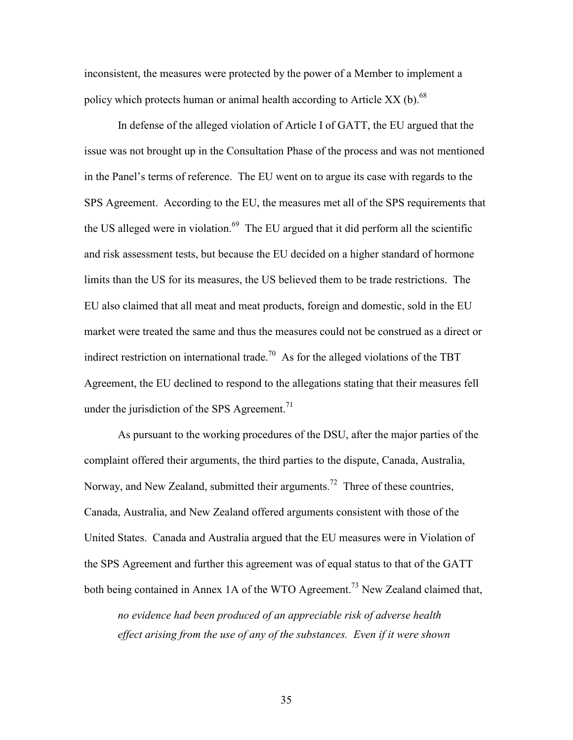inconsistent, the measures were protected by the power of a Member to implement a policy which protects human or animal health according to Article XX (b).<sup>68</sup>

In defense of the alleged violation of Article I of GATT, the EU argued that the issue was not brought up in the Consultation Phase of the process and was not mentioned in the Panel's terms of reference. The EU went on to argue its case with regards to the SPS Agreement. According to the EU, the measures met all of the SPS requirements that the US alleged were in violation.<sup>69</sup> The EU argued that it did perform all the scientific and risk assessment tests, but because the EU decided on a higher standard of hormone limits than the US for its measures, the US believed them to be trade restrictions. The EU also claimed that all meat and meat products, foreign and domestic, sold in the EU market were treated the same and thus the measures could not be construed as a direct or indirect restriction on international trade.<sup>70</sup> As for the alleged violations of the TBT Agreement, the EU declined to respond to the allegations stating that their measures fell under the jurisdiction of the SPS Agreement.<sup>71</sup>

As pursuant to the working procedures of the DSU, after the major parties of the complaint offered their arguments, the third parties to the dispute, Canada, Australia, Norway, and New Zealand, submitted their arguments.<sup>72</sup> Three of these countries, Canada, Australia, and New Zealand offered arguments consistent with those of the United States. Canada and Australia argued that the EU measures were in Violation of the SPS Agreement and further this agreement was of equal status to that of the GATT both being contained in Annex 1A of the WTO Agreement.<sup>73</sup> New Zealand claimed that,

*no evidence had been produced of an appreciable risk of adverse health effect arising from the use of any of the substances. Even if it were shown*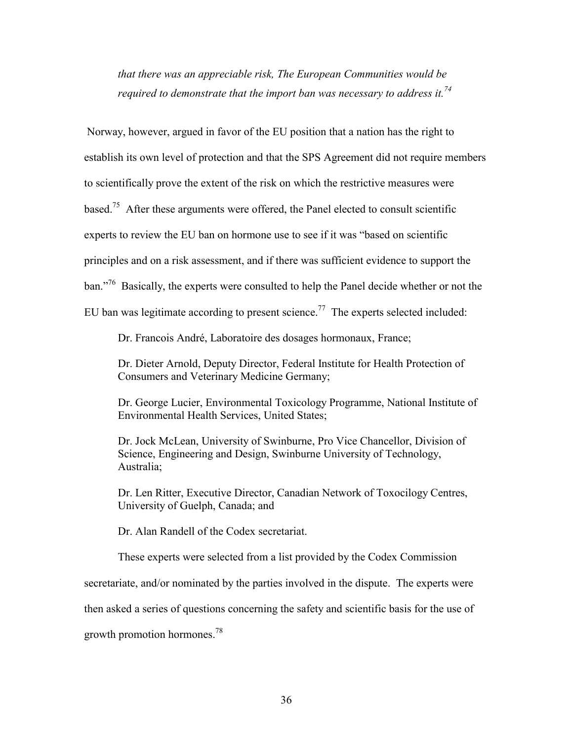*that there was an appreciable risk, The European Communities would be required to demonstrate that the import ban was necessary to address it.<sup>74</sup>*

 Norway, however, argued in favor of the EU position that a nation has the right to establish its own level of protection and that the SPS Agreement did not require members to scientifically prove the extent of the risk on which the restrictive measures were based.75 After these arguments were offered, the Panel elected to consult scientific experts to review the EU ban on hormone use to see if it was "based on scientific principles and on a risk assessment, and if there was sufficient evidence to support the ban.<sup>76</sup> Basically, the experts were consulted to help the Panel decide whether or not the EU ban was legitimate according to present science.<sup>77</sup> The experts selected included:

Dr. Francois André, Laboratoire des dosages hormonaux, France;

Dr. Dieter Arnold, Deputy Director, Federal Institute for Health Protection of Consumers and Veterinary Medicine Germany;

Dr. George Lucier, Environmental Toxicology Programme, National Institute of Environmental Health Services, United States;

Dr. Jock McLean, University of Swinburne, Pro Vice Chancellor, Division of Science, Engineering and Design, Swinburne University of Technology, Australia;

Dr. Len Ritter, Executive Director, Canadian Network of Toxocilogy Centres, University of Guelph, Canada; and

Dr. Alan Randell of the Codex secretariat.

These experts were selected from a list provided by the Codex Commission

secretariate, and/or nominated by the parties involved in the dispute. The experts were

then asked a series of questions concerning the safety and scientific basis for the use of

growth promotion hormones.78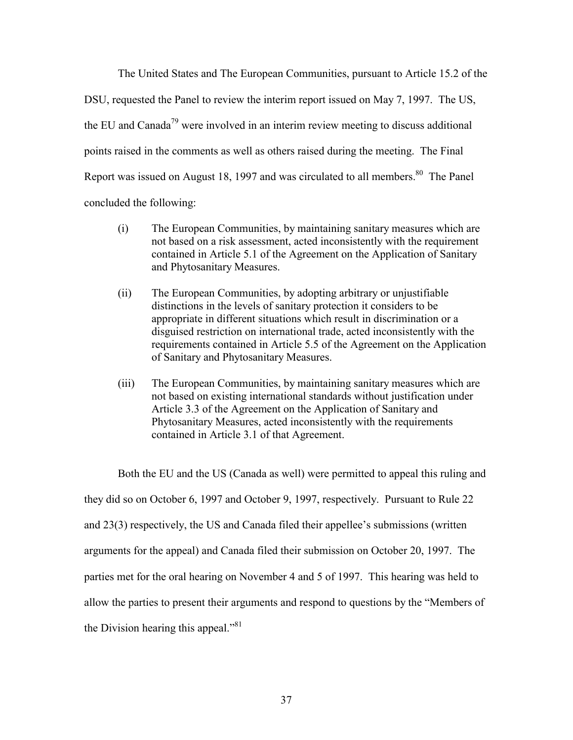The United States and The European Communities, pursuant to Article 15.2 of the DSU, requested the Panel to review the interim report issued on May 7, 1997. The US, the EU and Canada<sup>79</sup> were involved in an interim review meeting to discuss additional points raised in the comments as well as others raised during the meeting. The Final Report was issued on August 18, 1997 and was circulated to all members.<sup>80</sup> The Panel concluded the following:

- (i) The European Communities, by maintaining sanitary measures which are not based on a risk assessment, acted inconsistently with the requirement contained in Article 5.1 of the Agreement on the Application of Sanitary and Phytosanitary Measures.
- (ii) The European Communities, by adopting arbitrary or unjustifiable distinctions in the levels of sanitary protection it considers to be appropriate in different situations which result in discrimination or a disguised restriction on international trade, acted inconsistently with the requirements contained in Article 5.5 of the Agreement on the Application of Sanitary and Phytosanitary Measures.
- (iii) The European Communities, by maintaining sanitary measures which are not based on existing international standards without justification under Article 3.3 of the Agreement on the Application of Sanitary and Phytosanitary Measures, acted inconsistently with the requirements contained in Article 3.1 of that Agreement.

Both the EU and the US (Canada as well) were permitted to appeal this ruling and they did so on October 6, 1997 and October 9, 1997, respectively. Pursuant to Rule 22 and  $23(3)$  respectively, the US and Canada filed their appellee's submissions (written arguments for the appeal) and Canada filed their submission on October 20, 1997. The parties met for the oral hearing on November 4 and 5 of 1997. This hearing was held to allow the parties to present their arguments and respond to questions by the "Members of the Division hearing this appeal. $\frac{81}{81}$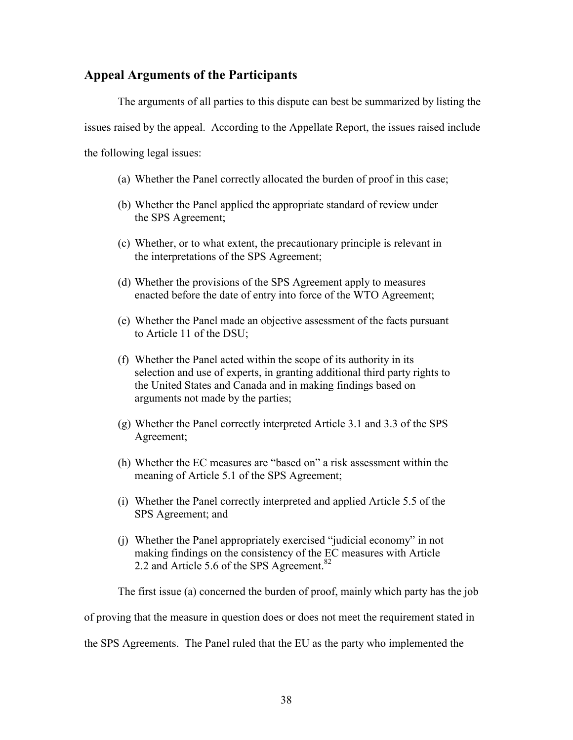### **Appeal Arguments of the Participants**

The arguments of all parties to this dispute can best be summarized by listing the issues raised by the appeal. According to the Appellate Report, the issues raised include the following legal issues:

- (a) Whether the Panel correctly allocated the burden of proof in this case;
- (b) Whether the Panel applied the appropriate standard of review under the SPS Agreement;
- (c) Whether, or to what extent, the precautionary principle is relevant in the interpretations of the SPS Agreement;
- (d) Whether the provisions of the SPS Agreement apply to measures enacted before the date of entry into force of the WTO Agreement;
- (e) Whether the Panel made an objective assessment of the facts pursuant to Article 11 of the DSU;
- (f) Whether the Panel acted within the scope of its authority in its selection and use of experts, in granting additional third party rights to the United States and Canada and in making findings based on arguments not made by the parties;
- (g) Whether the Panel correctly interpreted Article 3.1 and 3.3 of the SPS Agreement;
- (h) Whether the EC measures are "based on" a risk assessment within the meaning of Article 5.1 of the SPS Agreement;
- (i) Whether the Panel correctly interpreted and applied Article 5.5 of the SPS Agreement; and
- (i) Whether the Panel appropriately exercised "judicial economy" in not making findings on the consistency of the EC measures with Article 2.2 and Article 5.6 of the SPS Agreement.<sup>82</sup>

The first issue (a) concerned the burden of proof, mainly which party has the job

of proving that the measure in question does or does not meet the requirement stated in

the SPS Agreements. The Panel ruled that the EU as the party who implemented the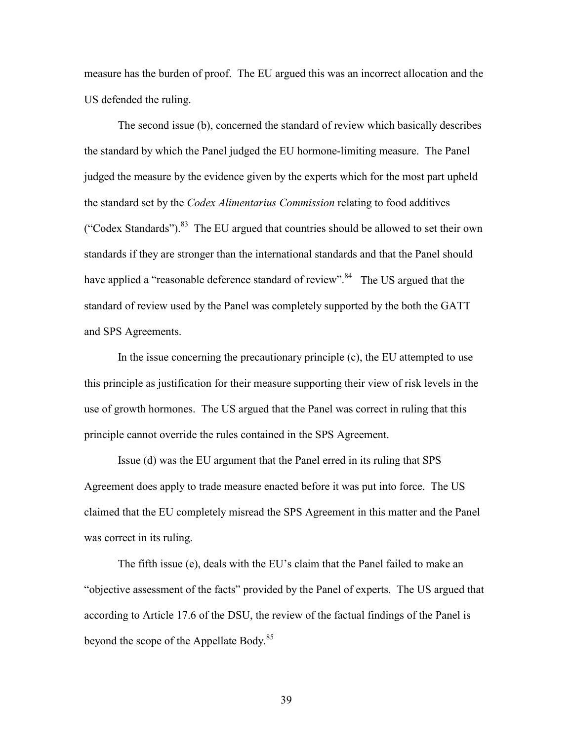measure has the burden of proof. The EU argued this was an incorrect allocation and the US defended the ruling.

The second issue (b), concerned the standard of review which basically describes the standard by which the Panel judged the EU hormone-limiting measure. The Panel judged the measure by the evidence given by the experts which for the most part upheld the standard set by the *Codex Alimentarius Commission* relating to food additives ( $"Codes Standards"$ ).<sup>83</sup> The EU argued that countries should be allowed to set their own standards if they are stronger than the international standards and that the Panel should have applied a "reasonable deference standard of review".<sup>84</sup> The US argued that the standard of review used by the Panel was completely supported by the both the GATT and SPS Agreements.

In the issue concerning the precautionary principle (c), the EU attempted to use this principle as justification for their measure supporting their view of risk levels in the use of growth hormones. The US argued that the Panel was correct in ruling that this principle cannot override the rules contained in the SPS Agreement.

Issue (d) was the EU argument that the Panel erred in its ruling that SPS Agreement does apply to trade measure enacted before it was put into force. The US claimed that the EU completely misread the SPS Agreement in this matter and the Panel was correct in its ruling.

The fifth issue (e), deals with the EU's claim that the Panel failed to make an "objective assessment of the facts" provided by the Panel of experts. The US argued that according to Article 17.6 of the DSU, the review of the factual findings of the Panel is beyond the scope of the Appellate Body.<sup>85</sup>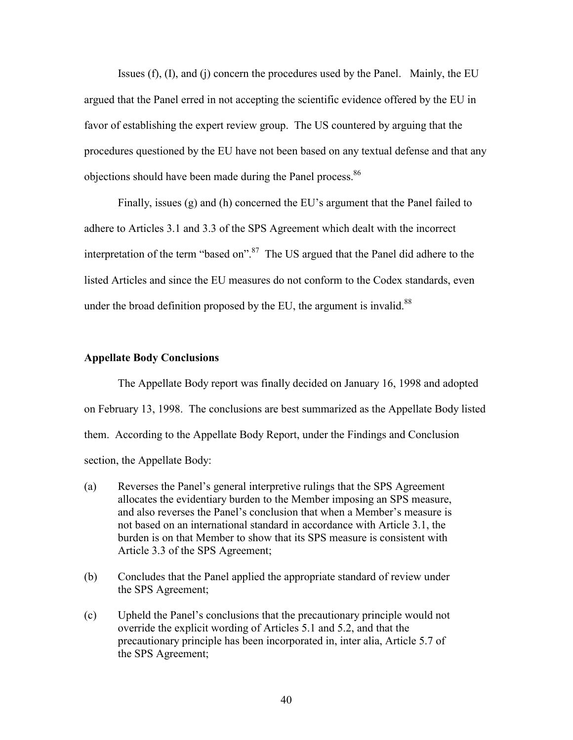Issues  $(f)$ ,  $(I)$ , and  $(i)$  concern the procedures used by the Panel. Mainly, the EU argued that the Panel erred in not accepting the scientific evidence offered by the EU in favor of establishing the expert review group. The US countered by arguing that the procedures questioned by the EU have not been based on any textual defense and that any objections should have been made during the Panel process.<sup>86</sup>

Finally, issues  $(g)$  and  $(h)$  concerned the EU's argument that the Panel failed to adhere to Articles 3.1 and 3.3 of the SPS Agreement which dealt with the incorrect interpretation of the term "based on".<sup>87</sup> The US argued that the Panel did adhere to the listed Articles and since the EU measures do not conform to the Codex standards, even under the broad definition proposed by the EU, the argument is invalid.<sup>88</sup>

#### **Appellate Body Conclusions**

 The Appellate Body report was finally decided on January 16, 1998 and adopted on February 13, 1998. The conclusions are best summarized as the Appellate Body listed them. According to the Appellate Body Report, under the Findings and Conclusion section, the Appellate Body:

- (a) Reverses the Panelís general interpretive rulings that the SPS Agreement allocates the evidentiary burden to the Member imposing an SPS measure, and also reverses the Panel's conclusion that when a Member's measure is not based on an international standard in accordance with Article 3.1, the burden is on that Member to show that its SPS measure is consistent with Article 3.3 of the SPS Agreement;
- (b) Concludes that the Panel applied the appropriate standard of review under the SPS Agreement;
- (c) Upheld the Panel's conclusions that the precautionary principle would not override the explicit wording of Articles 5.1 and 5.2, and that the precautionary principle has been incorporated in, inter alia, Article 5.7 of the SPS Agreement;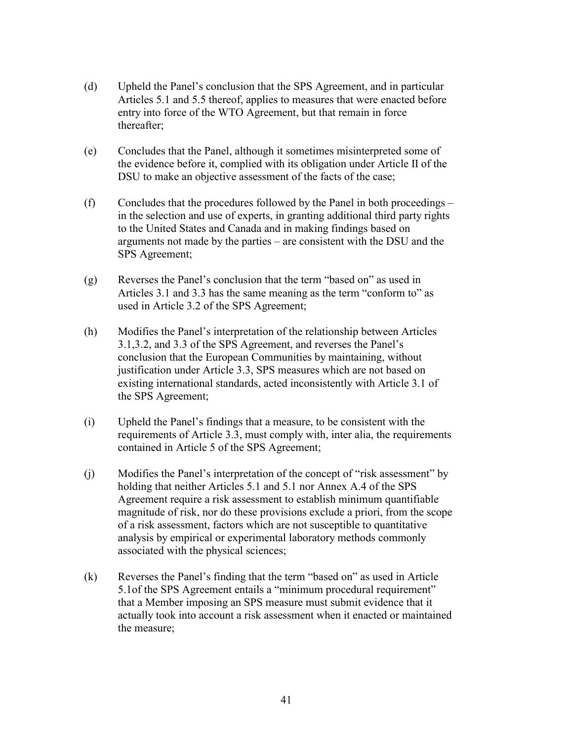- (d) Upheld the Panel's conclusion that the SPS Agreement, and in particular Articles 5.1 and 5.5 thereof, applies to measures that were enacted before entry into force of the WTO Agreement, but that remain in force thereafter;
- (e) Concludes that the Panel, although it sometimes misinterpreted some of the evidence before it, complied with its obligation under Article II of the DSU to make an objective assessment of the facts of the case;
- $(f)$  Concludes that the procedures followed by the Panel in both proceedings in the selection and use of experts, in granting additional third party rights to the United States and Canada and in making findings based on arguments not made by the parties  $-$  are consistent with the DSU and the SPS Agreement;
- $(g)$  Reverses the Panel's conclusion that the term "based on" as used in Articles  $3.1$  and  $3.3$  has the same meaning as the term "conform to" as used in Article 3.2 of the SPS Agreement;
- (h) Modifies the Panelís interpretation of the relationship between Articles 3.1,3.2, and 3.3 of the SPS Agreement, and reverses the Panel's conclusion that the European Communities by maintaining, without justification under Article 3.3, SPS measures which are not based on existing international standards, acted inconsistently with Article 3.1 of the SPS Agreement;
- (i) Upheld the Panel's findings that a measure, to be consistent with the requirements of Article 3.3, must comply with, inter alia, the requirements contained in Article 5 of the SPS Agreement;
- $(i)$  Modifies the Panel's interpretation of the concept of "risk assessment" by holding that neither Articles 5.1 and 5.1 nor Annex A.4 of the SPS Agreement require a risk assessment to establish minimum quantifiable magnitude of risk, nor do these provisions exclude a priori, from the scope of a risk assessment, factors which are not susceptible to quantitative analysis by empirical or experimental laboratory methods commonly associated with the physical sciences;
- $(k)$  Reverses the Panel's finding that the term "based on" as used in Article 5.1 of the SPS Agreement entails a "minimum procedural requirement" that a Member imposing an SPS measure must submit evidence that it actually took into account a risk assessment when it enacted or maintained the measure;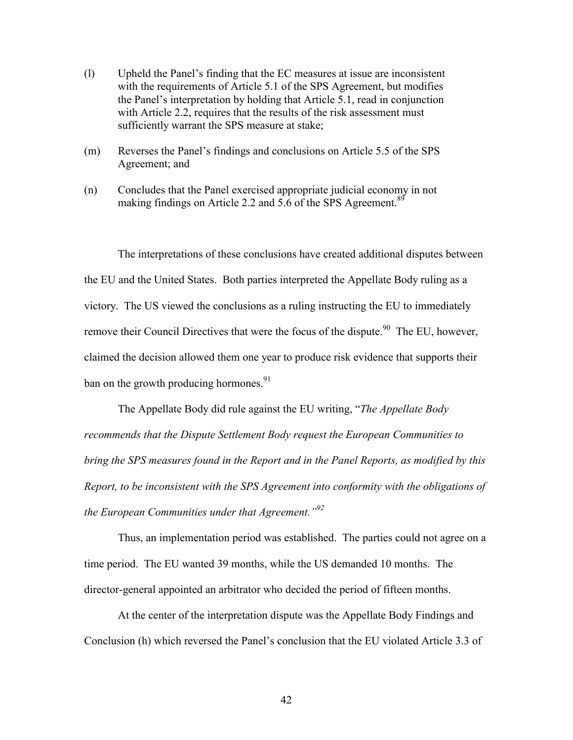- (l) Upheld the Panelís finding that the EC measures at issue are inconsistent with the requirements of Article 5.1 of the SPS Agreement, but modifies the Panel's interpretation by holding that Article 5.1, read in conjunction with Article 2.2, requires that the results of the risk assessment must sufficiently warrant the SPS measure at stake;
- (m) Reverses the Panelís findings and conclusions on Article 5.5 of the SPS Agreement; and
- (n) Concludes that the Panel exercised appropriate judicial economy in not making findings on Article 2.2 and 5.6 of the SPS Agreement.<sup>89</sup>

The interpretations of these conclusions have created additional disputes between the EU and the United States. Both parties interpreted the Appellate Body ruling as a victory. The US viewed the conclusions as a ruling instructing the EU to immediately remove their Council Directives that were the focus of the dispute.<sup>90</sup> The EU, however, claimed the decision allowed them one year to produce risk evidence that supports their ban on the growth producing hormones. $91$ 

The Appellate Body did rule against the EU writing, "*The Appellate Body recommends that the Dispute Settlement Body request the European Communities to bring the SPS measures found in the Report and in the Panel Reports, as modified by this Report, to be inconsistent with the SPS Agreement into conformity with the obligations of the European Communities under that Agreement.*<sup>*<sup>92</sup></sup></sup></sup>* 

Thus, an implementation period was established. The parties could not agree on a time period. The EU wanted 39 months, while the US demanded 10 months. The director-general appointed an arbitrator who decided the period of fifteen months.

At the center of the interpretation dispute was the Appellate Body Findings and Conclusion (h) which reversed the Panel's conclusion that the EU violated Article 3.3 of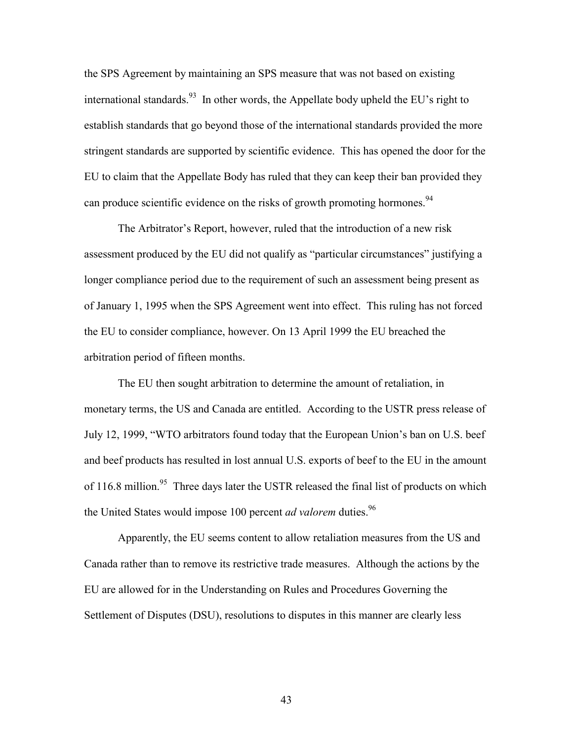the SPS Agreement by maintaining an SPS measure that was not based on existing international standards. <sup>93</sup> In other words, the Appellate body upheld the EU's right to establish standards that go beyond those of the international standards provided the more stringent standards are supported by scientific evidence. This has opened the door for the EU to claim that the Appellate Body has ruled that they can keep their ban provided they can produce scientific evidence on the risks of growth promoting hormones.<sup>94</sup>

The Arbitrator's Report, however, ruled that the introduction of a new risk assessment produced by the EU did not qualify as "particular circumstances" justifying a longer compliance period due to the requirement of such an assessment being present as of January 1, 1995 when the SPS Agreement went into effect. This ruling has not forced the EU to consider compliance, however. On 13 April 1999 the EU breached the arbitration period of fifteen months.

The EU then sought arbitration to determine the amount of retaliation, in monetary terms, the US and Canada are entitled. According to the USTR press release of July 12, 1999, "WTO arbitrators found today that the European Union's ban on U.S. beef and beef products has resulted in lost annual U.S. exports of beef to the EU in the amount of 116.8 million.<sup>95</sup> Three days later the USTR released the final list of products on which the United States would impose 100 percent *ad valorem* duties.<sup>96</sup>

Apparently, the EU seems content to allow retaliation measures from the US and Canada rather than to remove its restrictive trade measures. Although the actions by the EU are allowed for in the Understanding on Rules and Procedures Governing the Settlement of Disputes (DSU), resolutions to disputes in this manner are clearly less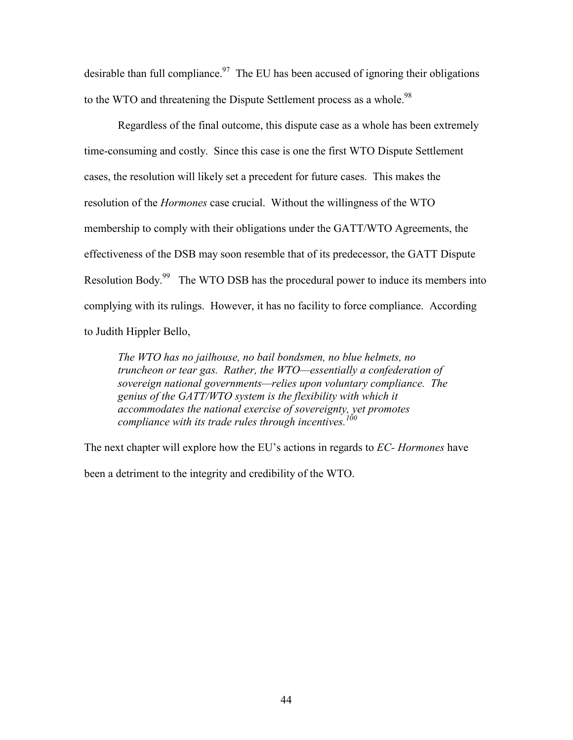desirable than full compliance.<sup>97</sup> The EU has been accused of ignoring their obligations to the WTO and threatening the Dispute Settlement process as a whole.<sup>98</sup>

Regardless of the final outcome, this dispute case as a whole has been extremely time-consuming and costly. Since this case is one the first WTO Dispute Settlement cases, the resolution will likely set a precedent for future cases. This makes the resolution of the *Hormones* case crucial. Without the willingness of the WTO membership to comply with their obligations under the GATT/WTO Agreements, the effectiveness of the DSB may soon resemble that of its predecessor, the GATT Dispute Resolution Body.<sup>99</sup> The WTO DSB has the procedural power to induce its members into complying with its rulings. However, it has no facility to force compliance. According to Judith Hippler Bello,

*The WTO has no jailhouse, no bail bondsmen, no blue helmets, no truncheon or tear gas. Rather, the WTO—essentially a confederation of sovereign national governments—relies upon voluntary compliance. The genius of the GATT/WTO system is the flexibility with which it accommodates the national exercise of sovereignty, yet promotes compliance with its trade rules through incentives.100*

The next chapter will explore how the EU's actions in regards to *EC- Hormones* have

been a detriment to the integrity and credibility of the WTO.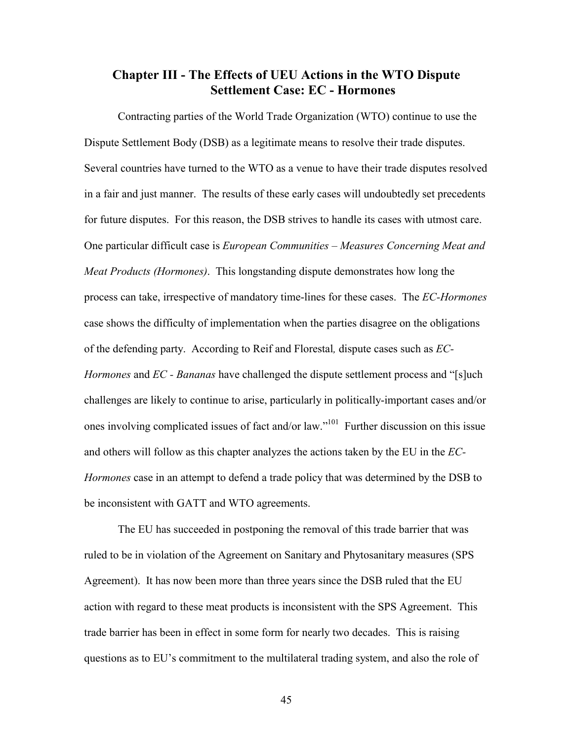# **Chapter III - The Effects of UEU Actions in the WTO Dispute Settlement Case: EC - Hormones**

Contracting parties of the World Trade Organization (WTO) continue to use the Dispute Settlement Body (DSB) as a legitimate means to resolve their trade disputes. Several countries have turned to the WTO as a venue to have their trade disputes resolved in a fair and just manner. The results of these early cases will undoubtedly set precedents for future disputes. For this reason, the DSB strives to handle its cases with utmost care. One particular difficult case is *European Communities – Measures Concerning Meat and Meat Products (Hormones)*. This longstanding dispute demonstrates how long the process can take, irrespective of mandatory time-lines for these cases. The *EC-Hormones* case shows the difficulty of implementation when the parties disagree on the obligations of the defending party. According to Reif and Florestal*,* dispute cases such as *EC-Hormones* and *EC - Bananas* have challenged the dispute settlement process and "[s]uch challenges are likely to continue to arise, particularly in politically-important cases and/or ones involving complicated issues of fact and/or law.<sup> $101$ </sup> Further discussion on this issue and others will follow as this chapter analyzes the actions taken by the EU in the *EC-Hormones* case in an attempt to defend a trade policy that was determined by the DSB to be inconsistent with GATT and WTO agreements.

The EU has succeeded in postponing the removal of this trade barrier that was ruled to be in violation of the Agreement on Sanitary and Phytosanitary measures (SPS Agreement). It has now been more than three years since the DSB ruled that the EU action with regard to these meat products is inconsistent with the SPS Agreement. This trade barrier has been in effect in some form for nearly two decades. This is raising questions as to EU's commitment to the multilateral trading system, and also the role of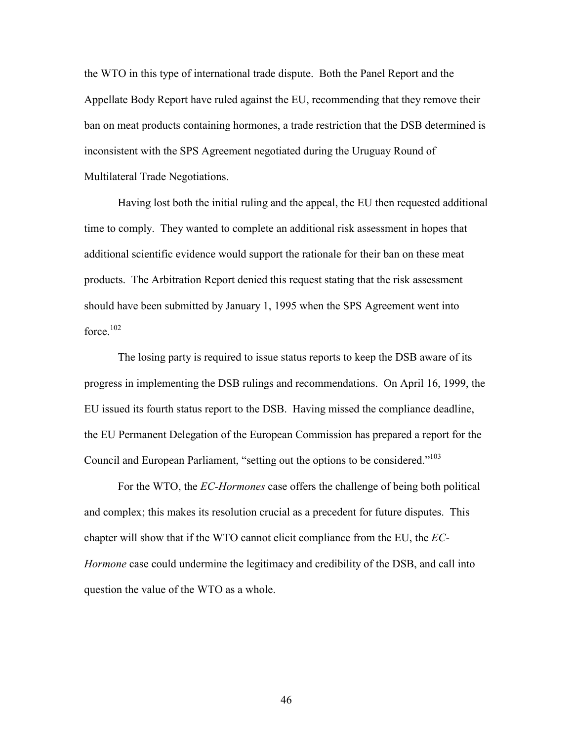the WTO in this type of international trade dispute. Both the Panel Report and the Appellate Body Report have ruled against the EU, recommending that they remove their ban on meat products containing hormones, a trade restriction that the DSB determined is inconsistent with the SPS Agreement negotiated during the Uruguay Round of Multilateral Trade Negotiations.

Having lost both the initial ruling and the appeal, the EU then requested additional time to comply. They wanted to complete an additional risk assessment in hopes that additional scientific evidence would support the rationale for their ban on these meat products. The Arbitration Report denied this request stating that the risk assessment should have been submitted by January 1, 1995 when the SPS Agreement went into force  $102$ 

The losing party is required to issue status reports to keep the DSB aware of its progress in implementing the DSB rulings and recommendations. On April 16, 1999, the EU issued its fourth status report to the DSB. Having missed the compliance deadline, the EU Permanent Delegation of the European Commission has prepared a report for the Council and European Parliament, "setting out the options to be considered."<sup>103</sup>

For the WTO, the *EC-Hormones* case offers the challenge of being both political and complex; this makes its resolution crucial as a precedent for future disputes. This chapter will show that if the WTO cannot elicit compliance from the EU, the *EC-Hormone* case could undermine the legitimacy and credibility of the DSB, and call into question the value of the WTO as a whole.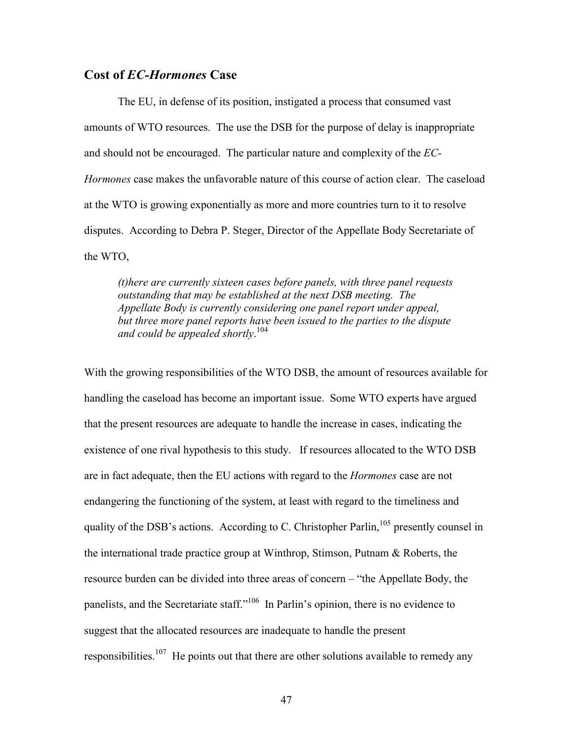#### **Cost of** *EC-Hormones* **Case**

The EU, in defense of its position, instigated a process that consumed vast amounts of WTO resources. The use the DSB for the purpose of delay is inappropriate and should not be encouraged. The particular nature and complexity of the *EC-Hormones* case makes the unfavorable nature of this course of action clear. The caseload at the WTO is growing exponentially as more and more countries turn to it to resolve disputes. According to Debra P. Steger, Director of the Appellate Body Secretariate of the WTO,

*(t)here are currently sixteen cases before panels, with three panel requests outstanding that may be established at the next DSB meeting. The Appellate Body is currently considering one panel report under appeal, but three more panel reports have been issued to the parties to the dispute and could be appealed shortly*. 104

With the growing responsibilities of the WTO DSB, the amount of resources available for handling the caseload has become an important issue. Some WTO experts have argued that the present resources are adequate to handle the increase in cases, indicating the existence of one rival hypothesis to this study. If resources allocated to the WTO DSB are in fact adequate, then the EU actions with regard to the *Hormones* case are not endangering the functioning of the system, at least with regard to the timeliness and quality of the DSB's actions. According to C. Christopher Parlin, $105$  presently counsel in the international trade practice group at Winthrop, Stimson, Putnam & Roberts, the resource burden can be divided into three areas of concern – "the Appellate Body, the panelists, and the Secretariate staff.<sup> $106$ </sup> In Parlin's opinion, there is no evidence to suggest that the allocated resources are inadequate to handle the present responsibilities.<sup>107</sup> He points out that there are other solutions available to remedy any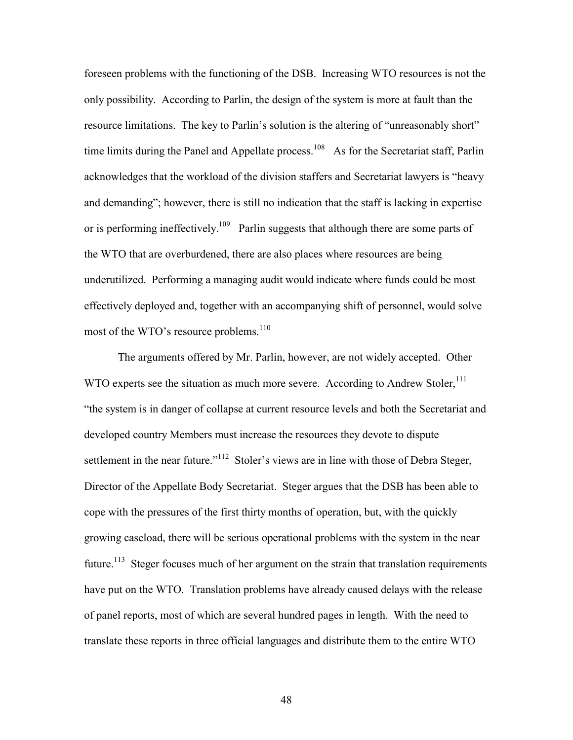foreseen problems with the functioning of the DSB. Increasing WTO resources is not the only possibility. According to Parlin, the design of the system is more at fault than the resource limitations. The key to Parlin's solution is the altering of "unreasonably short" time limits during the Panel and Appellate process.<sup>108</sup> As for the Secretariat staff, Parlin acknowledges that the workload of the division staffers and Secretariat lawyers is "heavy and demanding"; however, there is still no indication that the staff is lacking in expertise or is performing ineffectively.<sup>109</sup> Parlin suggests that although there are some parts of the WTO that are overburdened, there are also places where resources are being underutilized. Performing a managing audit would indicate where funds could be most effectively deployed and, together with an accompanying shift of personnel, would solve most of the WTO's resource problems. $110$ 

The arguments offered by Mr. Parlin, however, are not widely accepted. Other WTO experts see the situation as much more severe. According to Andrew Stoler,  $^{111}$ ìthe system is in danger of collapse at current resource levels and both the Secretariat and developed country Members must increase the resources they devote to dispute settlement in the near future.<sup>"112</sup> Stoler's views are in line with those of Debra Steger, Director of the Appellate Body Secretariat. Steger argues that the DSB has been able to cope with the pressures of the first thirty months of operation, but, with the quickly growing caseload, there will be serious operational problems with the system in the near future.<sup>113</sup> Steger focuses much of her argument on the strain that translation requirements have put on the WTO. Translation problems have already caused delays with the release of panel reports, most of which are several hundred pages in length. With the need to translate these reports in three official languages and distribute them to the entire WTO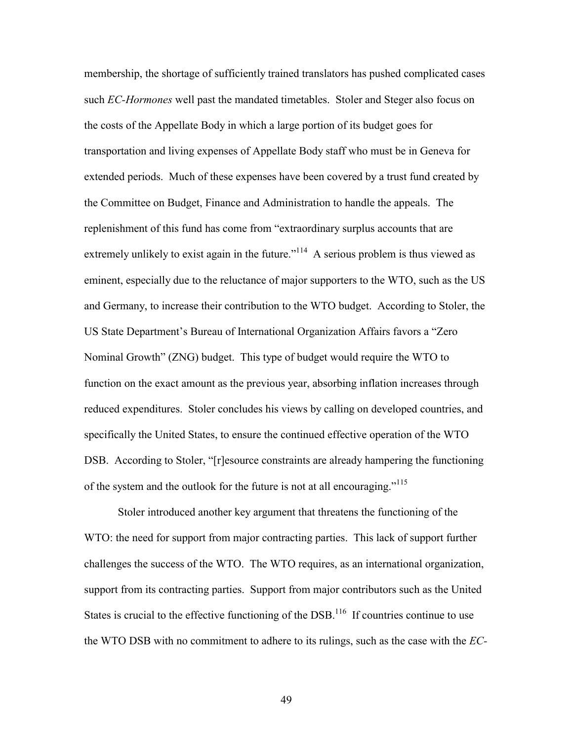membership, the shortage of sufficiently trained translators has pushed complicated cases such *EC-Hormones* well past the mandated timetables. Stoler and Steger also focus on the costs of the Appellate Body in which a large portion of its budget goes for transportation and living expenses of Appellate Body staff who must be in Geneva for extended periods. Much of these expenses have been covered by a trust fund created by the Committee on Budget, Finance and Administration to handle the appeals. The replenishment of this fund has come from "extraordinary surplus accounts that are extremely unlikely to exist again in the future.<sup> $114$ </sup> A serious problem is thus viewed as eminent, especially due to the reluctance of major supporters to the WTO, such as the US and Germany, to increase their contribution to the WTO budget. According to Stoler, the US State Department's Bureau of International Organization Affairs favors a "Zero Nominal Growth<sup>"</sup> (ZNG) budget. This type of budget would require the WTO to function on the exact amount as the previous year, absorbing inflation increases through reduced expenditures. Stoler concludes his views by calling on developed countries, and specifically the United States, to ensure the continued effective operation of the WTO DSB. According to Stoler, "[r]esource constraints are already hampering the functioning of the system and the outlook for the future is not at all encouraging."<sup>115</sup>

 Stoler introduced another key argument that threatens the functioning of the WTO: the need for support from major contracting parties. This lack of support further challenges the success of the WTO. The WTO requires, as an international organization, support from its contracting parties. Support from major contributors such as the United States is crucial to the effective functioning of the DSB.<sup>116</sup> If countries continue to use the WTO DSB with no commitment to adhere to its rulings, such as the case with the *EC-*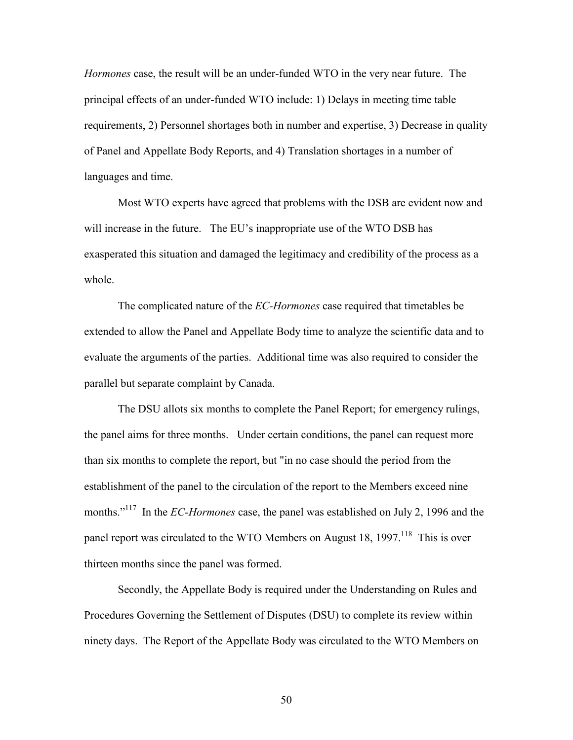*Hormones* case, the result will be an under-funded WTO in the very near future. The principal effects of an under-funded WTO include: 1) Delays in meeting time table requirements, 2) Personnel shortages both in number and expertise, 3) Decrease in quality of Panel and Appellate Body Reports, and 4) Translation shortages in a number of languages and time.

Most WTO experts have agreed that problems with the DSB are evident now and will increase in the future. The EU's inappropriate use of the WTO DSB has exasperated this situation and damaged the legitimacy and credibility of the process as a whole.

The complicated nature of the *EC-Hormones* case required that timetables be extended to allow the Panel and Appellate Body time to analyze the scientific data and to evaluate the arguments of the parties. Additional time was also required to consider the parallel but separate complaint by Canada.

The DSU allots six months to complete the Panel Report; for emergency rulings, the panel aims for three months. Under certain conditions, the panel can request more than six months to complete the report, but "in no case should the period from the establishment of the panel to the circulation of the report to the Members exceed nine months.<sup>"117</sup> In the *EC-Hormones* case, the panel was established on July 2, 1996 and the panel report was circulated to the WTO Members on August  $18$ ,  $1997$ <sup> $118$ </sup>. This is over thirteen months since the panel was formed.

Secondly, the Appellate Body is required under the Understanding on Rules and Procedures Governing the Settlement of Disputes (DSU) to complete its review within ninety days. The Report of the Appellate Body was circulated to the WTO Members on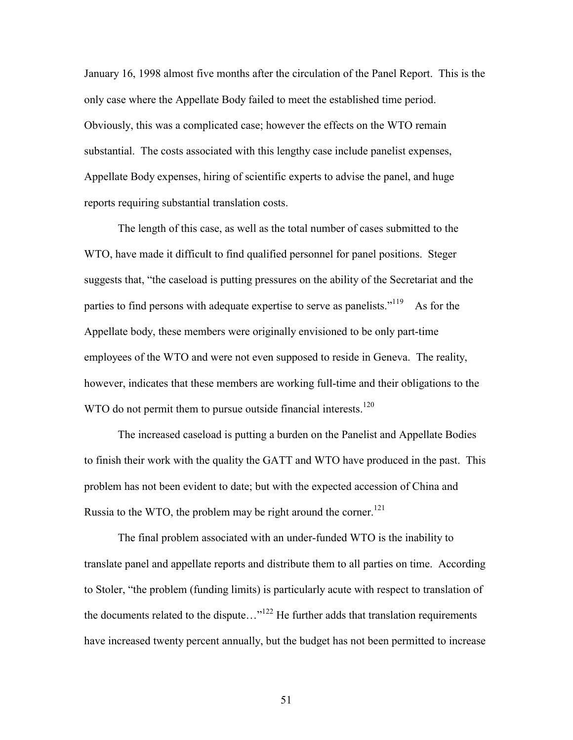January 16, 1998 almost five months after the circulation of the Panel Report. This is the only case where the Appellate Body failed to meet the established time period. Obviously, this was a complicated case; however the effects on the WTO remain substantial. The costs associated with this lengthy case include panelist expenses, Appellate Body expenses, hiring of scientific experts to advise the panel, and huge reports requiring substantial translation costs.

The length of this case, as well as the total number of cases submitted to the WTO, have made it difficult to find qualified personnel for panel positions. Steger suggests that, "the caseload is putting pressures on the ability of the Secretariat and the parties to find persons with adequate expertise to serve as panelists.<sup>"119</sup> As for the Appellate body, these members were originally envisioned to be only part-time employees of the WTO and were not even supposed to reside in Geneva. The reality, however, indicates that these members are working full-time and their obligations to the WTO do not permit them to pursue outside financial interests.<sup>120</sup>

The increased caseload is putting a burden on the Panelist and Appellate Bodies to finish their work with the quality the GATT and WTO have produced in the past. This problem has not been evident to date; but with the expected accession of China and Russia to the WTO, the problem may be right around the corner.<sup>121</sup>

The final problem associated with an under-funded WTO is the inability to translate panel and appellate reports and distribute them to all parties on time. According to Stoler, "the problem (funding limits) is particularly acute with respect to translation of the documents related to the dispute $\ldots$ <sup>122</sup> He further adds that translation requirements have increased twenty percent annually, but the budget has not been permitted to increase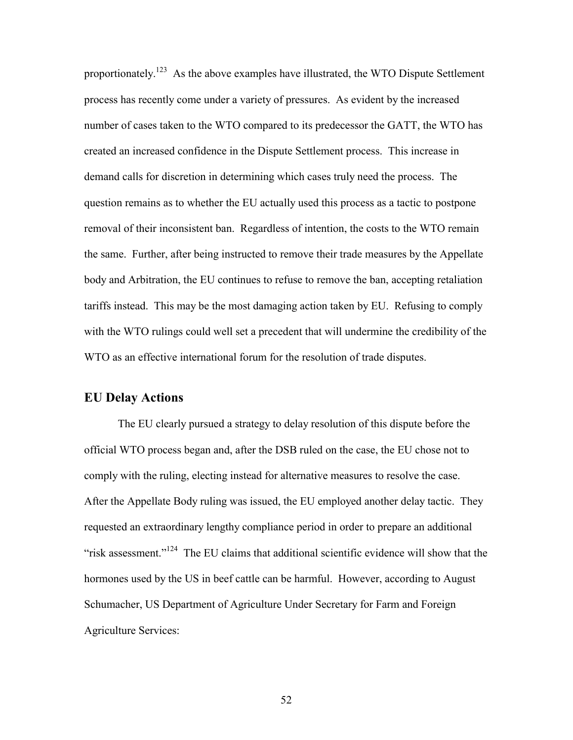proportionately.<sup>123</sup> As the above examples have illustrated, the WTO Dispute Settlement process has recently come under a variety of pressures. As evident by the increased number of cases taken to the WTO compared to its predecessor the GATT, the WTO has created an increased confidence in the Dispute Settlement process. This increase in demand calls for discretion in determining which cases truly need the process. The question remains as to whether the EU actually used this process as a tactic to postpone removal of their inconsistent ban. Regardless of intention, the costs to the WTO remain the same. Further, after being instructed to remove their trade measures by the Appellate body and Arbitration, the EU continues to refuse to remove the ban, accepting retaliation tariffs instead. This may be the most damaging action taken by EU. Refusing to comply with the WTO rulings could well set a precedent that will undermine the credibility of the WTO as an effective international forum for the resolution of trade disputes.

#### **EU Delay Actions**

The EU clearly pursued a strategy to delay resolution of this dispute before the official WTO process began and, after the DSB ruled on the case, the EU chose not to comply with the ruling, electing instead for alternative measures to resolve the case. After the Appellate Body ruling was issued, the EU employed another delay tactic. They requested an extraordinary lengthy compliance period in order to prepare an additional "risk assessment."<sup>124</sup> The EU claims that additional scientific evidence will show that the hormones used by the US in beef cattle can be harmful. However, according to August Schumacher, US Department of Agriculture Under Secretary for Farm and Foreign Agriculture Services: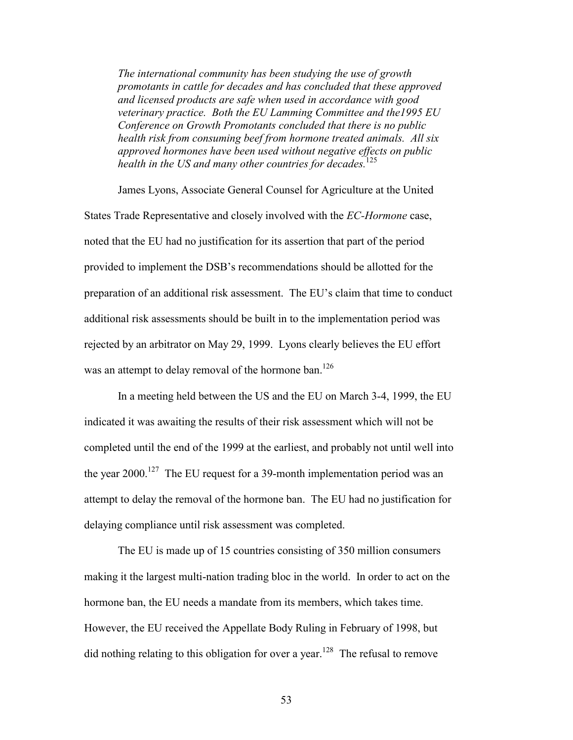*The international community has been studying the use of growth promotants in cattle for decades and has concluded that these approved and licensed products are safe when used in accordance with good veterinary practice. Both the EU Lamming Committee and the1995 EU Conference on Growth Promotants concluded that there is no public health risk from consuming beef from hormone treated animals. All six approved hormones have been used without negative effects on public health in the US and many other countries for decades.*<sup>125</sup>

James Lyons, Associate General Counsel for Agriculture at the United States Trade Representative and closely involved with the *EC-Hormone* case, noted that the EU had no justification for its assertion that part of the period provided to implement the DSB's recommendations should be allotted for the preparation of an additional risk assessment. The EU's claim that time to conduct additional risk assessments should be built in to the implementation period was rejected by an arbitrator on May 29, 1999. Lyons clearly believes the EU effort was an attempt to delay removal of the hormone ban.<sup>126</sup>

In a meeting held between the US and the EU on March 3-4, 1999, the EU indicated it was awaiting the results of their risk assessment which will not be completed until the end of the 1999 at the earliest, and probably not until well into the year  $2000$ <sup>127</sup>. The EU request for a 39-month implementation period was an attempt to delay the removal of the hormone ban. The EU had no justification for delaying compliance until risk assessment was completed.

The EU is made up of 15 countries consisting of 350 million consumers making it the largest multi-nation trading bloc in the world. In order to act on the hormone ban, the EU needs a mandate from its members, which takes time. However, the EU received the Appellate Body Ruling in February of 1998, but did nothing relating to this obligation for over a year.<sup>128</sup> The refusal to remove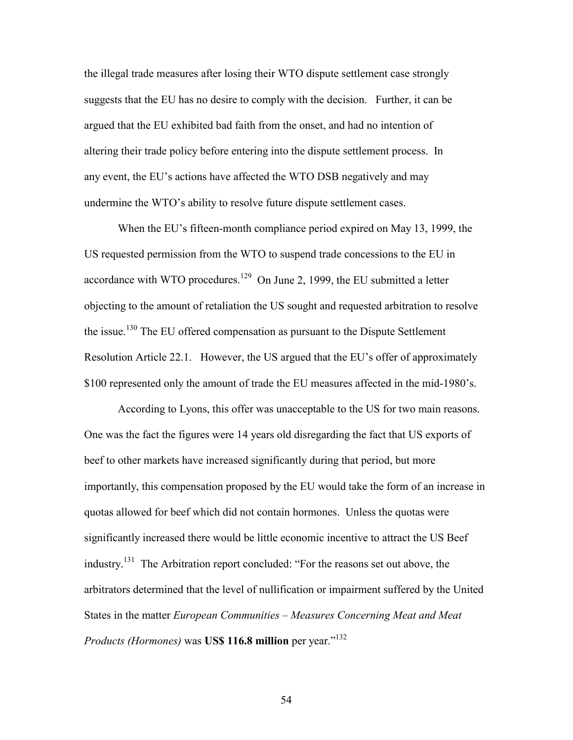the illegal trade measures after losing their WTO dispute settlement case strongly suggests that the EU has no desire to comply with the decision. Further, it can be argued that the EU exhibited bad faith from the onset, and had no intention of altering their trade policy before entering into the dispute settlement process. In any event, the EU's actions have affected the WTO DSB negatively and may undermine the WTO's ability to resolve future dispute settlement cases.

When the EU's fifteen-month compliance period expired on May 13, 1999, the US requested permission from the WTO to suspend trade concessions to the EU in accordance with WTO procedures.<sup>129</sup> On June 2, 1999, the EU submitted a letter objecting to the amount of retaliation the US sought and requested arbitration to resolve the issue.<sup>130</sup> The EU offered compensation as pursuant to the Dispute Settlement Resolution Article 22.1. However, the US argued that the EU's offer of approximately \$100 represented only the amount of trade the EU measures affected in the mid-1980's.

According to Lyons, this offer was unacceptable to the US for two main reasons. One was the fact the figures were 14 years old disregarding the fact that US exports of beef to other markets have increased significantly during that period, but more importantly, this compensation proposed by the EU would take the form of an increase in quotas allowed for beef which did not contain hormones. Unless the quotas were significantly increased there would be little economic incentive to attract the US Beef industry.<sup>131</sup> The Arbitration report concluded: "For the reasons set out above, the arbitrators determined that the level of nullification or impairment suffered by the United States in the matter *European Communities – Measures Concerning Meat and Meat Products (Hormones)* was **US\$ 116.8 million** per year.<sup>7132</sup>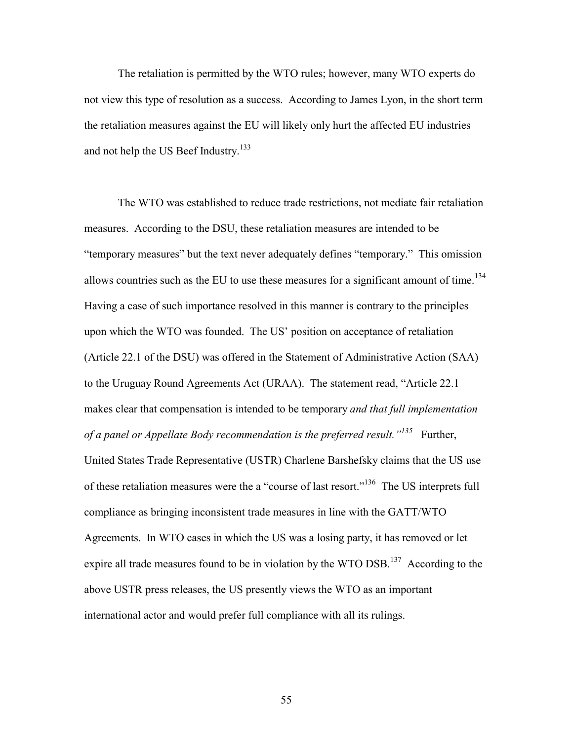The retaliation is permitted by the WTO rules; however, many WTO experts do not view this type of resolution as a success. According to James Lyon, in the short term the retaliation measures against the EU will likely only hurt the affected EU industries and not help the US Beef Industry.<sup>133</sup>

The WTO was established to reduce trade restrictions, not mediate fair retaliation measures. According to the DSU, these retaliation measures are intended to be **Example 1** "temporary measures" but the text never adequately defines "temporary." This omission allows countries such as the EU to use these measures for a significant amount of time.<sup>134</sup> Having a case of such importance resolved in this manner is contrary to the principles upon which the WTO was founded. The US' position on acceptance of retaliation (Article 22.1 of the DSU) was offered in the Statement of Administrative Action (SAA) to the Uruguay Round Agreements Act (URAA). The statement read, "Article 22.1 makes clear that compensation is intended to be temporary *and that full implementation of a panel or Appellate Body recommendation is the preferred result.*<sup>*n135*</sup> Further, United States Trade Representative (USTR) Charlene Barshefsky claims that the US use of these retaliation measures were the a "course of last resort."<sup>136</sup> The US interprets full compliance as bringing inconsistent trade measures in line with the GATT/WTO Agreements. In WTO cases in which the US was a losing party, it has removed or let expire all trade measures found to be in violation by the WTO DSB.<sup>137</sup> According to the above USTR press releases, the US presently views the WTO as an important international actor and would prefer full compliance with all its rulings.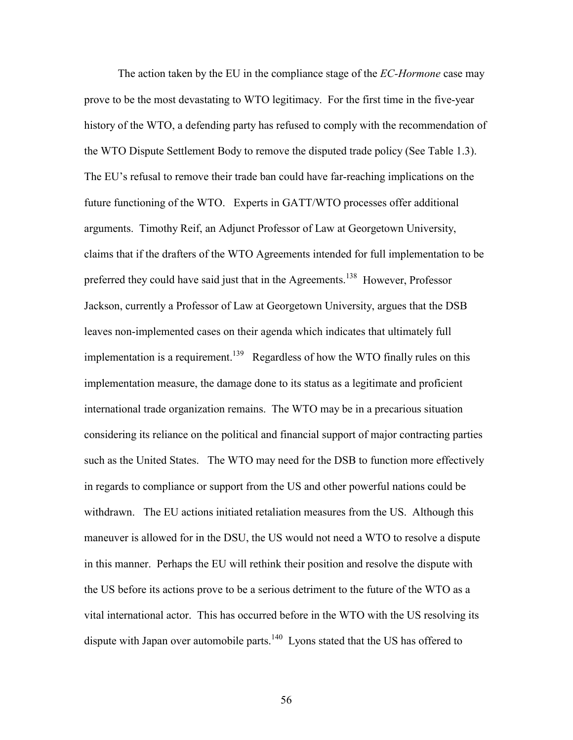The action taken by the EU in the compliance stage of the *EC-Hormone* case may prove to be the most devastating to WTO legitimacy. For the first time in the five-year history of the WTO, a defending party has refused to comply with the recommendation of the WTO Dispute Settlement Body to remove the disputed trade policy (See Table 1.3). The EU's refusal to remove their trade ban could have far-reaching implications on the future functioning of the WTO. Experts in GATT/WTO processes offer additional arguments. Timothy Reif, an Adjunct Professor of Law at Georgetown University, claims that if the drafters of the WTO Agreements intended for full implementation to be preferred they could have said just that in the Agreements.<sup>138</sup> However, Professor Jackson, currently a Professor of Law at Georgetown University, argues that the DSB leaves non-implemented cases on their agenda which indicates that ultimately full implementation is a requirement.<sup>139</sup> Regardless of how the WTO finally rules on this implementation measure, the damage done to its status as a legitimate and proficient international trade organization remains. The WTO may be in a precarious situation considering its reliance on the political and financial support of major contracting parties such as the United States. The WTO may need for the DSB to function more effectively in regards to compliance or support from the US and other powerful nations could be withdrawn. The EU actions initiated retaliation measures from the US. Although this maneuver is allowed for in the DSU, the US would not need a WTO to resolve a dispute in this manner. Perhaps the EU will rethink their position and resolve the dispute with the US before its actions prove to be a serious detriment to the future of the WTO as a vital international actor. This has occurred before in the WTO with the US resolving its dispute with Japan over automobile parts.<sup>140</sup> Lyons stated that the US has offered to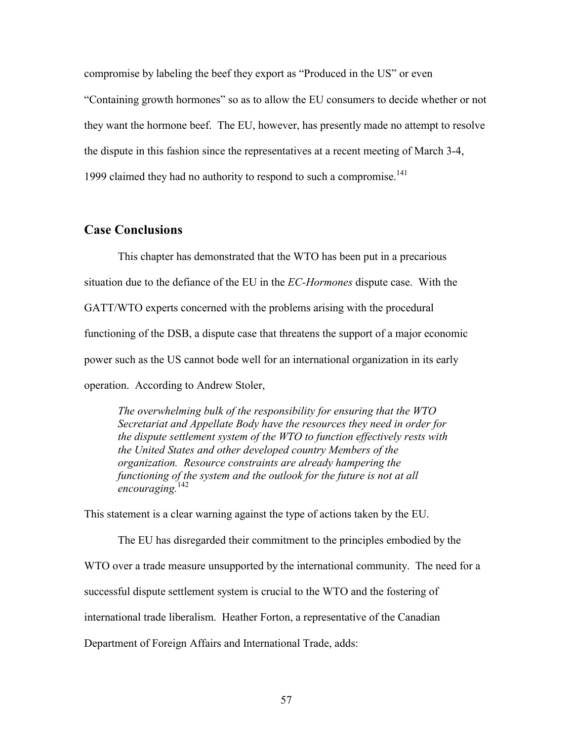compromise by labeling the beef they export as "Produced in the US" or even

ìContaining growth hormonesî so as to allow the EU consumers to decide whether or not they want the hormone beef. The EU, however, has presently made no attempt to resolve the dispute in this fashion since the representatives at a recent meeting of March 3-4, 1999 claimed they had no authority to respond to such a compromise. $141$ 

#### **Case Conclusions**

 This chapter has demonstrated that the WTO has been put in a precarious situation due to the defiance of the EU in the *EC-Hormones* dispute case. With the GATT/WTO experts concerned with the problems arising with the procedural functioning of the DSB, a dispute case that threatens the support of a major economic power such as the US cannot bode well for an international organization in its early operation. According to Andrew Stoler,

*The overwhelming bulk of the responsibility for ensuring that the WTO Secretariat and Appellate Body have the resources they need in order for the dispute settlement system of the WTO to function effectively rests with the United States and other developed country Members of the organization. Resource constraints are already hampering the functioning of the system and the outlook for the future is not at all encouraging.*142

This statement is a clear warning against the type of actions taken by the EU.

The EU has disregarded their commitment to the principles embodied by the WTO over a trade measure unsupported by the international community. The need for a successful dispute settlement system is crucial to the WTO and the fostering of international trade liberalism. Heather Forton, a representative of the Canadian Department of Foreign Affairs and International Trade, adds: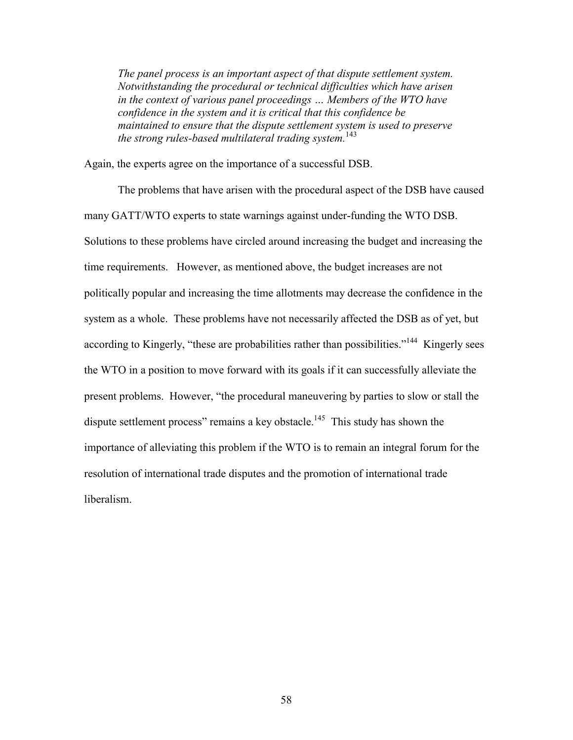*The panel process is an important aspect of that dispute settlement system. Notwithstanding the procedural or technical difficulties which have arisen in the context of various panel proceedings ... Members of the WTO have confidence in the system and it is critical that this confidence be maintained to ensure that the dispute settlement system is used to preserve the strong rules-based multilateral trading system.*143

Again, the experts agree on the importance of a successful DSB.

 The problems that have arisen with the procedural aspect of the DSB have caused many GATT/WTO experts to state warnings against under-funding the WTO DSB. Solutions to these problems have circled around increasing the budget and increasing the time requirements. However, as mentioned above, the budget increases are not politically popular and increasing the time allotments may decrease the confidence in the system as a whole. These problems have not necessarily affected the DSB as of yet, but according to Kingerly, "these are probabilities rather than possibilities."<sup>144</sup> Kingerly sees the WTO in a position to move forward with its goals if it can successfully alleviate the present problems. However, "the procedural maneuvering by parties to slow or stall the dispute settlement process" remains a key obstacle.<sup>145</sup> This study has shown the importance of alleviating this problem if the WTO is to remain an integral forum for the resolution of international trade disputes and the promotion of international trade liberalism.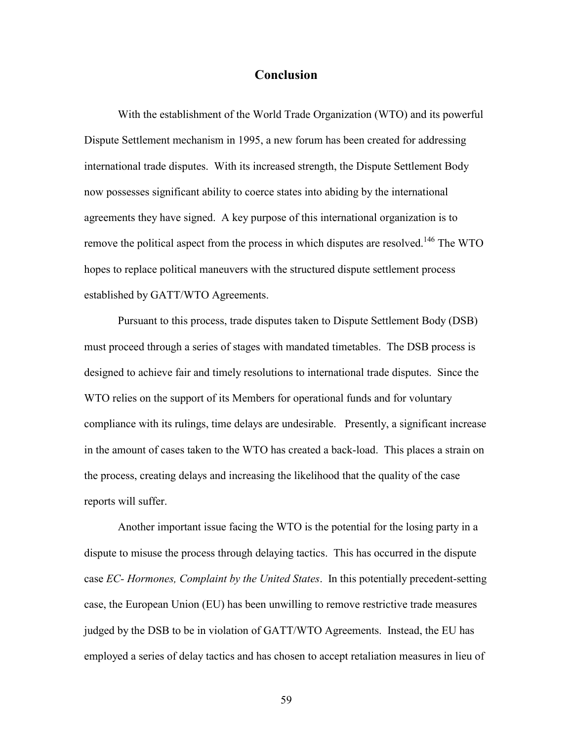### **Conclusion**

 With the establishment of the World Trade Organization (WTO) and its powerful Dispute Settlement mechanism in 1995, a new forum has been created for addressing international trade disputes. With its increased strength, the Dispute Settlement Body now possesses significant ability to coerce states into abiding by the international agreements they have signed. A key purpose of this international organization is to remove the political aspect from the process in which disputes are resolved.<sup>146</sup> The WTO hopes to replace political maneuvers with the structured dispute settlement process established by GATT/WTO Agreements.

Pursuant to this process, trade disputes taken to Dispute Settlement Body (DSB) must proceed through a series of stages with mandated timetables. The DSB process is designed to achieve fair and timely resolutions to international trade disputes. Since the WTO relies on the support of its Members for operational funds and for voluntary compliance with its rulings, time delays are undesirable. Presently, a significant increase in the amount of cases taken to the WTO has created a back-load. This places a strain on the process, creating delays and increasing the likelihood that the quality of the case reports will suffer.

 Another important issue facing the WTO is the potential for the losing party in a dispute to misuse the process through delaying tactics. This has occurred in the dispute case *EC- Hormones, Complaint by the United States*. In this potentially precedent-setting case, the European Union (EU) has been unwilling to remove restrictive trade measures judged by the DSB to be in violation of GATT/WTO Agreements. Instead, the EU has employed a series of delay tactics and has chosen to accept retaliation measures in lieu of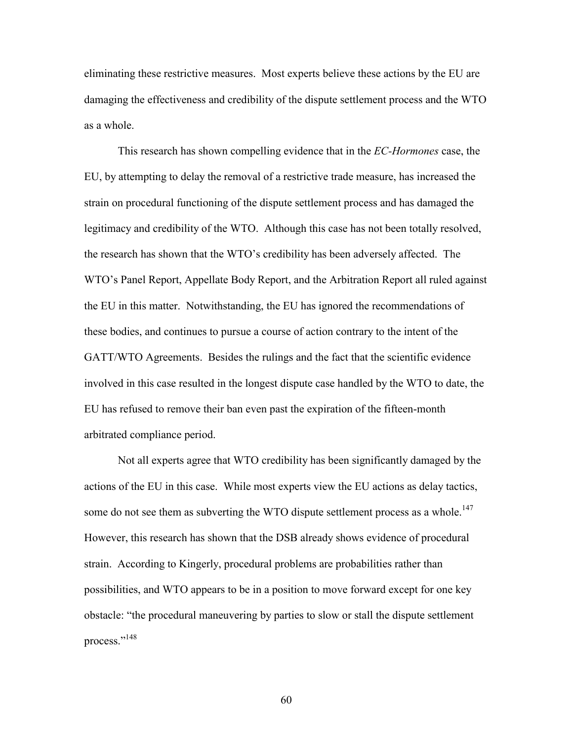eliminating these restrictive measures. Most experts believe these actions by the EU are damaging the effectiveness and credibility of the dispute settlement process and the WTO as a whole.

This research has shown compelling evidence that in the *EC-Hormones* case, the EU, by attempting to delay the removal of a restrictive trade measure, has increased the strain on procedural functioning of the dispute settlement process and has damaged the legitimacy and credibility of the WTO. Although this case has not been totally resolved, the research has shown that the WTO's credibility has been adversely affected. The WTO's Panel Report, Appellate Body Report, and the Arbitration Report all ruled against the EU in this matter. Notwithstanding, the EU has ignored the recommendations of these bodies, and continues to pursue a course of action contrary to the intent of the GATT/WTO Agreements. Besides the rulings and the fact that the scientific evidence involved in this case resulted in the longest dispute case handled by the WTO to date, the EU has refused to remove their ban even past the expiration of the fifteen-month arbitrated compliance period.

Not all experts agree that WTO credibility has been significantly damaged by the actions of the EU in this case. While most experts view the EU actions as delay tactics, some do not see them as subverting the WTO dispute settlement process as a whole.<sup>147</sup> However, this research has shown that the DSB already shows evidence of procedural strain. According to Kingerly, procedural problems are probabilities rather than possibilities, and WTO appears to be in a position to move forward except for one key obstacle: "the procedural maneuvering by parties to slow or stall the dispute settlement process."<sup>148</sup>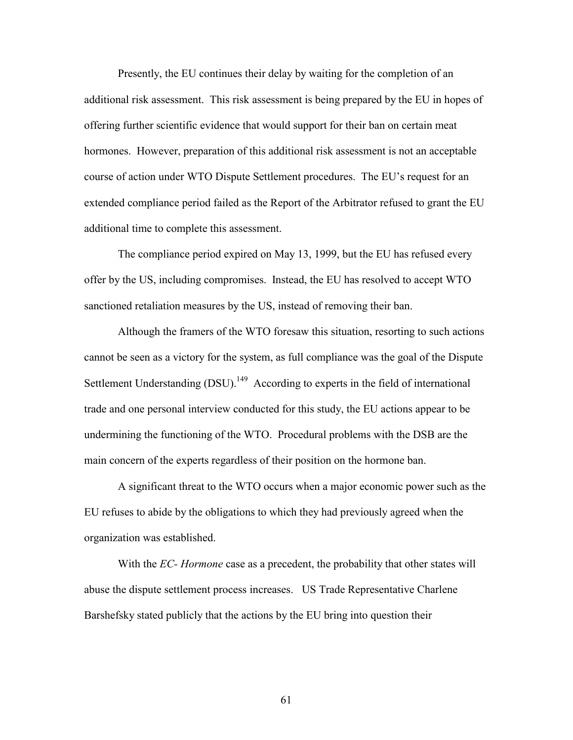Presently, the EU continues their delay by waiting for the completion of an additional risk assessment. This risk assessment is being prepared by the EU in hopes of offering further scientific evidence that would support for their ban on certain meat hormones. However, preparation of this additional risk assessment is not an acceptable course of action under WTO Dispute Settlement procedures. The EU's request for an extended compliance period failed as the Report of the Arbitrator refused to grant the EU additional time to complete this assessment.

The compliance period expired on May 13, 1999, but the EU has refused every offer by the US, including compromises. Instead, the EU has resolved to accept WTO sanctioned retaliation measures by the US, instead of removing their ban.

Although the framers of the WTO foresaw this situation, resorting to such actions cannot be seen as a victory for the system, as full compliance was the goal of the Dispute Settlement Understanding  $(DSU)$ .<sup>149</sup> According to experts in the field of international trade and one personal interview conducted for this study, the EU actions appear to be undermining the functioning of the WTO. Procedural problems with the DSB are the main concern of the experts regardless of their position on the hormone ban.

A significant threat to the WTO occurs when a major economic power such as the EU refuses to abide by the obligations to which they had previously agreed when the organization was established.

With the *EC- Hormone* case as a precedent, the probability that other states will abuse the dispute settlement process increases. US Trade Representative Charlene Barshefsky stated publicly that the actions by the EU bring into question their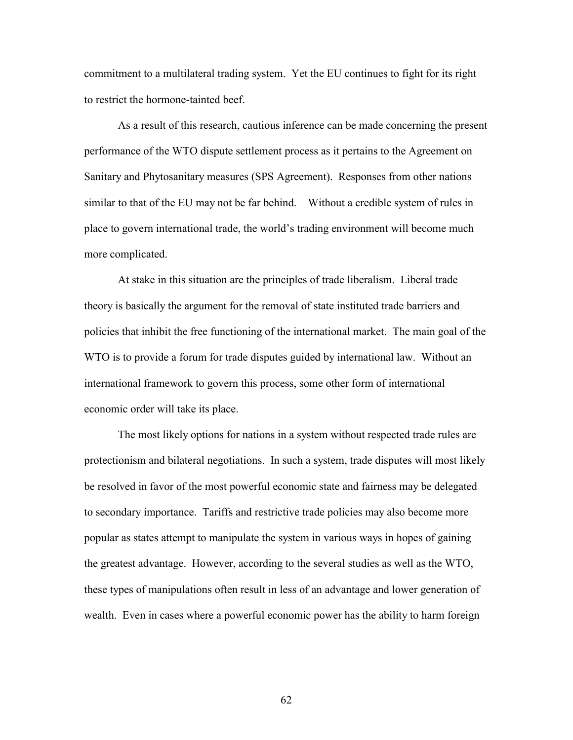commitment to a multilateral trading system. Yet the EU continues to fight for its right to restrict the hormone-tainted beef.

As a result of this research, cautious inference can be made concerning the present performance of the WTO dispute settlement process as it pertains to the Agreement on Sanitary and Phytosanitary measures (SPS Agreement). Responses from other nations similar to that of the EU may not be far behind. Without a credible system of rules in place to govern international trade, the world's trading environment will become much more complicated.

At stake in this situation are the principles of trade liberalism. Liberal trade theory is basically the argument for the removal of state instituted trade barriers and policies that inhibit the free functioning of the international market. The main goal of the WTO is to provide a forum for trade disputes guided by international law. Without an international framework to govern this process, some other form of international economic order will take its place.

The most likely options for nations in a system without respected trade rules are protectionism and bilateral negotiations. In such a system, trade disputes will most likely be resolved in favor of the most powerful economic state and fairness may be delegated to secondary importance. Tariffs and restrictive trade policies may also become more popular as states attempt to manipulate the system in various ways in hopes of gaining the greatest advantage. However, according to the several studies as well as the WTO, these types of manipulations often result in less of an advantage and lower generation of wealth. Even in cases where a powerful economic power has the ability to harm foreign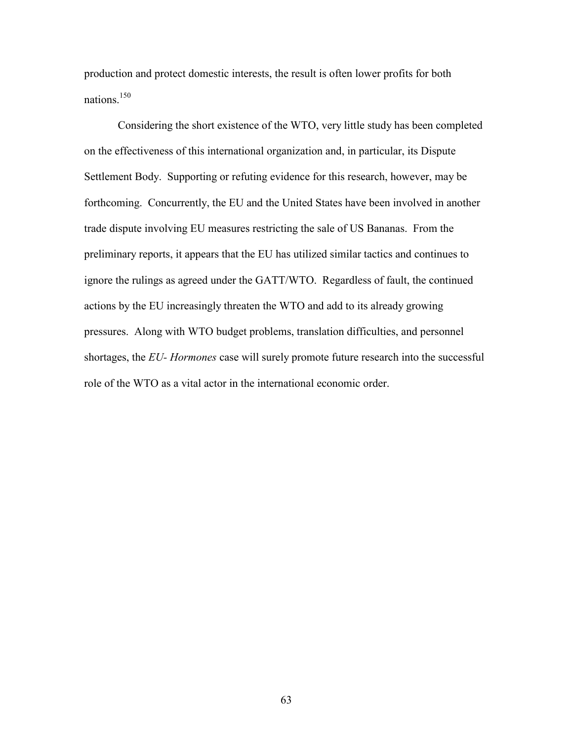production and protect domestic interests, the result is often lower profits for both nations<sup>150</sup>

Considering the short existence of the WTO, very little study has been completed on the effectiveness of this international organization and, in particular, its Dispute Settlement Body. Supporting or refuting evidence for this research, however, may be forthcoming. Concurrently, the EU and the United States have been involved in another trade dispute involving EU measures restricting the sale of US Bananas. From the preliminary reports, it appears that the EU has utilized similar tactics and continues to ignore the rulings as agreed under the GATT/WTO. Regardless of fault, the continued actions by the EU increasingly threaten the WTO and add to its already growing pressures. Along with WTO budget problems, translation difficulties, and personnel shortages, the *EU- Hormones* case will surely promote future research into the successful role of the WTO as a vital actor in the international economic order.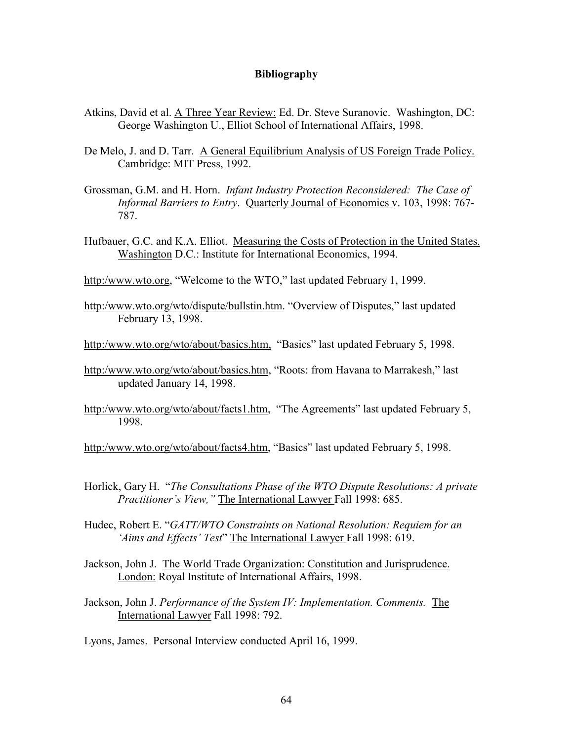#### **Bibliography**

- Atkins, David et al. A Three Year Review: Ed. Dr. Steve Suranovic. Washington, DC: George Washington U., Elliot School of International Affairs, 1998.
- De Melo, J. and D. Tarr. A General Equilibrium Analysis of US Foreign Trade Policy. Cambridge: MIT Press, 1992.
- Grossman, G.M. and H. Horn. *Infant Industry Protection Reconsidered: The Case of Informal Barriers to Entry*. Quarterly Journal of Economics v. 103, 1998: 767- 787.
- Hufbauer, G.C. and K.A. Elliot. Measuring the Costs of Protection in the United States. Washington D.C.: Institute for International Economics, 1994.
- http:/www.wto.org, "Welcome to the WTO," last updated February 1, 1999.
- http:/www.wto.org/wto/dispute/bullstin.htm. "Overview of Disputes," last updated February 13, 1998.
- http:/www.wto.org/wto/about/basics.htm, "Basics" last updated February 5, 1998.
- http:/www.wto.org/wto/about/basics.htm, "Roots: from Havana to Marrakesh," last updated January 14, 1998.
- http:/www.wto.org/wto/about/facts1.htm, "The Agreements" last updated February 5, 1998.

http:/www.wto.org/wto/about/facts4.htm, "Basics" last updated February 5, 1998.

- Horlick, Gary H. *"The Consultations Phase of the WTO Dispute Resolutions: A private Practitioner's View,* "The International Lawyer Fall 1998: 685.
- Hudec, Robert E. "*GATT/WTO Constraints on National Resolution: Requiem for an Aims and Effects' Test*" The International Lawyer Fall 1998: 619.
- Jackson, John J. The World Trade Organization: Constitution and Jurisprudence. London: Royal Institute of International Affairs, 1998.
- Jackson, John J. *Performance of the System IV: Implementation. Comments.* The International Lawyer Fall 1998: 792.

Lyons, James. Personal Interview conducted April 16, 1999.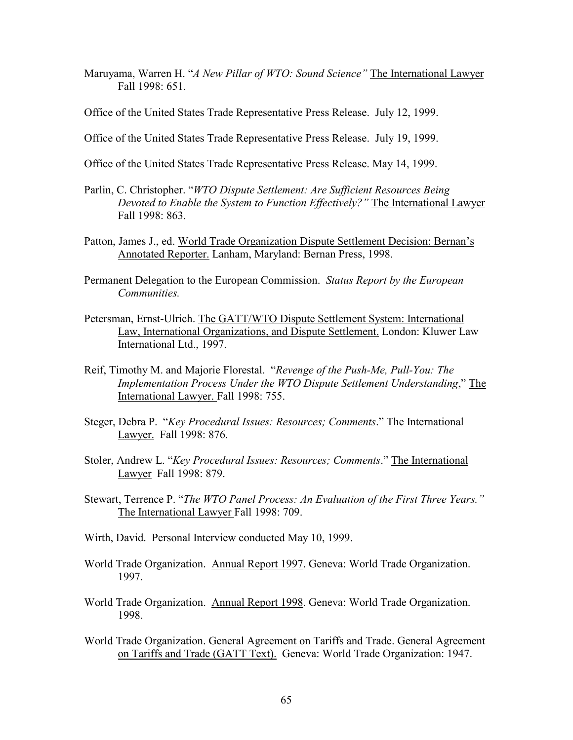- Maruyama, Warren H. "*A New Pillar of WTO: Sound Science*" The International Lawyer Fall 1998: 651.
- Office of the United States Trade Representative Press Release. July 12, 1999.
- Office of the United States Trade Representative Press Release. July 19, 1999.
- Office of the United States Trade Representative Press Release. May 14, 1999.
- Parlin, C. Christopher. "*WTO Dispute Settlement: Are Sufficient Resources Being Devoted to Enable the System to Function Effectively?*<sup>"</sup> The International Lawyer Fall 1998: 863.
- Patton, James J., ed. World Trade Organization Dispute Settlement Decision: Bernan's Annotated Reporter. Lanham, Maryland: Bernan Press, 1998.
- Permanent Delegation to the European Commission. *Status Report by the European Communities.*
- Petersman, Ernst-Ulrich. The GATT/WTO Dispute Settlement System: International Law, International Organizations, and Dispute Settlement. London: Kluwer Law International Ltd., 1997.
- Reif, Timothy M. and Majorie Florestal. *"Revenge of the Push-Me, Pull-You: The Implementation Process Under the WTO Dispute Settlement Understanding*," The International Lawyer. Fall 1998: 755.
- Steger, Debra P. *"Key Procedural Issues: Resources; Comments*." The International Lawyer. Fall 1998: 876.
- Stoler, Andrew L. "*Key Procedural Issues: Resources; Comments*." The International Lawyer Fall 1998: 879.
- Stewart, Terrence P. "The WTO Panel Process: An Evaluation of the First Three Years." The International Lawyer Fall 1998: 709.
- Wirth, David. Personal Interview conducted May 10, 1999.
- World Trade Organization. Annual Report 1997. Geneva: World Trade Organization. 1997.
- World Trade Organization. Annual Report 1998. Geneva: World Trade Organization. 1998.
- World Trade Organization. General Agreement on Tariffs and Trade. General Agreement on Tariffs and Trade (GATT Text). Geneva: World Trade Organization: 1947.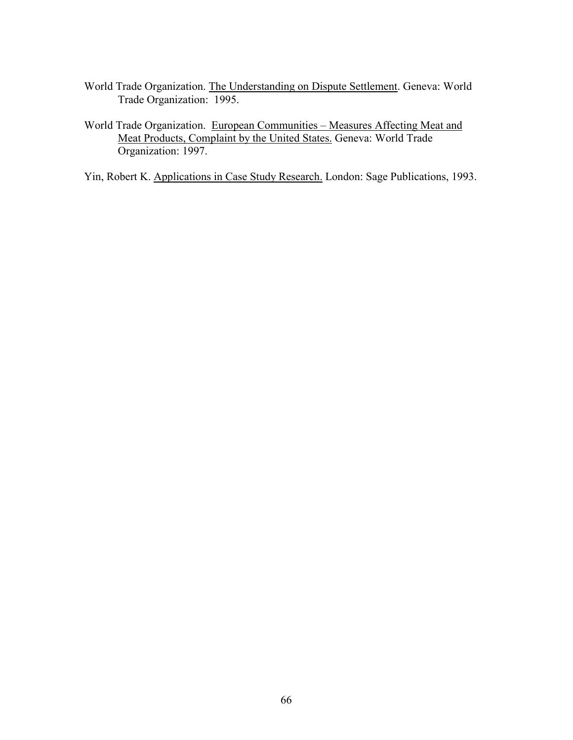- World Trade Organization. The Understanding on Dispute Settlement. Geneva: World Trade Organization: 1995.
- World Trade Organization. European Communities Measures Affecting Meat and Meat Products, Complaint by the United States. Geneva: World Trade Organization: 1997.
- Yin, Robert K. Applications in Case Study Research. London: Sage Publications, 1993.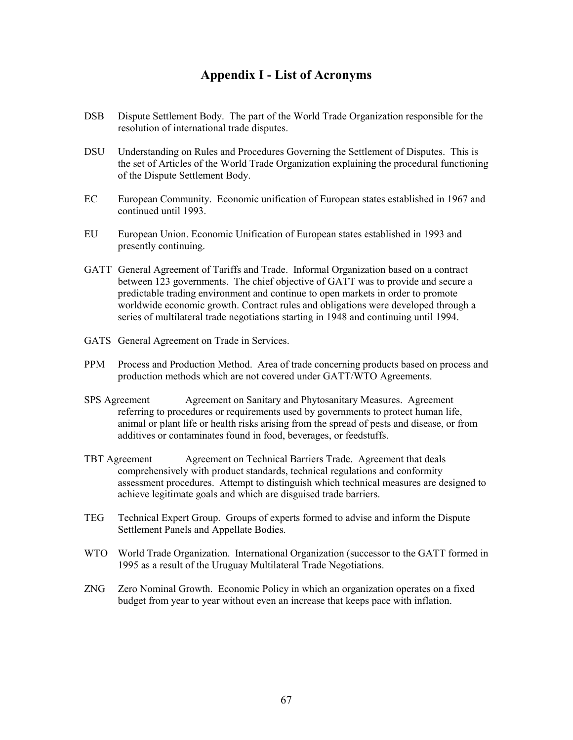# **Appendix I - List of Acronyms**

- DSB Dispute Settlement Body. The part of the World Trade Organization responsible for the resolution of international trade disputes.
- DSU Understanding on Rules and Procedures Governing the Settlement of Disputes. This is the set of Articles of the World Trade Organization explaining the procedural functioning of the Dispute Settlement Body.
- EC European Community. Economic unification of European states established in 1967 and continued until 1993.
- EU European Union. Economic Unification of European states established in 1993 and presently continuing.
- GATT General Agreement of Tariffs and Trade. Informal Organization based on a contract between 123 governments. The chief objective of GATT was to provide and secure a predictable trading environment and continue to open markets in order to promote worldwide economic growth. Contract rules and obligations were developed through a series of multilateral trade negotiations starting in 1948 and continuing until 1994.
- GATS General Agreement on Trade in Services.
- PPM Process and Production Method. Area of trade concerning products based on process and production methods which are not covered under GATT/WTO Agreements.
- SPS Agreement **Agreement on Sanitary and Phytosanitary Measures.** Agreement referring to procedures or requirements used by governments to protect human life, animal or plant life or health risks arising from the spread of pests and disease, or from additives or contaminates found in food, beverages, or feedstuffs.
- TBT Agreement Agreement on Technical Barriers Trade. Agreement that deals comprehensively with product standards, technical regulations and conformity assessment procedures. Attempt to distinguish which technical measures are designed to achieve legitimate goals and which are disguised trade barriers.
- TEG Technical Expert Group. Groups of experts formed to advise and inform the Dispute Settlement Panels and Appellate Bodies.
- WTO World Trade Organization. International Organization (successor to the GATT formed in 1995 as a result of the Uruguay Multilateral Trade Negotiations.
- ZNG Zero Nominal Growth. Economic Policy in which an organization operates on a fixed budget from year to year without even an increase that keeps pace with inflation.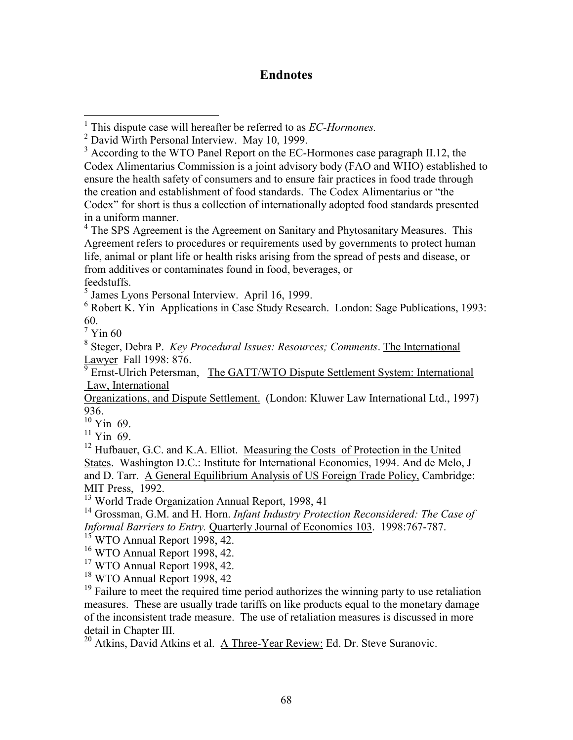# **Endnotes**

<sup>4</sup> The SPS Agreement is the Agreement on Sanitary and Phytosanitary Measures. This Agreement refers to procedures or requirements used by governments to protect human life, animal or plant life or health risks arising from the spread of pests and disease, or from additives or contaminates found in food, beverages, or

feedstuffs.

5 James Lyons Personal Interview. April 16, 1999.

6 Robert K. Yin Applications in Case Study Research. London: Sage Publications, 1993: 60.

 $7$  Yin 60

8 Steger, Debra P. *Key Procedural Issues: Resources; Comments*. The International  $\frac{\text{Lawyer}}{9 \text{ Erm}}$  Hall 1998: 876.

 Ernst-Ulrich Petersman, The GATT/WTO Dispute Settlement System: International Law, International

Organizations, and Dispute Settlement. (London: Kluwer Law International Ltd., 1997) 936.

 $10$  Yin 69.

 $11$  Yin 69.

<sup>12</sup> Hufbauer, G.C. and K.A. Elliot. Measuring the Costs of Protection in the United States. Washington D.C.: Institute for International Economics, 1994. And de Melo, J and D. Tarr. A General Equilibrium Analysis of US Foreign Trade Policy, Cambridge: MIT Press, 1992.

13 World Trade Organization Annual Report, 1998, 41

14 Grossman, G.M. and H. Horn. *Infant Industry Protection Reconsidered: The Case of Informal Barriers to Entry.* Quarterly Journal of Economics 103. 1998:767-787.

 $15$  WTO Annual Report 1998, 42.

<sup>16</sup> WTO Annual Report 1998, 42.

<sup>17</sup> WTO Annual Report 1998, 42.

18 WTO Annual Report 1998, 42

 $19$  Failure to meet the required time period authorizes the winning party to use retaliation measures. These are usually trade tariffs on like products equal to the monetary damage of the inconsistent trade measure. The use of retaliation measures is discussed in more detail in Chapter III.

 $20$  Atkins, David Atkins et al.  $\overline{A}$  Three-Year Review: Ed. Dr. Steve Suranovic.

 1 This dispute case will hereafter be referred to as *EC-Hormones.*

<sup>&</sup>lt;sup>2</sup> David Wirth Personal Interview. May 10, 1999.

 $3$  According to the WTO Panel Report on the EC-Hormones case paragraph II.12, the Codex Alimentarius Commission is a joint advisory body (FAO and WHO) established to ensure the health safety of consumers and to ensure fair practices in food trade through the creation and establishment of food standards. The Codex Alimentarius or "the Codex" for short is thus a collection of internationally adopted food standards presented in a uniform manner.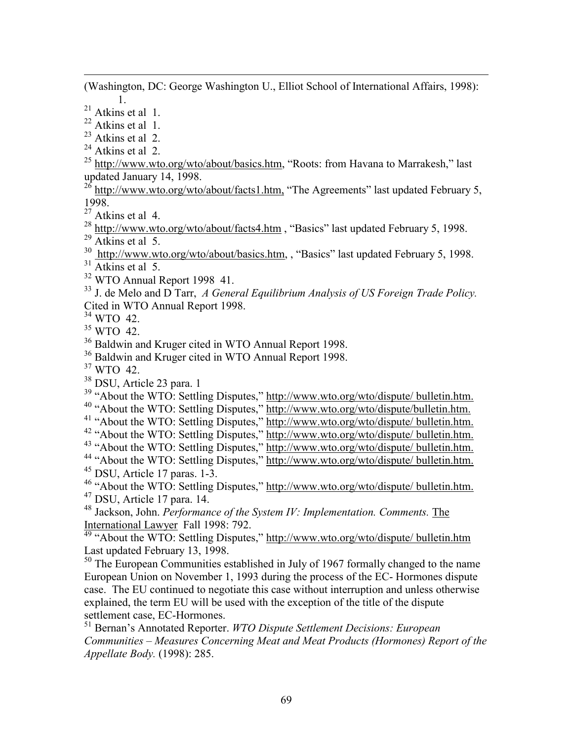(Washington, DC: George Washington U., Elliot School of International Affairs, 1998): 1.

 $^{21}$  Atkins et al 1.

 $\overline{a}$ 

 $22$  Atkins et al 1.

 $23$  Atkins et al 2.

 $24$  Atkins et al 2.

<sup>25</sup> http://www.wto.org/wto/about/basics.htm, "Roots: from Havana to Marrakesh," last updated January 14, 1998.

 $^{26}$  http://www.wto.org/wto/about/facts1.htm, "The Agreements" last updated February 5, 1998.

 $27$  Atkins et al 4.

 $^{28}$  http://www.wto.org/wto/about/facts4.htm , "Basics" last updated February 5, 1998.

 $29$  Atkins et al 5.

 $30$  http://www.wto.org/wto/about/basics.htm, , "Basics" last updated February 5, 1998.

 $31$  Atkins et al 5.

32 WTO Annual Report 1998 41.

33 J. de Melo and D Tarr, *A General Equilibrium Analysis of US Foreign Trade Policy.* Cited in WTO Annual Report 1998.

34 WTO 42.

35 WTO 42.

36 Baldwin and Kruger cited in WTO Annual Report 1998.

<sup>36</sup> Baldwin and Kruger cited in WTO Annual Report 1998.

37 WTO 42.

38 DSU, Article 23 para. 1

 $\frac{39}{39}$  "About the WTO: Settling Disputes," http://www.wto.org/wto/dispute/ bulletin.htm.

<sup>40</sup> "About the WTO: Settling Disputes," http://www.wto.org/wto/dispute/bulletin.htm.

<sup>41</sup> "About the WTO: Settling Disputes," http://www.wto.org/wto/dispute/ bulletin.htm.

<sup>42</sup> "About the WTO: Settling Disputes," http://www.wto.org/wto/dispute/ bulletin.htm.

<sup>43</sup> "About the WTO: Settling Disputes," http://www.wto.org/wto/dispute/ bulletin.htm.

<sup>44</sup> "About the WTO: Settling Disputes," http://www.wto.org/wto/dispute/ bulletin.htm. 45 DSU, Article 17 paras. 1-3.

46 <sup>46</sup> <sup>46</sup> About the WTO: Settling Disputes," http://www.wto.org/wto/dispute/ bulletin.htm. 47 DSU, Article 17 para. 14.

48 Jackson, John. *Performance of the System IV: Implementation. Comments.* The International Lawyer Fall 1998: 792.

49 "About the WTO: Settling Disputes," http://www.wto.org/wto/dispute/ bulletin.htm Last updated February 13, 1998.

<sup>50</sup> The European Communities established in July of 1967 formally changed to the name European Union on November 1, 1993 during the process of the EC- Hormones dispute case. The EU continued to negotiate this case without interruption and unless otherwise explained, the term EU will be used with the exception of the title of the dispute settlement case, EC-Hormones.

51 Bernanís Annotated Reporter. *WTO Dispute Settlement Decisions: European Communities – Measures Concerning Meat and Meat Products (Hormones) Report of the Appellate Body.* (1998): 285.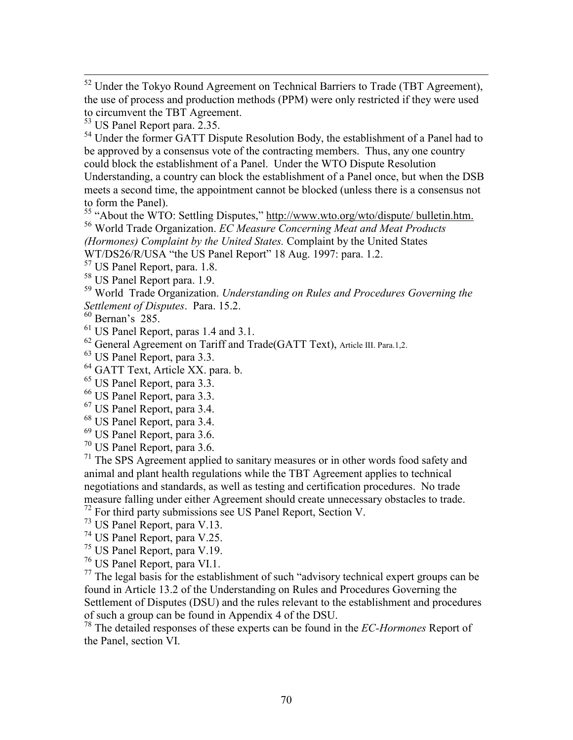<sup>52</sup> Under the Tokyo Round Agreement on Technical Barriers to Trade (TBT Agreement), the use of process and production methods (PPM) were only restricted if they were used to circumvent the TBT Agreement.

 $53$  US Panel Report para. 2.35.

<sup>54</sup> Under the former GATT Dispute Resolution Body, the establishment of a Panel had to be approved by a consensus vote of the contracting members. Thus, any one country could block the establishment of a Panel. Under the WTO Dispute Resolution Understanding, a country can block the establishment of a Panel once, but when the DSB meets a second time, the appointment cannot be blocked (unless there is a consensus not to form the Panel).

<sup>55</sup> "About the WTO: Settling Disputes," http://www.wto.org/wto/dispute/ bulletin.htm. <sup>56</sup> World Trade Organization. EC Measure Concerning Meat and Meat Products (Hormones) Complaint by the United States. Complaint by the United States

<sup>58</sup> US Panel Report para. 1.9.

<sup>59</sup> World Trade Organization. Understanding on Rules and Procedures Governing the Settlement of Disputes. Para. 15.2.

- $60$  Bernan's 285.
- $<sup>61</sup>$  US Panel Report, paras 1.4 and 3.1.</sup>

 $62$  General Agreement on Tariff and Trade(GATT Text), Article III. Para.1.2.

- <sup>63</sup> US Panel Report, para 3.3.
- <sup>64</sup> GATT Text, Article XX. para. b.
- <sup>65</sup> US Panel Report, para 3.3.
- <sup>66</sup> US Panel Report, para 3.3.
- <sup>67</sup> US Panel Report, para 3.4.
- <sup>68</sup> US Panel Report, para 3.4.
- <sup>69</sup> US Panel Report, para 3.6.
- <sup>70</sup> US Panel Report, para 3.6.

 $71$  The SPS Agreement applied to sanitary measures or in other words food safety and animal and plant health regulations while the TBT Agreement applies to technical negotiations and standards, as well as testing and certification procedures. No trade measure falling under either Agreement should create unnecessary obstacles to trade.  $^{72}$  For third party submissions see US Panel Report, Section V.

- <sup>73</sup> US Panel Report, para V.13.
- <sup>74</sup> US Panel Report, para V.25.
- <sup>75</sup> US Panel Report, para V.19.
- <sup>76</sup> US Panel Report, para VI.1.

 $^{77}$  The legal basis for the establishment of such "advisory technical expert groups can be found in Article 13.2 of the Understanding on Rules and Procedures Governing the Settlement of Disputes (DSU) and the rules relevant to the establishment and procedures of such a group can be found in Appendix 4 of the DSU.

<sup>78</sup> The detailed responses of these experts can be found in the *EC-Hormones* Report of the Panel, section VI.

WT/DS26/R/USA "the US Panel Report" 18 Aug. 1997: para. 1.2.

<sup>&</sup>lt;sup>57</sup> US Panel Report, para. 1.8.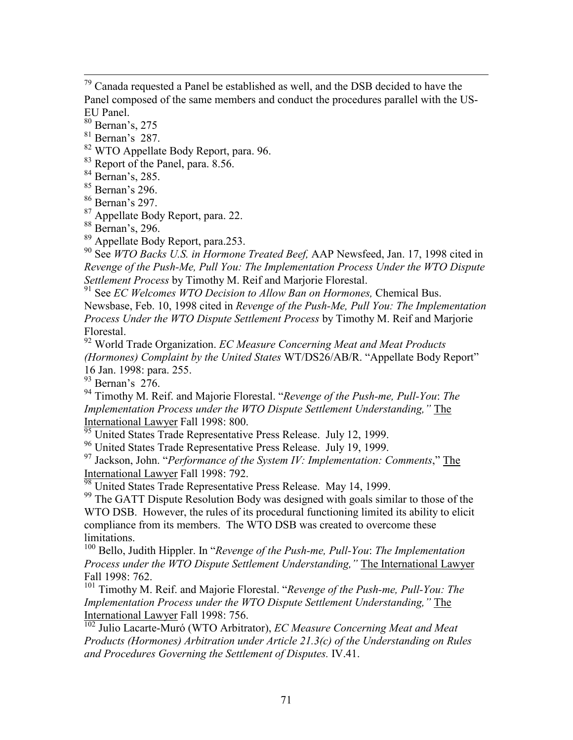$79$  Canada requested a Panel be established as well, and the DSB decided to have the Panel composed of the same members and conduct the procedures parallel with the US-EU Panel.

 $80$  Bernan's, 275

 $81$  Bernan's 287.

82 WTO Appellate Body Report, para. 96.

<sup>83</sup> Report of the Panel, para. 8.56.

 $84$  Bernan's, 285.

 $85$  Bernan's 296.

<sup>86</sup> Bernan's 297.

87 Appellate Body Report, para. 22.

<sup>88</sup> Bernan's, 296.

89 Appellate Body Report, para.253.

90 See *WTO Backs U.S. in Hormone Treated Beef,* AAP Newsfeed, Jan. 17, 1998 cited in *Revenge of the Push-Me, Pull You: The Implementation Process Under the WTO Dispute Settlement Process* by Timothy M. Reif and Marjorie Florestal.

<sup>91</sup> See *EC Welcomes WTO Decision to Allow Ban on Hormones*, Chemical Bus. Newsbase, Feb. 10, 1998 cited in *Revenge of the Push-Me, Pull You: The Implementation Process Under the WTO Dispute Settlement Process* by Timothy M. Reif and Marjorie Florestal.

92 World Trade Organization. *EC Measure Concerning Meat and Meat Products (Hormones) Complaint by the United States WT/DS26/AB/R. "Appellate Body Report"* 16 Jan. 1998: para. 255.

 $93$  Bernan's  $276$ .

<sup>94</sup> Timothy M. Reif. and Majorie Florestal. "*Revenge of the Push-me, Pull-You: The Implementation Process under the WTO Dispute Settlement Understanding,*" The International Lawyer Fall 1998: 800.

<sup>95</sup> United States Trade Representative Press Release. July 12, 1999.

<sup>96</sup> United States Trade Representative Press Release. July 19, 1999.

<sup>97</sup> Jackson, John. "Performance of the System IV: Implementation: Comments," The International Lawyer Fall 1998: 792.

<sup>98</sup> United States Trade Representative Press Release. May 14, 1999.

<sup>99</sup> The GATT Dispute Resolution Body was designed with goals similar to those of the WTO DSB. However, the rules of its procedural functioning limited its ability to elicit compliance from its members. The WTO DSB was created to overcome these limitations.

<sup>100</sup> Bello, Judith Hippler. In "*Revenge of the Push-me, Pull-You*: *The Implementation Process under the WTO Dispute Settlement Understanding,* "The International Lawyer Fall 1998: 762.

<sup>101</sup> Timothy M. Reif. and Majorie Florestal. "*Revenge of the Push-me, Pull-You: The Implementation Process under the WTO Dispute Settlement Understanding,*" The International Lawyer Fall 1998: 756.

102 Julio Lacarte-Muró (WTO Arbitrator), *EC Measure Concerning Meat and Meat Products (Hormones) Arbitration under Article 21.3(c) of the Understanding on Rules and Procedures Governing the Settlement of Disputes.* IV.41.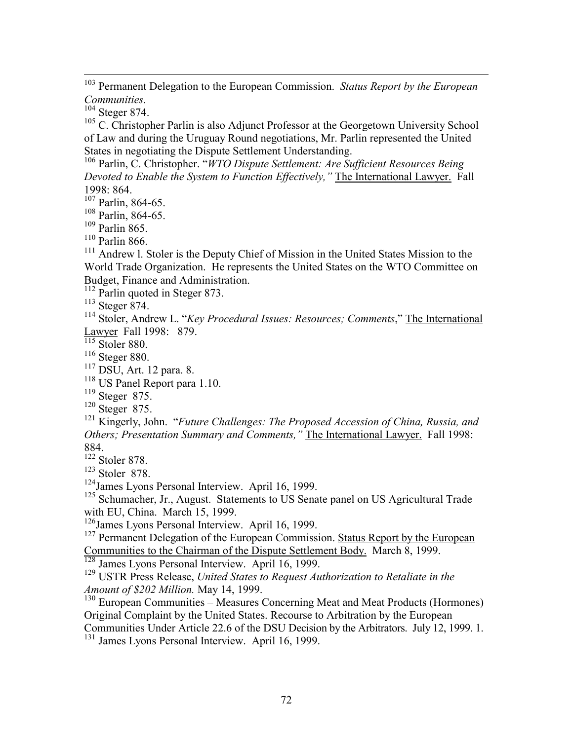103 Permanent Delegation to the European Commission. *Status Report by the European Communities.*

104 Steger 874.

 $105$  C. Christopher Parlin is also Adjunct Professor at the Georgetown University School of Law and during the Uruguay Round negotiations, Mr. Parlin represented the United States in negotiating the Dispute Settlement Understanding.

<sup>106</sup> Parlin, C. Christopher. "*WTO Dispute Settlement: Are Sufficient Resources Being Devoted to Enable the System to Function Effectively,* "The International Lawyer. Fall 1998: 864.

107 Parlin, 864-65.

<sup>108</sup> Parlin, 864-65.

109 Parlin 865.

110 Parlin 866.

<sup>111</sup> Andrew l. Stoler is the Deputy Chief of Mission in the United States Mission to the World Trade Organization. He represents the United States on the WTO Committee on Budget, Finance and Administration.

<sup>112</sup> Parlin quoted in Steger 873.

113 Steger 874.

<sup>114</sup> Stoler, Andrew L. "*Key Procedural Issues: Resources; Comments*," The International Lawyer Fall 1998: 879.

<sup>115</sup> Stoler 880.

<sup>116</sup> Steger 880.

 $117$  DSU, Art. 12 para. 8.

<sup>118</sup> US Panel Report para 1.10.

119 Steger 875.

 $120$  Steger 875.

<sup>121</sup> Kingerly, John. *"Future Challenges: The Proposed Accession of China, Russia, and Others; Presentation Summary and Comments,*<sup>"</sup> The International Lawyer. Fall 1998: 884.

<sup>122</sup> Stoler 878.

123 Stoler 878.

<sup>124</sup>James Lyons Personal Interview. April 16, 1999.

<sup>125</sup> Schumacher, Jr., August. Statements to US Senate panel on US Agricultural Trade with EU, China. March 15, 1999.

<sup>126</sup>James Lyons Personal Interview. April 16, 1999.

<sup>127</sup> Permanent Delegation of the European Commission. Status Report by the European Communities to the Chairman of the Dispute Settlement Body. March 8, 1999.

<sup>128</sup> James Lyons Personal Interview. April 16, 1999.

129 USTR Press Release, *United States to Request Authorization to Retaliate in the Amount of \$202 Million.* May 14, 1999.

 $130$  European Communities – Measures Concerning Meat and Meat Products (Hormones) Original Complaint by the United States. Recourse to Arbitration by the European Communities Under Article 22.6 of the DSU Decision by the Arbitrators. July 12, 1999. 1.

<sup>131</sup> James Lyons Personal Interview. April 16, 1999.